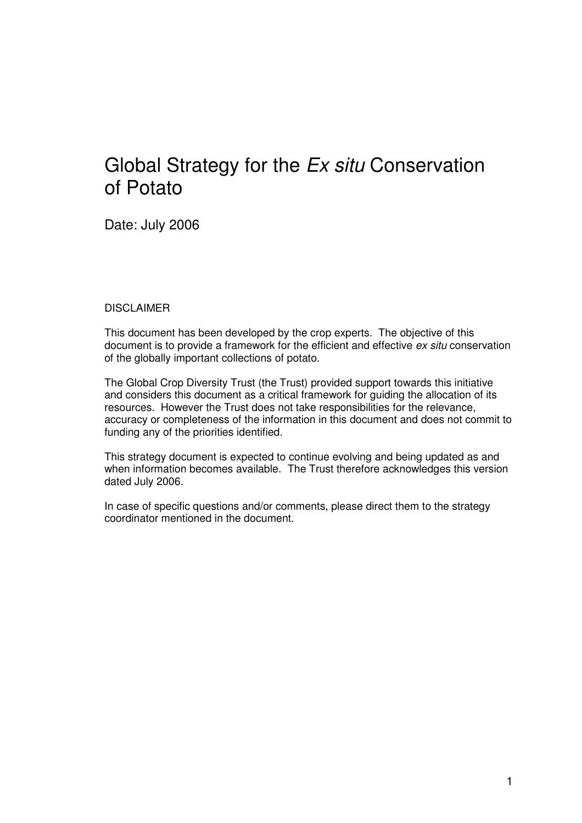# Global Strategy for the Ex situ Conservation of Potato

Date: July 2006

#### **DISCLAIMER**

This document has been developed by the crop experts. The objective of this document is to provide a framework for the efficient and effective ex situ conservation of the globally important collections of potato.

The Global Crop Diversity Trust (the Trust) provided support towards this initiative and considers this document as a critical framework for guiding the allocation of its resources. However the Trust does not take responsibilities for the relevance, accuracy or completeness of the information in this document and does not commit to funding any of the priorities identified.

This strategy document is expected to continue evolving and being updated as and when information becomes available. The Trust therefore acknowledges this version dated July 2006.

In case of specific questions and/or comments, please direct them to the strategy coordinator mentioned in the document.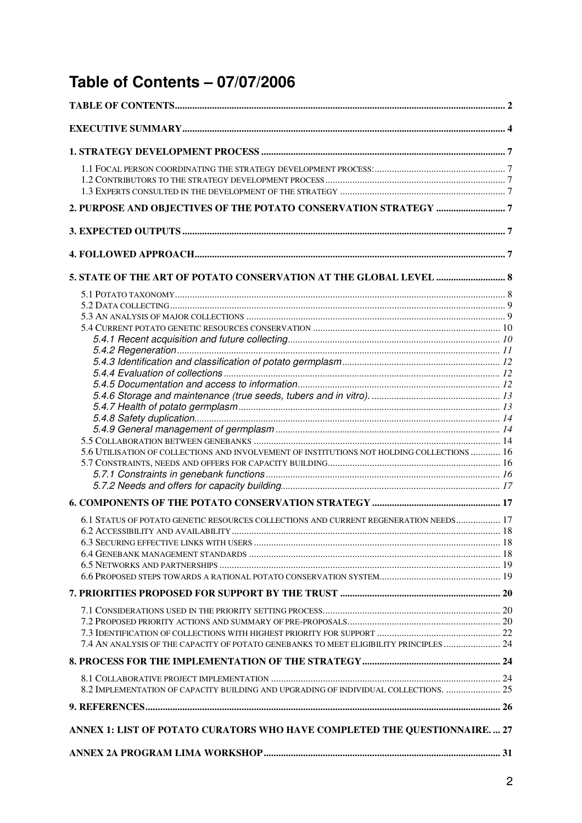# **Table of Contents – 07/07/2006**

| 5.6 UTILISATION OF COLLECTIONS AND INVOLVEMENT OF INSTITUTIONS NOT HOLDING COLLECTIONS  16 |  |
|--------------------------------------------------------------------------------------------|--|
|                                                                                            |  |
|                                                                                            |  |
|                                                                                            |  |
|                                                                                            |  |
| 6.1 STATUS OF POTATO GENETIC RESOURCES COLLECTIONS AND CURRENT REGENERATION NEEDS 17       |  |
|                                                                                            |  |
|                                                                                            |  |
|                                                                                            |  |
|                                                                                            |  |
|                                                                                            |  |
|                                                                                            |  |
|                                                                                            |  |
|                                                                                            |  |
|                                                                                            |  |
| 7.4 AN ANALYSIS OF THE CAPACITY OF POTATO GENEBANKS TO MEET ELIGIBILITY PRINCIPLES  24     |  |
|                                                                                            |  |
|                                                                                            |  |
| 8.2 IMPLEMENTATION OF CAPACITY BUILDING AND UPGRADING OF INDIVIDUAL COLLECTIONS.  25       |  |
|                                                                                            |  |
| ANNEX 1: LIST OF POTATO CURATORS WHO HAVE COMPLETED THE QUESTIONNAIRE.  27                 |  |
|                                                                                            |  |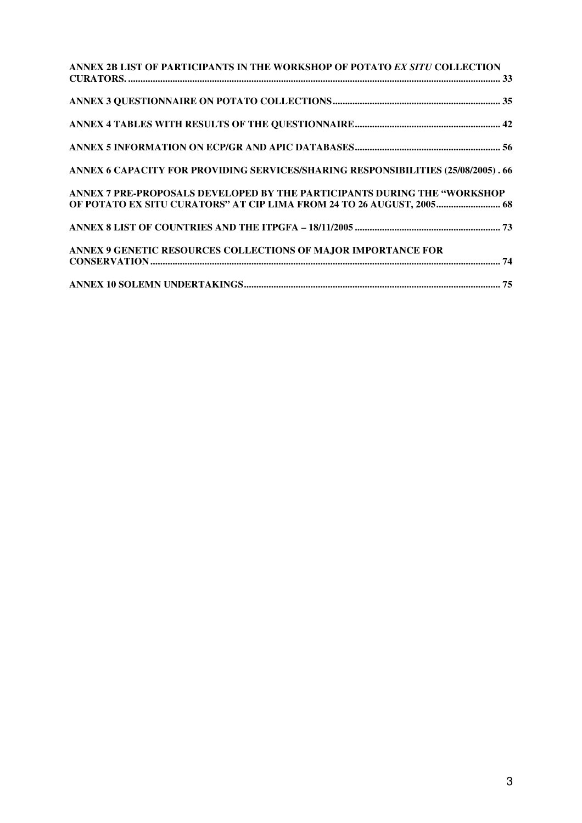| ANNEX 2B LIST OF PARTICIPANTS IN THE WORKSHOP OF POTATO EX SITU COLLECTION        |  |
|-----------------------------------------------------------------------------------|--|
|                                                                                   |  |
|                                                                                   |  |
|                                                                                   |  |
| ANNEX 6 CAPACITY FOR PROVIDING SERVICES/SHARING RESPONSIBILITIES (25/08/2005). 66 |  |
| ANNEX 7 PRE-PROPOSALS DEVELOPED BY THE PARTICIPANTS DURING THE "WORKSHOP          |  |
| OF POTATO EX SITU CURATORS" AT CIP LIMA FROM 24 TO 26 AUGUST, 2005 68             |  |
|                                                                                   |  |
| ANNEX 9 GENETIC RESOURCES COLLECTIONS OF MAJOR IMPORTANCE FOR                     |  |
|                                                                                   |  |
|                                                                                   |  |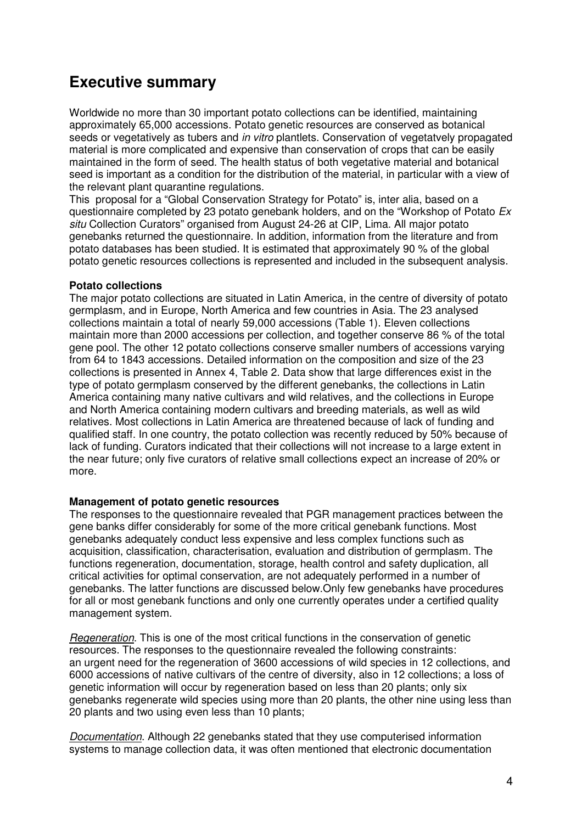# **Executive summary**

Worldwide no more than 30 important potato collections can be identified, maintaining approximately 65,000 accessions. Potato genetic resources are conserved as botanical seeds or vegetatively as tubers and in vitro plantlets. Conservation of vegetatvely propagated material is more complicated and expensive than conservation of crops that can be easily maintained in the form of seed. The health status of both vegetative material and botanical seed is important as a condition for the distribution of the material, in particular with a view of the relevant plant quarantine regulations.

This proposal for a "Global Conservation Strategy for Potato" is, inter alia, based on a questionnaire completed by 23 potato genebank holders, and on the "Workshop of Potato Ex situ Collection Curators" organised from August 24-26 at CIP, Lima. All major potato genebanks returned the questionnaire. In addition, information from the literature and from potato databases has been studied. It is estimated that approximately 90 % of the global potato genetic resources collections is represented and included in the subsequent analysis.

#### **Potato collections**

The major potato collections are situated in Latin America, in the centre of diversity of potato germplasm, and in Europe, North America and few countries in Asia. The 23 analysed collections maintain a total of nearly 59,000 accessions (Table 1). Eleven collections maintain more than 2000 accessions per collection, and together conserve 86 % of the total gene pool. The other 12 potato collections conserve smaller numbers of accessions varying from 64 to 1843 accessions. Detailed information on the composition and size of the 23 collections is presented in Annex 4, Table 2. Data show that large differences exist in the type of potato germplasm conserved by the different genebanks, the collections in Latin America containing many native cultivars and wild relatives, and the collections in Europe and North America containing modern cultivars and breeding materials, as well as wild relatives. Most collections in Latin America are threatened because of lack of funding and qualified staff. In one country, the potato collection was recently reduced by 50% because of lack of funding. Curators indicated that their collections will not increase to a large extent in the near future; only five curators of relative small collections expect an increase of 20% or more.

#### **Management of potato genetic resources**

The responses to the questionnaire revealed that PGR management practices between the gene banks differ considerably for some of the more critical genebank functions. Most genebanks adequately conduct less expensive and less complex functions such as acquisition, classification, characterisation, evaluation and distribution of germplasm. The functions regeneration, documentation, storage, health control and safety duplication, all critical activities for optimal conservation, are not adequately performed in a number of genebanks. The latter functions are discussed below.Only few genebanks have procedures for all or most genebank functions and only one currently operates under a certified quality management system.

Regeneration. This is one of the most critical functions in the conservation of genetic resources. The responses to the questionnaire revealed the following constraints: an urgent need for the regeneration of 3600 accessions of wild species in 12 collections, and 6000 accessions of native cultivars of the centre of diversity, also in 12 collections; a loss of genetic information will occur by regeneration based on less than 20 plants; only six genebanks regenerate wild species using more than 20 plants, the other nine using less than 20 plants and two using even less than 10 plants;

Documentation. Although 22 genebanks stated that they use computerised information systems to manage collection data, it was often mentioned that electronic documentation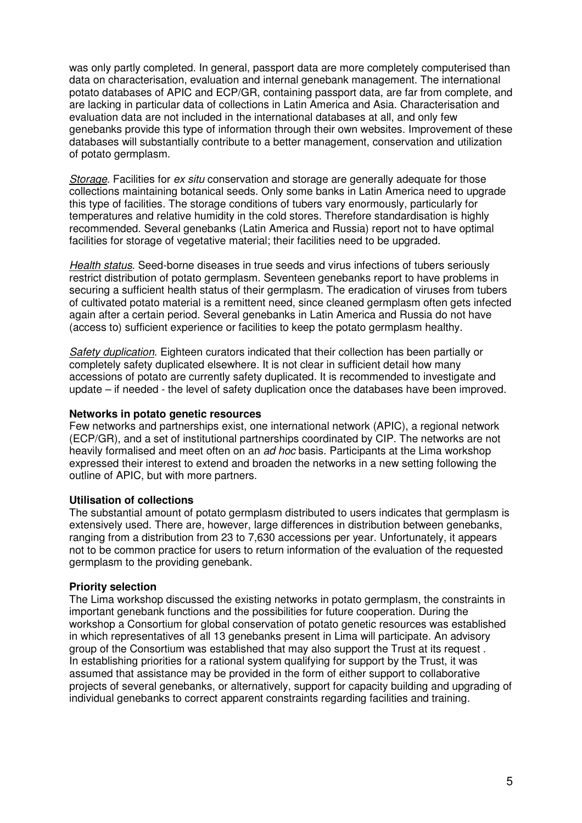was only partly completed. In general, passport data are more completely computerised than data on characterisation, evaluation and internal genebank management. The international potato databases of APIC and ECP/GR, containing passport data, are far from complete, and are lacking in particular data of collections in Latin America and Asia. Characterisation and evaluation data are not included in the international databases at all, and only few genebanks provide this type of information through their own websites. Improvement of these databases will substantially contribute to a better management, conservation and utilization of potato germplasm.

Storage. Facilities for ex situ conservation and storage are generally adequate for those collections maintaining botanical seeds. Only some banks in Latin America need to upgrade this type of facilities. The storage conditions of tubers vary enormously, particularly for temperatures and relative humidity in the cold stores. Therefore standardisation is highly recommended. Several genebanks (Latin America and Russia) report not to have optimal facilities for storage of vegetative material; their facilities need to be upgraded.

Health status. Seed-borne diseases in true seeds and virus infections of tubers seriously restrict distribution of potato germplasm. Seventeen genebanks report to have problems in securing a sufficient health status of their germplasm. The eradication of viruses from tubers of cultivated potato material is a remittent need, since cleaned germplasm often gets infected again after a certain period. Several genebanks in Latin America and Russia do not have (access to) sufficient experience or facilities to keep the potato germplasm healthy.

Safety duplication. Eighteen curators indicated that their collection has been partially or completely safety duplicated elsewhere. It is not clear in sufficient detail how many accessions of potato are currently safety duplicated. It is recommended to investigate and update – if needed - the level of safety duplication once the databases have been improved.

#### **Networks in potato genetic resources**

Few networks and partnerships exist, one international network (APIC), a regional network (ECP/GR), and a set of institutional partnerships coordinated by CIP. The networks are not heavily formalised and meet often on an ad hoc basis. Participants at the Lima workshop expressed their interest to extend and broaden the networks in a new setting following the outline of APIC, but with more partners.

#### **Utilisation of collections**

The substantial amount of potato germplasm distributed to users indicates that germplasm is extensively used. There are, however, large differences in distribution between genebanks, ranging from a distribution from 23 to 7,630 accessions per year. Unfortunately, it appears not to be common practice for users to return information of the evaluation of the requested germplasm to the providing genebank.

#### **Priority selection**

The Lima workshop discussed the existing networks in potato germplasm, the constraints in important genebank functions and the possibilities for future cooperation. During the workshop a Consortium for global conservation of potato genetic resources was established in which representatives of all 13 genebanks present in Lima will participate. An advisory group of the Consortium was established that may also support the Trust at its request . In establishing priorities for a rational system qualifying for support by the Trust, it was assumed that assistance may be provided in the form of either support to collaborative projects of several genebanks, or alternatively, support for capacity building and upgrading of individual genebanks to correct apparent constraints regarding facilities and training.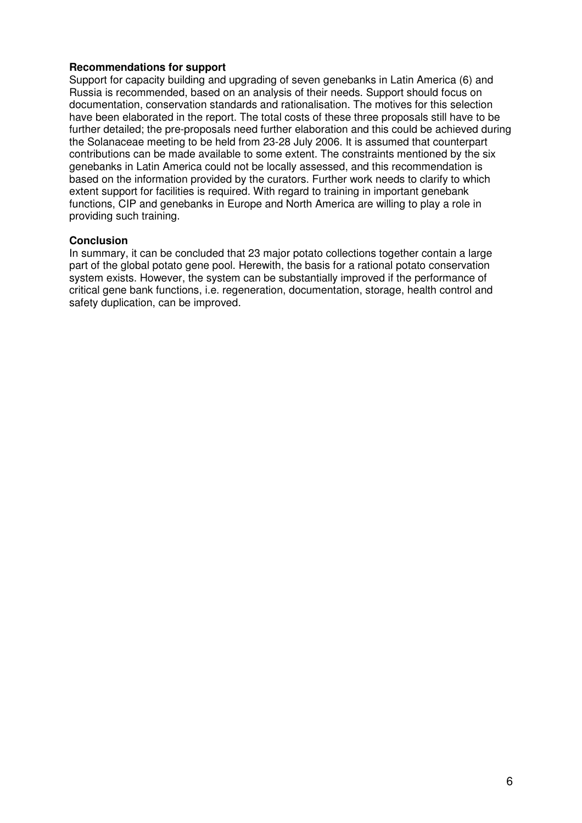#### **Recommendations for support**

Support for capacity building and upgrading of seven genebanks in Latin America (6) and Russia is recommended, based on an analysis of their needs. Support should focus on documentation, conservation standards and rationalisation. The motives for this selection have been elaborated in the report. The total costs of these three proposals still have to be further detailed; the pre-proposals need further elaboration and this could be achieved during the Solanaceae meeting to be held from 23-28 July 2006. It is assumed that counterpart contributions can be made available to some extent. The constraints mentioned by the six genebanks in Latin America could not be locally assessed, and this recommendation is based on the information provided by the curators. Further work needs to clarify to which extent support for facilities is required. With regard to training in important genebank functions, CIP and genebanks in Europe and North America are willing to play a role in providing such training.

#### **Conclusion**

In summary, it can be concluded that 23 major potato collections together contain a large part of the global potato gene pool. Herewith, the basis for a rational potato conservation system exists. However, the system can be substantially improved if the performance of critical gene bank functions, i.e. regeneration, documentation, storage, health control and safety duplication, can be improved.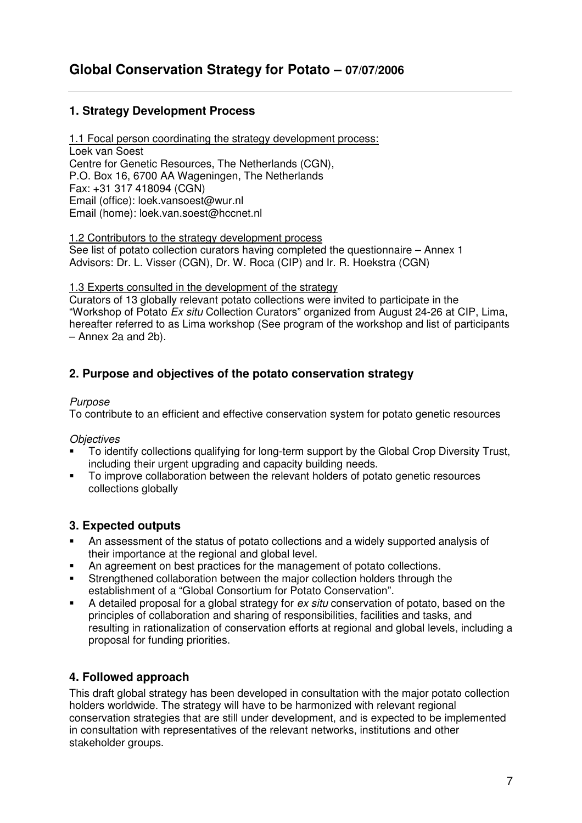## **1. Strategy Development Process**

1.1 Focal person coordinating the strategy development process: Loek van Soest Centre for Genetic Resources, The Netherlands (CGN), P.O. Box 16, 6700 AA Wageningen, The Netherlands Fax: +31 317 418094 (CGN) Email (office): loek.vansoest@wur.nl Email (home): loek.van.soest@hccnet.nl

1.2 Contributors to the strategy development process

See list of potato collection curators having completed the questionnaire – Annex 1 Advisors: Dr. L. Visser (CGN), Dr. W. Roca (CIP) and Ir. R. Hoekstra (CGN)

#### 1.3 Experts consulted in the development of the strategy

Curators of 13 globally relevant potato collections were invited to participate in the "Workshop of Potato Ex situ Collection Curators" organized from August 24-26 at CIP, Lima, hereafter referred to as Lima workshop (See program of the workshop and list of participants – Annex 2a and 2b).

## **2. Purpose and objectives of the potato conservation strategy**

#### Purpose

To contribute to an efficient and effective conservation system for potato genetic resources

#### **Objectives**

- To identify collections qualifying for long-term support by the Global Crop Diversity Trust, including their urgent upgrading and capacity building needs.
- To improve collaboration between the relevant holders of potato genetic resources collections globally

## **3. Expected outputs**

- An assessment of the status of potato collections and a widely supported analysis of their importance at the regional and global level.
- An agreement on best practices for the management of potato collections.
- Strengthened collaboration between the major collection holders through the establishment of a "Global Consortium for Potato Conservation".
- A detailed proposal for a global strategy for ex situ conservation of potato, based on the principles of collaboration and sharing of responsibilities, facilities and tasks, and resulting in rationalization of conservation efforts at regional and global levels, including a proposal for funding priorities.

## **4. Followed approach**

This draft global strategy has been developed in consultation with the major potato collection holders worldwide. The strategy will have to be harmonized with relevant regional conservation strategies that are still under development, and is expected to be implemented in consultation with representatives of the relevant networks, institutions and other stakeholder groups.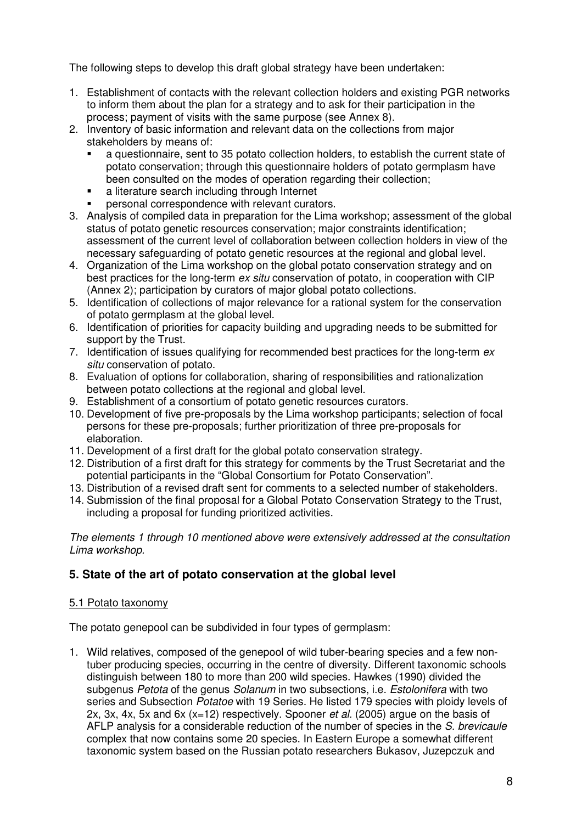The following steps to develop this draft global strategy have been undertaken:

- 1. Establishment of contacts with the relevant collection holders and existing PGR networks to inform them about the plan for a strategy and to ask for their participation in the process; payment of visits with the same purpose (see Annex 8).
- 2. Inventory of basic information and relevant data on the collections from major stakeholders by means of:
	- a questionnaire, sent to 35 potato collection holders, to establish the current state of potato conservation; through this questionnaire holders of potato germplasm have been consulted on the modes of operation regarding their collection:
	- a literature search including through Internet
	- personal correspondence with relevant curators.
- 3. Analysis of compiled data in preparation for the Lima workshop; assessment of the global status of potato genetic resources conservation; major constraints identification; assessment of the current level of collaboration between collection holders in view of the necessary safeguarding of potato genetic resources at the regional and global level.
- 4. Organization of the Lima workshop on the global potato conservation strategy and on best practices for the long-term ex situ conservation of potato, in cooperation with CIP (Annex 2); participation by curators of major global potato collections.
- 5. Identification of collections of major relevance for a rational system for the conservation of potato germplasm at the global level.
- 6. Identification of priorities for capacity building and upgrading needs to be submitted for support by the Trust.
- 7. Identification of issues qualifying for recommended best practices for the long-term ex situ conservation of potato.
- 8. Evaluation of options for collaboration, sharing of responsibilities and rationalization between potato collections at the regional and global level.
- 9. Establishment of a consortium of potato genetic resources curators.
- 10. Development of five pre-proposals by the Lima workshop participants; selection of focal persons for these pre-proposals; further prioritization of three pre-proposals for elaboration.
- 11. Development of a first draft for the global potato conservation strategy.
- 12. Distribution of a first draft for this strategy for comments by the Trust Secretariat and the potential participants in the "Global Consortium for Potato Conservation".
- 13. Distribution of a revised draft sent for comments to a selected number of stakeholders.
- 14. Submission of the final proposal for a Global Potato Conservation Strategy to the Trust, including a proposal for funding prioritized activities.

The elements 1 through 10 mentioned above were extensively addressed at the consultation Lima workshop.

## **5. State of the art of potato conservation at the global level**

## 5.1 Potato taxonomy

The potato genepool can be subdivided in four types of germplasm:

1. Wild relatives, composed of the genepool of wild tuber-bearing species and a few nontuber producing species, occurring in the centre of diversity. Different taxonomic schools distinguish between 180 to more than 200 wild species. Hawkes (1990) divided the subgenus Petota of the genus Solanum in two subsections, i.e. Estolonifera with two series and Subsection *Potatoe* with 19 Series. He listed 179 species with ploidy levels of 2x, 3x, 4x, 5x and 6x ( $x=12$ ) respectively. Spooner *et al.* (2005) argue on the basis of AFLP analysis for a considerable reduction of the number of species in the S. brevicaule complex that now contains some 20 species. In Eastern Europe a somewhat different taxonomic system based on the Russian potato researchers Bukasov, Juzepczuk and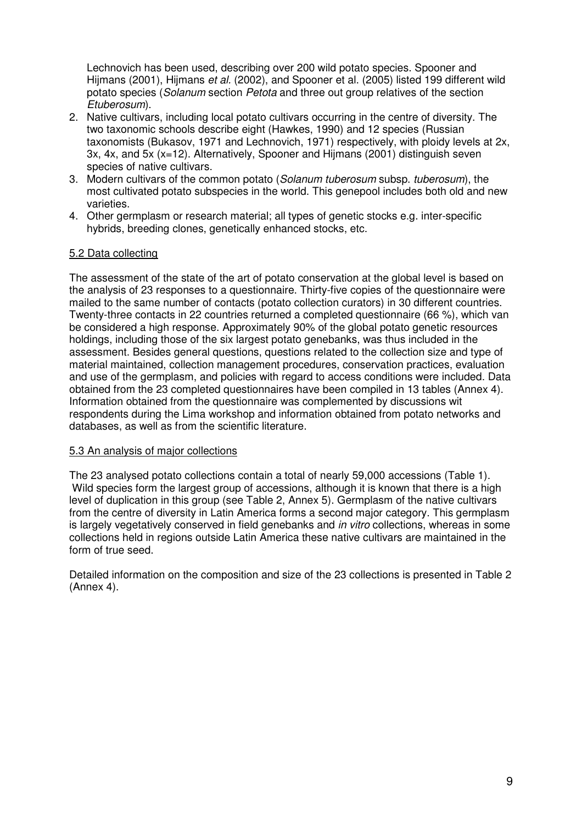Lechnovich has been used, describing over 200 wild potato species. Spooner and Hijmans (2001), Hijmans et al. (2002), and Spooner et al. (2005) listed 199 different wild potato species (Solanum section Petota and three out group relatives of the section Etuberosum).

- 2. Native cultivars, including local potato cultivars occurring in the centre of diversity. The two taxonomic schools describe eight (Hawkes, 1990) and 12 species (Russian taxonomists (Bukasov, 1971 and Lechnovich, 1971) respectively, with ploidy levels at 2x, 3x, 4x, and 5x (x=12). Alternatively, Spooner and Hijmans (2001) distinguish seven species of native cultivars.
- 3. Modern cultivars of the common potato (Solanum tuberosum subsp. tuberosum), the most cultivated potato subspecies in the world. This genepool includes both old and new varieties.
- 4. Other germplasm or research material; all types of genetic stocks e.g. inter-specific hybrids, breeding clones, genetically enhanced stocks, etc.

#### 5.2 Data collecting

The assessment of the state of the art of potato conservation at the global level is based on the analysis of 23 responses to a questionnaire. Thirty-five copies of the questionnaire were mailed to the same number of contacts (potato collection curators) in 30 different countries. Twenty-three contacts in 22 countries returned a completed questionnaire (66 %), which van be considered a high response. Approximately 90% of the global potato genetic resources holdings, including those of the six largest potato genebanks, was thus included in the assessment. Besides general questions, questions related to the collection size and type of material maintained, collection management procedures, conservation practices, evaluation and use of the germplasm, and policies with regard to access conditions were included. Data obtained from the 23 completed questionnaires have been compiled in 13 tables (Annex 4). Information obtained from the questionnaire was complemented by discussions wit respondents during the Lima workshop and information obtained from potato networks and databases, as well as from the scientific literature.

#### 5.3 An analysis of major collections

The 23 analysed potato collections contain a total of nearly 59,000 accessions (Table 1). Wild species form the largest group of accessions, although it is known that there is a high level of duplication in this group (see Table 2, Annex 5). Germplasm of the native cultivars from the centre of diversity in Latin America forms a second major category. This germplasm is largely vegetatively conserved in field genebanks and *in vitro* collections, whereas in some collections held in regions outside Latin America these native cultivars are maintained in the form of true seed.

Detailed information on the composition and size of the 23 collections is presented in Table 2 (Annex 4).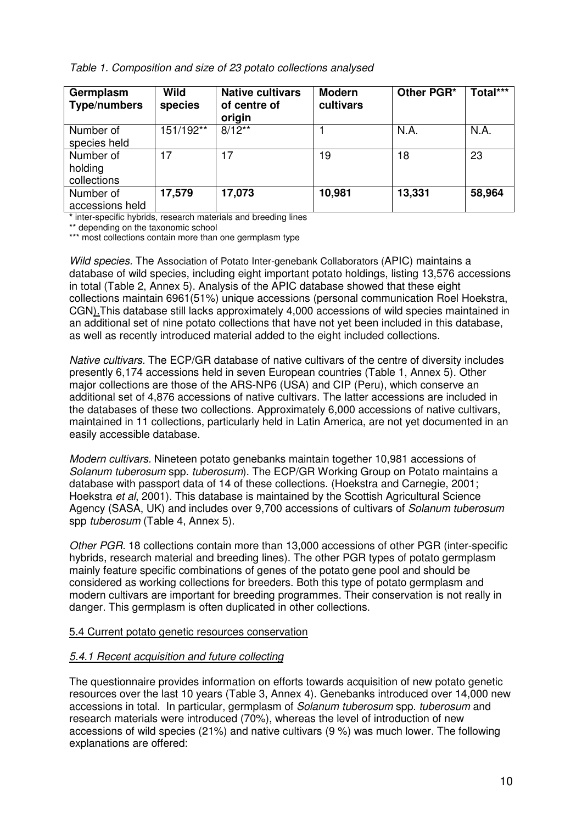Table 1. Composition and size of 23 potato collections analysed

| Germplasm<br><b>Type/numbers</b> | <b>Wild</b><br>species | <b>Native cultivars</b><br>of centre of<br>origin | <b>Modern</b><br>cultivars | Other PGR* | Total*** |
|----------------------------------|------------------------|---------------------------------------------------|----------------------------|------------|----------|
| Number of                        | 151/192**              | $8/12**$                                          |                            | N.A.       | N.A.     |
| species held                     |                        |                                                   |                            |            |          |
| Number of                        | 17                     | 17                                                | 19                         | 18         | 23       |
| holding                          |                        |                                                   |                            |            |          |
| collections                      |                        |                                                   |                            |            |          |
| Number of                        | 17,579                 | 17,073                                            | 10,981                     | 13,331     | 58,964   |
| accessions held                  |                        |                                                   |                            |            |          |

**\*** inter-specific hybrids, research materials and breeding lines

\*\* depending on the taxonomic school

\*\*\* most collections contain more than one germplasm type

Wild species. The Association of Potato Inter-genebank Collaborators (APIC) maintains a database of wild species, including eight important potato holdings, listing 13,576 accessions in total (Table 2, Annex 5). Analysis of the APIC database showed that these eight collections maintain 6961(51%) unique accessions (personal communication Roel Hoekstra, CGN).This database still lacks approximately 4,000 accessions of wild species maintained in an additional set of nine potato collections that have not yet been included in this database, as well as recently introduced material added to the eight included collections.

Native cultivars. The ECP/GR database of native cultivars of the centre of diversity includes presently 6,174 accessions held in seven European countries (Table 1, Annex 5). Other major collections are those of the ARS-NP6 (USA) and CIP (Peru), which conserve an additional set of 4,876 accessions of native cultivars. The latter accessions are included in the databases of these two collections. Approximately 6,000 accessions of native cultivars, maintained in 11 collections, particularly held in Latin America, are not yet documented in an easily accessible database.

Modern cultivars. Nineteen potato genebanks maintain together 10,981 accessions of Solanum tuberosum spp. tuberosum). The ECP/GR Working Group on Potato maintains a database with passport data of 14 of these collections. (Hoekstra and Carnegie, 2001; Hoekstra et al, 2001). This database is maintained by the Scottish Agricultural Science Agency (SASA, UK) and includes over 9,700 accessions of cultivars of *Solanum tuberosum* spp *tuberosum* (Table 4, Annex 5).

Other PGR. 18 collections contain more than 13,000 accessions of other PGR (inter-specific hybrids, research material and breeding lines). The other PGR types of potato germplasm mainly feature specific combinations of genes of the potato gene pool and should be considered as working collections for breeders. Both this type of potato germplasm and modern cultivars are important for breeding programmes. Their conservation is not really in danger. This germplasm is often duplicated in other collections.

#### 5.4 Current potato genetic resources conservation

## 5.4.1 Recent acquisition and future collecting

The questionnaire provides information on efforts towards acquisition of new potato genetic resources over the last 10 years (Table 3, Annex 4). Genebanks introduced over 14,000 new accessions in total. In particular, germplasm of Solanum tuberosum spp. tuberosum and research materials were introduced (70%), whereas the level of introduction of new accessions of wild species (21%) and native cultivars (9 %) was much lower. The following explanations are offered: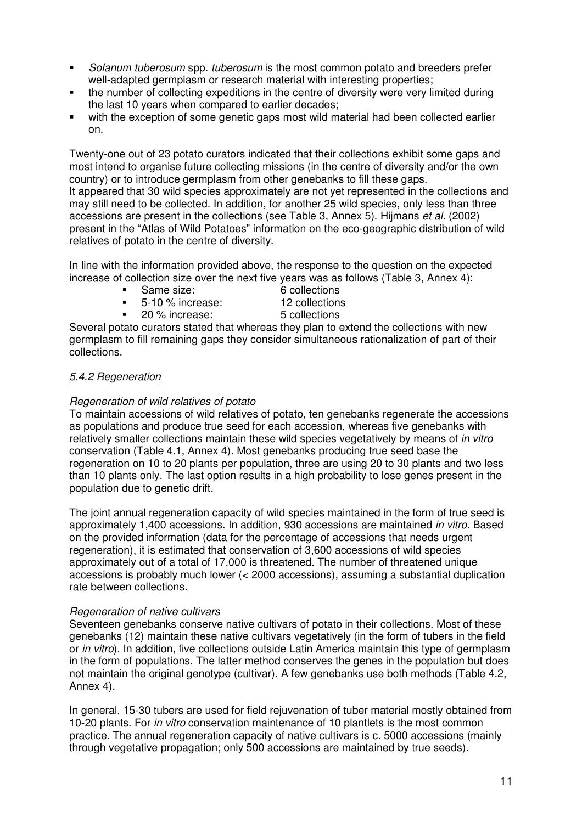- Solanum tuberosum spp. tuberosum is the most common potato and breeders prefer well-adapted germplasm or research material with interesting properties;
- the number of collecting expeditions in the centre of diversity were very limited during the last 10 years when compared to earlier decades;
- with the exception of some genetic gaps most wild material had been collected earlier on.

Twenty-one out of 23 potato curators indicated that their collections exhibit some gaps and most intend to organise future collecting missions (in the centre of diversity and/or the own country) or to introduce germplasm from other genebanks to fill these gaps. It appeared that 30 wild species approximately are not yet represented in the collections and

may still need to be collected. In addition, for another 25 wild species, only less than three accessions are present in the collections (see Table 3, Annex 5). Hijmans et al. (2002) present in the "Atlas of Wild Potatoes" information on the eco-geographic distribution of wild relatives of potato in the centre of diversity.

In line with the information provided above, the response to the question on the expected increase of collection size over the next five years was as follows (Table 3, Annex 4):

- Same size: 6 collections
	-
- 5-10 % increase: 12 collections
	-
- 20 % increase: 5 collections
- 

Several potato curators stated that whereas they plan to extend the collections with new germplasm to fill remaining gaps they consider simultaneous rationalization of part of their collections.

## 5.4.2 Regeneration

#### Regeneration of wild relatives of potato

To maintain accessions of wild relatives of potato, ten genebanks regenerate the accessions as populations and produce true seed for each accession, whereas five genebanks with relatively smaller collections maintain these wild species vegetatively by means of *in vitro* conservation (Table 4.1, Annex 4). Most genebanks producing true seed base the regeneration on 10 to 20 plants per population, three are using 20 to 30 plants and two less than 10 plants only. The last option results in a high probability to lose genes present in the population due to genetic drift.

The joint annual regeneration capacity of wild species maintained in the form of true seed is approximately 1,400 accessions. In addition, 930 accessions are maintained in vitro. Based on the provided information (data for the percentage of accessions that needs urgent regeneration), it is estimated that conservation of 3,600 accessions of wild species approximately out of a total of 17,000 is threatened. The number of threatened unique accessions is probably much lower (< 2000 accessions), assuming a substantial duplication rate between collections.

#### Regeneration of native cultivars

Seventeen genebanks conserve native cultivars of potato in their collections. Most of these genebanks (12) maintain these native cultivars vegetatively (in the form of tubers in the field or *in vitro*). In addition, five collections outside Latin America maintain this type of germplasm in the form of populations. The latter method conserves the genes in the population but does not maintain the original genotype (cultivar). A few genebanks use both methods (Table 4.2, Annex 4).

In general, 15-30 tubers are used for field rejuvenation of tuber material mostly obtained from 10-20 plants. For in vitro conservation maintenance of 10 plantlets is the most common practice. The annual regeneration capacity of native cultivars is c. 5000 accessions (mainly through vegetative propagation; only 500 accessions are maintained by true seeds).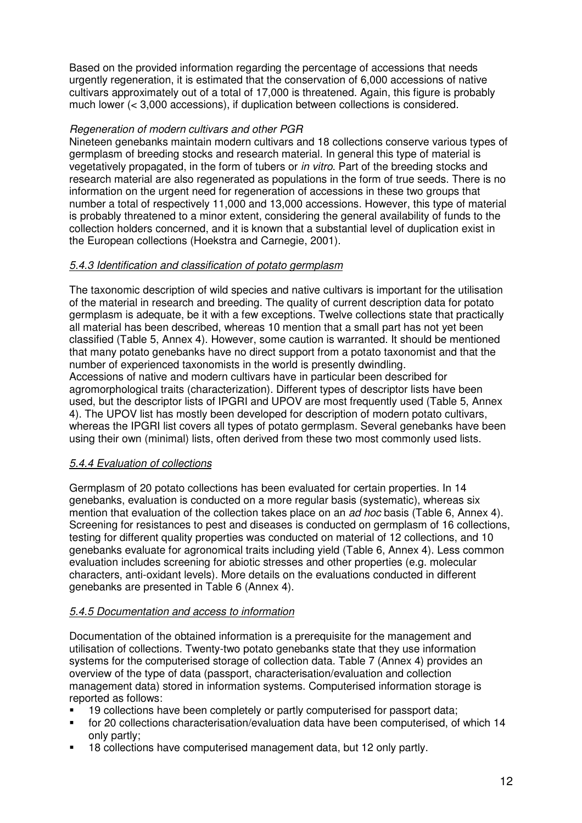Based on the provided information regarding the percentage of accessions that needs urgently regeneration, it is estimated that the conservation of 6,000 accessions of native cultivars approximately out of a total of 17,000 is threatened. Again, this figure is probably much lower (< 3,000 accessions), if duplication between collections is considered.

#### Regeneration of modern cultivars and other PGR

Nineteen genebanks maintain modern cultivars and 18 collections conserve various types of germplasm of breeding stocks and research material. In general this type of material is vegetatively propagated, in the form of tubers or in vitro. Part of the breeding stocks and research material are also regenerated as populations in the form of true seeds. There is no information on the urgent need for regeneration of accessions in these two groups that number a total of respectively 11,000 and 13,000 accessions. However, this type of material is probably threatened to a minor extent, considering the general availability of funds to the collection holders concerned, and it is known that a substantial level of duplication exist in the European collections (Hoekstra and Carnegie, 2001).

#### 5.4.3 Identification and classification of potato germplasm

The taxonomic description of wild species and native cultivars is important for the utilisation of the material in research and breeding. The quality of current description data for potato germplasm is adequate, be it with a few exceptions. Twelve collections state that practically all material has been described, whereas 10 mention that a small part has not yet been classified (Table 5, Annex 4). However, some caution is warranted. It should be mentioned that many potato genebanks have no direct support from a potato taxonomist and that the number of experienced taxonomists in the world is presently dwindling. Accessions of native and modern cultivars have in particular been described for agromorphological traits (characterization). Different types of descriptor lists have been used, but the descriptor lists of IPGRI and UPOV are most frequently used (Table 5, Annex 4). The UPOV list has mostly been developed for description of modern potato cultivars, whereas the IPGRI list covers all types of potato germplasm. Several genebanks have been using their own (minimal) lists, often derived from these two most commonly used lists.

#### 5.4.4 Evaluation of collections

Germplasm of 20 potato collections has been evaluated for certain properties. In 14 genebanks, evaluation is conducted on a more regular basis (systematic), whereas six mention that evaluation of the collection takes place on an ad hoc basis (Table 6, Annex 4). Screening for resistances to pest and diseases is conducted on germplasm of 16 collections, testing for different quality properties was conducted on material of 12 collections, and 10 genebanks evaluate for agronomical traits including yield (Table 6, Annex 4). Less common evaluation includes screening for abiotic stresses and other properties (e.g. molecular characters, anti-oxidant levels). More details on the evaluations conducted in different genebanks are presented in Table 6 (Annex 4).

## 5.4.5 Documentation and access to information

Documentation of the obtained information is a prerequisite for the management and utilisation of collections. Twenty-two potato genebanks state that they use information systems for the computerised storage of collection data. Table 7 (Annex 4) provides an overview of the type of data (passport, characterisation/evaluation and collection management data) stored in information systems. Computerised information storage is reported as follows:

- 19 collections have been completely or partly computerised for passport data;
- for 20 collections characterisation/evaluation data have been computerised, of which 14 only partly;
- 18 collections have computerised management data, but 12 only partly.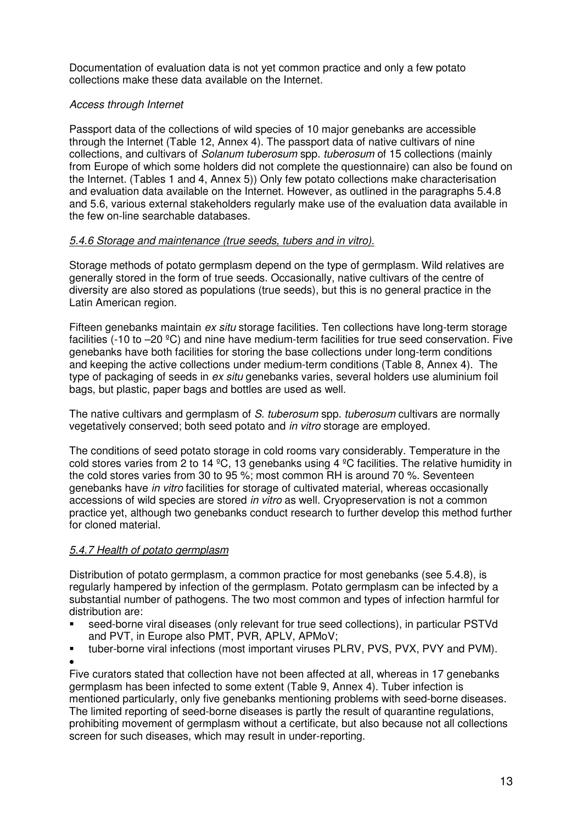Documentation of evaluation data is not yet common practice and only a few potato collections make these data available on the Internet.

## Access through Internet

Passport data of the collections of wild species of 10 major genebanks are accessible through the Internet (Table 12, Annex 4). The passport data of native cultivars of nine collections, and cultivars of *Solanum tuberosum* spp. *tuberosum* of 15 collections (mainly from Europe of which some holders did not complete the questionnaire) can also be found on the Internet. (Tables 1 and 4, Annex 5)) Only few potato collections make characterisation and evaluation data available on the Internet. However, as outlined in the paragraphs 5.4.8 and 5.6, various external stakeholders regularly make use of the evaluation data available in the few on-line searchable databases.

#### 5.4.6 Storage and maintenance (true seeds, tubers and in vitro).

Storage methods of potato germplasm depend on the type of germplasm. Wild relatives are generally stored in the form of true seeds. Occasionally, native cultivars of the centre of diversity are also stored as populations (true seeds), but this is no general practice in the Latin American region.

Fifteen genebanks maintain ex situ storage facilities. Ten collections have long-term storage facilities (-10 to –20 ºC) and nine have medium-term facilities for true seed conservation. Five genebanks have both facilities for storing the base collections under long-term conditions and keeping the active collections under medium-term conditions (Table 8, Annex 4). The type of packaging of seeds in ex situ genebanks varies, several holders use aluminium foil bags, but plastic, paper bags and bottles are used as well.

The native cultivars and germplasm of S. tuberosum spp. tuberosum cultivars are normally vegetatively conserved; both seed potato and in vitro storage are employed.

The conditions of seed potato storage in cold rooms vary considerably. Temperature in the cold stores varies from 2 to 14  $^{\circ}$ C, 13 genebanks using 4  $^{\circ}$ C facilities. The relative humidity in the cold stores varies from 30 to 95 %; most common RH is around 70 %. Seventeen genebanks have in vitro facilities for storage of cultivated material, whereas occasionally accessions of wild species are stored in vitro as well. Cryopreservation is not a common practice yet, although two genebanks conduct research to further develop this method further for cloned material.

## 5.4.7 Health of potato germplasm

Distribution of potato germplasm, a common practice for most genebanks (see 5.4.8), is regularly hampered by infection of the germplasm. Potato germplasm can be infected by a substantial number of pathogens. The two most common and types of infection harmful for distribution are:

- seed-borne viral diseases (only relevant for true seed collections), in particular PSTVd and PVT, in Europe also PMT, PVR, APLV, APMoV;
- tuber-borne viral infections (most important viruses PLRV, PVS, PVX, PVY and PVM). •

Five curators stated that collection have not been affected at all, whereas in 17 genebanks germplasm has been infected to some extent (Table 9, Annex 4). Tuber infection is mentioned particularly, only five genebanks mentioning problems with seed-borne diseases. The limited reporting of seed-borne diseases is partly the result of quarantine regulations, prohibiting movement of germplasm without a certificate, but also because not all collections screen for such diseases, which may result in under-reporting.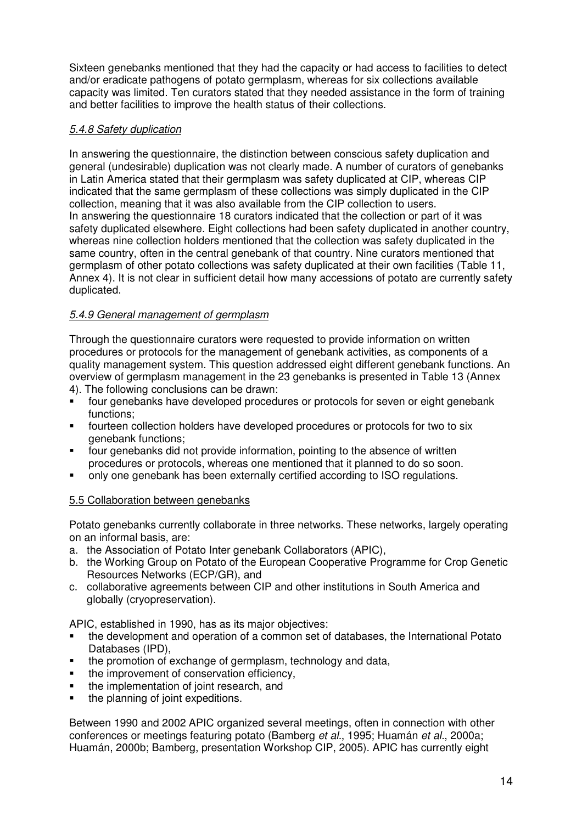Sixteen genebanks mentioned that they had the capacity or had access to facilities to detect and/or eradicate pathogens of potato germplasm, whereas for six collections available capacity was limited. Ten curators stated that they needed assistance in the form of training and better facilities to improve the health status of their collections.

#### 5.4.8 Safety duplication

In answering the questionnaire, the distinction between conscious safety duplication and general (undesirable) duplication was not clearly made. A number of curators of genebanks in Latin America stated that their germplasm was safety duplicated at CIP, whereas CIP indicated that the same germplasm of these collections was simply duplicated in the CIP collection, meaning that it was also available from the CIP collection to users. In answering the questionnaire 18 curators indicated that the collection or part of it was safety duplicated elsewhere. Eight collections had been safety duplicated in another country, whereas nine collection holders mentioned that the collection was safety duplicated in the same country, often in the central genebank of that country. Nine curators mentioned that germplasm of other potato collections was safety duplicated at their own facilities (Table 11, Annex 4). It is not clear in sufficient detail how many accessions of potato are currently safety duplicated.

#### 5.4.9 General management of germplasm

Through the questionnaire curators were requested to provide information on written procedures or protocols for the management of genebank activities, as components of a quality management system. This question addressed eight different genebank functions. An overview of germplasm management in the 23 genebanks is presented in Table 13 (Annex

- 4). The following conclusions can be drawn:
- four genebanks have developed procedures or protocols for seven or eight genebank functions;
- fourteen collection holders have developed procedures or protocols for two to six genebank functions;
- four genebanks did not provide information, pointing to the absence of written procedures or protocols, whereas one mentioned that it planned to do so soon.
- only one genebank has been externally certified according to ISO regulations.

#### 5.5 Collaboration between genebanks

Potato genebanks currently collaborate in three networks. These networks, largely operating on an informal basis, are:

- a. the Association of Potato Inter genebank Collaborators (APIC),
- b. the Working Group on Potato of the European Cooperative Programme for Crop Genetic Resources Networks (ECP/GR), and
- c. collaborative agreements between CIP and other institutions in South America and globally (cryopreservation).

APIC, established in 1990, has as its major objectives:

- the development and operation of a common set of databases, the International Potato Databases (IPD),
- the promotion of exchange of germplasm, technology and data,
- the improvement of conservation efficiency,
- the implementation of joint research, and
- the planning of joint expeditions.

Between 1990 and 2002 APIC organized several meetings, often in connection with other conferences or meetings featuring potato (Bamberg et al., 1995; Huamán et al., 2000a; Huamán, 2000b; Bamberg, presentation Workshop CIP, 2005). APIC has currently eight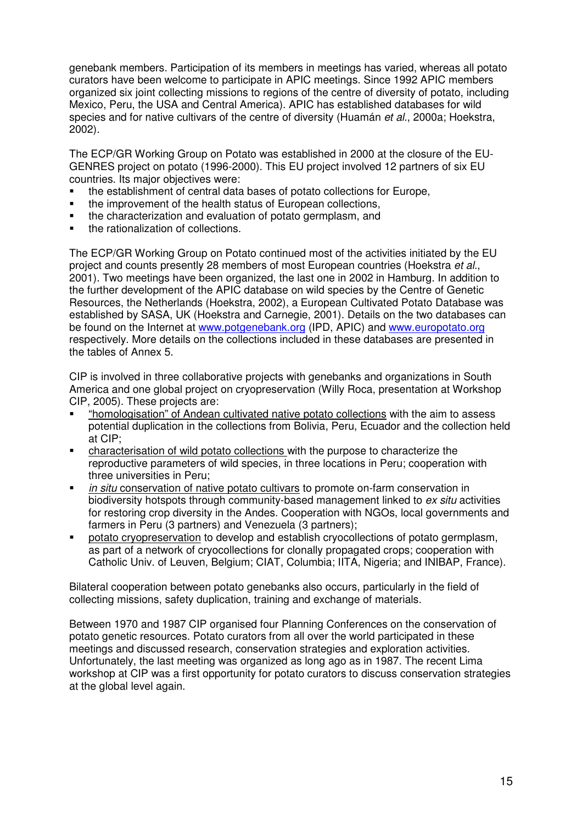genebank members. Participation of its members in meetings has varied, whereas all potato curators have been welcome to participate in APIC meetings. Since 1992 APIC members organized six joint collecting missions to regions of the centre of diversity of potato, including Mexico, Peru, the USA and Central America). APIC has established databases for wild species and for native cultivars of the centre of diversity (Huamán et al., 2000a; Hoekstra, 2002).

The ECP/GR Working Group on Potato was established in 2000 at the closure of the EU-GENRES project on potato (1996-2000). This EU project involved 12 partners of six EU countries. Its major objectives were:

- the establishment of central data bases of potato collections for Europe,
- the improvement of the health status of European collections,
- the characterization and evaluation of potato germplasm, and
- the rationalization of collections.

The ECP/GR Working Group on Potato continued most of the activities initiated by the EU project and counts presently 28 members of most European countries (Hoekstra et al., 2001). Two meetings have been organized, the last one in 2002 in Hamburg. In addition to the further development of the APIC database on wild species by the Centre of Genetic Resources, the Netherlands (Hoekstra, 2002), a European Cultivated Potato Database was established by SASA, UK (Hoekstra and Carnegie, 2001). Details on the two databases can be found on the Internet at www.potgenebank.org (IPD, APIC) and www.europotato.org respectively. More details on the collections included in these databases are presented in the tables of Annex 5.

CIP is involved in three collaborative projects with genebanks and organizations in South America and one global project on cryopreservation (Willy Roca, presentation at Workshop CIP, 2005). These projects are:

- "homologisation" of Andean cultivated native potato collections with the aim to assess potential duplication in the collections from Bolivia, Peru, Ecuador and the collection held at CIP;
- characterisation of wild potato collections with the purpose to characterize the reproductive parameters of wild species, in three locations in Peru; cooperation with three universities in Peru;
- in situ conservation of native potato cultivars to promote on-farm conservation in biodiversity hotspots through community-based management linked to ex situ activities for restoring crop diversity in the Andes. Cooperation with NGOs, local governments and farmers in Peru (3 partners) and Venezuela (3 partners);
- potato cryopreservation to develop and establish cryocollections of potato germplasm, as part of a network of cryocollections for clonally propagated crops; cooperation with Catholic Univ. of Leuven, Belgium; CIAT, Columbia; IITA, Nigeria; and INIBAP, France).

Bilateral cooperation between potato genebanks also occurs, particularly in the field of collecting missions, safety duplication, training and exchange of materials.

Between 1970 and 1987 CIP organised four Planning Conferences on the conservation of potato genetic resources. Potato curators from all over the world participated in these meetings and discussed research, conservation strategies and exploration activities. Unfortunately, the last meeting was organized as long ago as in 1987. The recent Lima workshop at CIP was a first opportunity for potato curators to discuss conservation strategies at the global level again.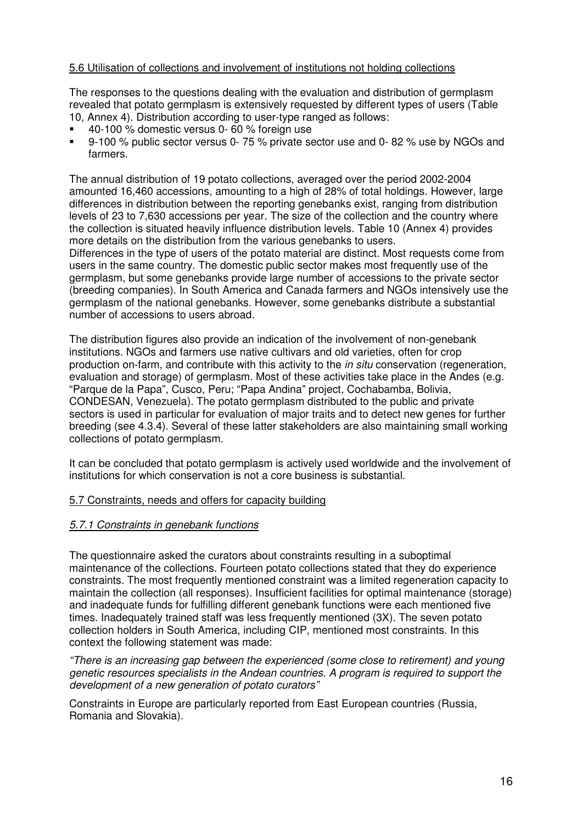#### 5.6 Utilisation of collections and involvement of institutions not holding collections

The responses to the questions dealing with the evaluation and distribution of germplasm revealed that potato germplasm is extensively requested by different types of users (Table 10, Annex 4). Distribution according to user-type ranged as follows:

- 40-100 % domestic versus 0- 60 % foreign use
- 9-100 % public sector versus 0- 75 % private sector use and 0- 82 % use by NGOs and farmers.

The annual distribution of 19 potato collections, averaged over the period 2002-2004 amounted 16,460 accessions, amounting to a high of 28% of total holdings. However, large differences in distribution between the reporting genebanks exist, ranging from distribution levels of 23 to 7,630 accessions per year. The size of the collection and the country where the collection is situated heavily influence distribution levels. Table 10 (Annex 4) provides more details on the distribution from the various genebanks to users.

Differences in the type of users of the potato material are distinct. Most requests come from users in the same country. The domestic public sector makes most frequently use of the germplasm, but some genebanks provide large number of accessions to the private sector (breeding companies). In South America and Canada farmers and NGOs intensively use the germplasm of the national genebanks. However, some genebanks distribute a substantial number of accessions to users abroad.

The distribution figures also provide an indication of the involvement of non-genebank institutions. NGOs and farmers use native cultivars and old varieties, often for crop production on-farm, and contribute with this activity to the *in situ* conservation (regeneration, evaluation and storage) of germplasm. Most of these activities take place in the Andes (e.g. "Parque de la Papa", Cusco, Peru; "Papa Andina" project, Cochabamba, Bolivia, CONDESAN, Venezuela). The potato germplasm distributed to the public and private sectors is used in particular for evaluation of major traits and to detect new genes for further breeding (see 4.3.4). Several of these latter stakeholders are also maintaining small working collections of potato germplasm.

It can be concluded that potato germplasm is actively used worldwide and the involvement of institutions for which conservation is not a core business is substantial.

#### 5.7 Constraints, needs and offers for capacity building

#### 5.7.1 Constraints in genebank functions

The questionnaire asked the curators about constraints resulting in a suboptimal maintenance of the collections. Fourteen potato collections stated that they do experience constraints. The most frequently mentioned constraint was a limited regeneration capacity to maintain the collection (all responses). Insufficient facilities for optimal maintenance (storage) and inadequate funds for fulfilling different genebank functions were each mentioned five times. Inadequately trained staff was less frequently mentioned (3X). The seven potato collection holders in South America, including CIP, mentioned most constraints. In this context the following statement was made:

"There is an increasing gap between the experienced (some close to retirement) and young genetic resources specialists in the Andean countries. A program is required to support the development of a new generation of potato curators"

Constraints in Europe are particularly reported from East European countries (Russia, Romania and Slovakia).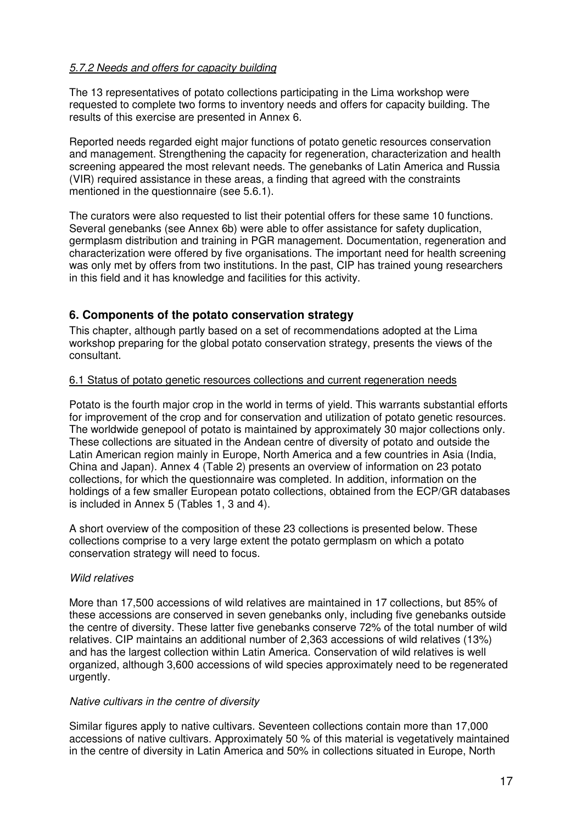#### 5.7.2 Needs and offers for capacity building

The 13 representatives of potato collections participating in the Lima workshop were requested to complete two forms to inventory needs and offers for capacity building. The results of this exercise are presented in Annex 6.

Reported needs regarded eight major functions of potato genetic resources conservation and management. Strengthening the capacity for regeneration, characterization and health screening appeared the most relevant needs. The genebanks of Latin America and Russia (VIR) required assistance in these areas, a finding that agreed with the constraints mentioned in the questionnaire (see 5.6.1).

The curators were also requested to list their potential offers for these same 10 functions. Several genebanks (see Annex 6b) were able to offer assistance for safety duplication, germplasm distribution and training in PGR management. Documentation, regeneration and characterization were offered by five organisations. The important need for health screening was only met by offers from two institutions. In the past, CIP has trained young researchers in this field and it has knowledge and facilities for this activity.

## **6. Components of the potato conservation strategy**

This chapter, although partly based on a set of recommendations adopted at the Lima workshop preparing for the global potato conservation strategy, presents the views of the consultant.

#### 6.1 Status of potato genetic resources collections and current regeneration needs

Potato is the fourth major crop in the world in terms of yield. This warrants substantial efforts for improvement of the crop and for conservation and utilization of potato genetic resources. The worldwide genepool of potato is maintained by approximately 30 major collections only. These collections are situated in the Andean centre of diversity of potato and outside the Latin American region mainly in Europe, North America and a few countries in Asia (India, China and Japan). Annex 4 (Table 2) presents an overview of information on 23 potato collections, for which the questionnaire was completed. In addition, information on the holdings of a few smaller European potato collections, obtained from the ECP/GR databases is included in Annex 5 (Tables 1, 3 and 4).

A short overview of the composition of these 23 collections is presented below. These collections comprise to a very large extent the potato germplasm on which a potato conservation strategy will need to focus.

#### Wild relatives

More than 17,500 accessions of wild relatives are maintained in 17 collections, but 85% of these accessions are conserved in seven genebanks only, including five genebanks outside the centre of diversity. These latter five genebanks conserve 72% of the total number of wild relatives. CIP maintains an additional number of 2,363 accessions of wild relatives (13%) and has the largest collection within Latin America. Conservation of wild relatives is well organized, although 3,600 accessions of wild species approximately need to be regenerated urgently.

#### Native cultivars in the centre of diversity

Similar figures apply to native cultivars. Seventeen collections contain more than 17,000 accessions of native cultivars. Approximately 50 % of this material is vegetatively maintained in the centre of diversity in Latin America and 50% in collections situated in Europe, North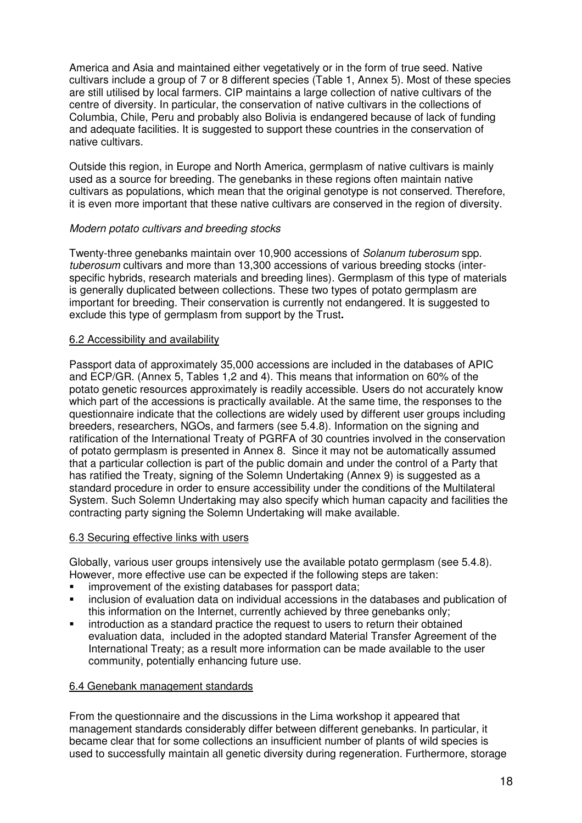America and Asia and maintained either vegetatively or in the form of true seed. Native cultivars include a group of 7 or 8 different species (Table 1, Annex 5). Most of these species are still utilised by local farmers. CIP maintains a large collection of native cultivars of the centre of diversity. In particular, the conservation of native cultivars in the collections of Columbia, Chile, Peru and probably also Bolivia is endangered because of lack of funding and adequate facilities. It is suggested to support these countries in the conservation of native cultivars.

Outside this region, in Europe and North America, germplasm of native cultivars is mainly used as a source for breeding. The genebanks in these regions often maintain native cultivars as populations, which mean that the original genotype is not conserved. Therefore, it is even more important that these native cultivars are conserved in the region of diversity.

#### Modern potato cultivars and breeding stocks

Twenty-three genebanks maintain over 10,900 accessions of Solanum tuberosum spp. tuberosum cultivars and more than 13,300 accessions of various breeding stocks (interspecific hybrids, research materials and breeding lines). Germplasm of this type of materials is generally duplicated between collections. These two types of potato germplasm are important for breeding. Their conservation is currently not endangered. It is suggested to exclude this type of germplasm from support by the Trust**.** 

#### 6.2 Accessibility and availability

Passport data of approximately 35,000 accessions are included in the databases of APIC and ECP/GR. (Annex 5, Tables 1,2 and 4). This means that information on 60% of the potato genetic resources approximately is readily accessible. Users do not accurately know which part of the accessions is practically available. At the same time, the responses to the questionnaire indicate that the collections are widely used by different user groups including breeders, researchers, NGOs, and farmers (see 5.4.8). Information on the signing and ratification of the International Treaty of PGRFA of 30 countries involved in the conservation of potato germplasm is presented in Annex 8. Since it may not be automatically assumed that a particular collection is part of the public domain and under the control of a Party that has ratified the Treaty, signing of the Solemn Undertaking (Annex 9) is suggested as a standard procedure in order to ensure accessibility under the conditions of the Multilateral System. Such Solemn Undertaking may also specify which human capacity and facilities the contracting party signing the Solemn Undertaking will make available.

#### 6.3 Securing effective links with users

Globally, various user groups intensively use the available potato germplasm (see 5.4.8). However, more effective use can be expected if the following steps are taken:

- improvement of the existing databases for passport data;
- inclusion of evaluation data on individual accessions in the databases and publication of this information on the Internet, currently achieved by three genebanks only;
- introduction as a standard practice the request to users to return their obtained evaluation data, included in the adopted standard Material Transfer Agreement of the International Treaty; as a result more information can be made available to the user community, potentially enhancing future use.

#### 6.4 Genebank management standards

From the questionnaire and the discussions in the Lima workshop it appeared that management standards considerably differ between different genebanks. In particular, it became clear that for some collections an insufficient number of plants of wild species is used to successfully maintain all genetic diversity during regeneration. Furthermore, storage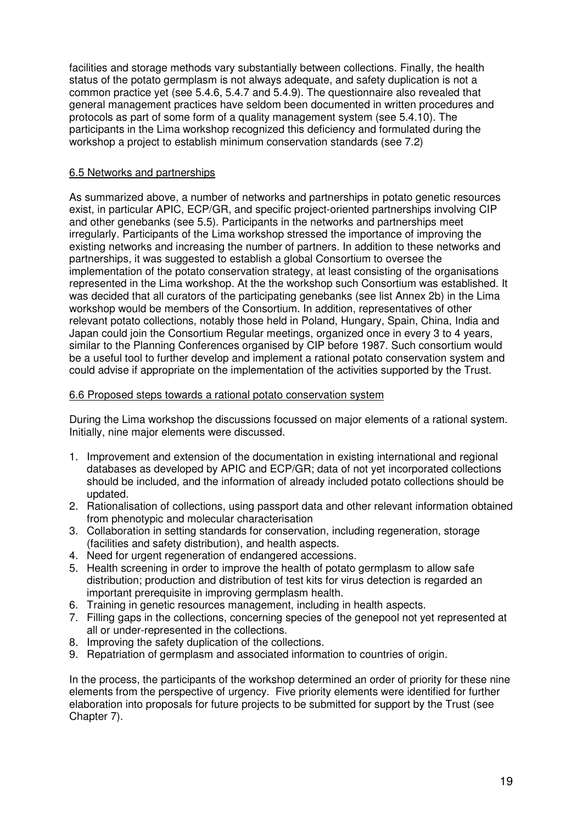facilities and storage methods vary substantially between collections. Finally, the health status of the potato germplasm is not always adequate, and safety duplication is not a common practice yet (see 5.4.6, 5.4.7 and 5.4.9). The questionnaire also revealed that general management practices have seldom been documented in written procedures and protocols as part of some form of a quality management system (see 5.4.10). The participants in the Lima workshop recognized this deficiency and formulated during the workshop a project to establish minimum conservation standards (see 7.2)

## 6.5 Networks and partnerships

As summarized above, a number of networks and partnerships in potato genetic resources exist, in particular APIC, ECP/GR, and specific project-oriented partnerships involving CIP and other genebanks (see 5.5). Participants in the networks and partnerships meet irregularly. Participants of the Lima workshop stressed the importance of improving the existing networks and increasing the number of partners. In addition to these networks and partnerships, it was suggested to establish a global Consortium to oversee the implementation of the potato conservation strategy, at least consisting of the organisations represented in the Lima workshop. At the the workshop such Consortium was established. It was decided that all curators of the participating genebanks (see list Annex 2b) in the Lima workshop would be members of the Consortium. In addition, representatives of other relevant potato collections, notably those held in Poland, Hungary, Spain, China, India and Japan could join the Consortium Regular meetings, organized once in every 3 to 4 years, similar to the Planning Conferences organised by CIP before 1987. Such consortium would be a useful tool to further develop and implement a rational potato conservation system and could advise if appropriate on the implementation of the activities supported by the Trust.

## 6.6 Proposed steps towards a rational potato conservation system

During the Lima workshop the discussions focussed on major elements of a rational system. Initially, nine major elements were discussed.

- 1. Improvement and extension of the documentation in existing international and regional databases as developed by APIC and ECP/GR; data of not yet incorporated collections should be included, and the information of already included potato collections should be updated.
- 2. Rationalisation of collections, using passport data and other relevant information obtained from phenotypic and molecular characterisation
- 3. Collaboration in setting standards for conservation, including regeneration, storage (facilities and safety distribution), and health aspects.
- 4. Need for urgent regeneration of endangered accessions.
- 5. Health screening in order to improve the health of potato germplasm to allow safe distribution; production and distribution of test kits for virus detection is regarded an important prerequisite in improving germplasm health.
- 6. Training in genetic resources management, including in health aspects.
- 7. Filling gaps in the collections, concerning species of the genepool not yet represented at all or under-represented in the collections.
- 8. Improving the safety duplication of the collections.
- 9. Repatriation of germplasm and associated information to countries of origin.

In the process, the participants of the workshop determined an order of priority for these nine elements from the perspective of urgency. Five priority elements were identified for further elaboration into proposals for future projects to be submitted for support by the Trust (see Chapter 7).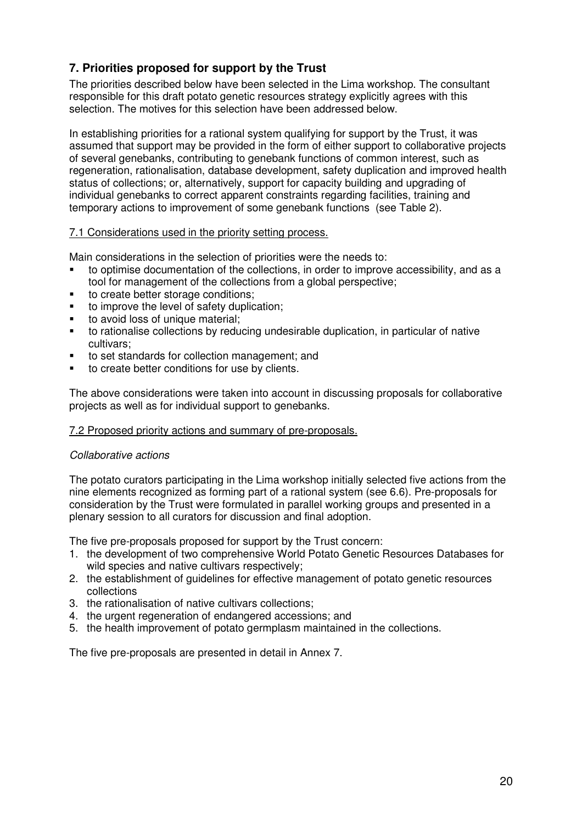# **7. Priorities proposed for support by the Trust**

The priorities described below have been selected in the Lima workshop. The consultant responsible for this draft potato genetic resources strategy explicitly agrees with this selection. The motives for this selection have been addressed below.

In establishing priorities for a rational system qualifying for support by the Trust, it was assumed that support may be provided in the form of either support to collaborative projects of several genebanks, contributing to genebank functions of common interest, such as regeneration, rationalisation, database development, safety duplication and improved health status of collections; or, alternatively, support for capacity building and upgrading of individual genebanks to correct apparent constraints regarding facilities, training and temporary actions to improvement of some genebank functions (see Table 2).

#### 7.1 Considerations used in the priority setting process.

Main considerations in the selection of priorities were the needs to:

- to optimise documentation of the collections, in order to improve accessibility, and as a tool for management of the collections from a global perspective;
- to create better storage conditions;
- to improve the level of safety duplication;
- to avoid loss of unique material:
- to rationalise collections by reducing undesirable duplication, in particular of native cultivars;
- to set standards for collection management; and
- **to create better conditions for use by clients.**

The above considerations were taken into account in discussing proposals for collaborative projects as well as for individual support to genebanks.

#### 7.2 Proposed priority actions and summary of pre-proposals.

#### Collaborative actions

The potato curators participating in the Lima workshop initially selected five actions from the nine elements recognized as forming part of a rational system (see 6.6). Pre-proposals for consideration by the Trust were formulated in parallel working groups and presented in a plenary session to all curators for discussion and final adoption.

The five pre-proposals proposed for support by the Trust concern:

- 1. the development of two comprehensive World Potato Genetic Resources Databases for wild species and native cultivars respectively;
- 2. the establishment of guidelines for effective management of potato genetic resources collections
- 3. the rationalisation of native cultivars collections;
- 4. the urgent regeneration of endangered accessions; and
- 5. the health improvement of potato germplasm maintained in the collections.

The five pre-proposals are presented in detail in Annex 7.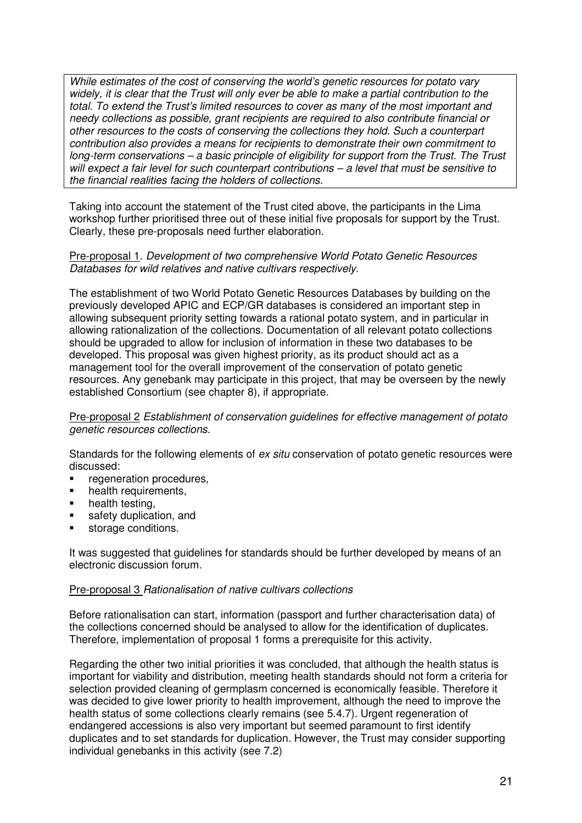While estimates of the cost of conserving the world's genetic resources for potato vary widely, it is clear that the Trust will only ever be able to make a partial contribution to the total. To extend the Trust's limited resources to cover as many of the most important and needy collections as possible, grant recipients are required to also contribute financial or other resources to the costs of conserving the collections they hold. Such a counterpart contribution also provides a means for recipients to demonstrate their own commitment to long-term conservations – a basic principle of eligibility for support from the Trust. The Trust will expect a fair level for such counterpart contributions – a level that must be sensitive to the financial realities facing the holders of collections.

Taking into account the statement of the Trust cited above, the participants in the Lima workshop further prioritised three out of these initial five proposals for support by the Trust. Clearly, these pre-proposals need further elaboration.

#### Pre-proposal 1. Development of two comprehensive World Potato Genetic Resources Databases for wild relatives and native cultivars respectively.

The establishment of two World Potato Genetic Resources Databases by building on the previously developed APIC and ECP/GR databases is considered an important step in allowing subsequent priority setting towards a rational potato system, and in particular in allowing rationalization of the collections. Documentation of all relevant potato collections should be upgraded to allow for inclusion of information in these two databases to be developed. This proposal was given highest priority, as its product should act as a management tool for the overall improvement of the conservation of potato genetic resources. Any genebank may participate in this project, that may be overseen by the newly established Consortium (see chapter 8), if appropriate.

#### Pre-proposal 2 Establishment of conservation guidelines for effective management of potato genetic resources collections.

Standards for the following elements of ex situ conservation of potato genetic resources were discussed:

- **•** regeneration procedures.
- health requirements,
- health testing,
- safety duplication, and
- storage conditions.

It was suggested that guidelines for standards should be further developed by means of an electronic discussion forum.

#### Pre-proposal 3 Rationalisation of native cultivars collections

Before rationalisation can start, information (passport and further characterisation data) of the collections concerned should be analysed to allow for the identification of duplicates. Therefore, implementation of proposal 1 forms a prerequisite for this activity.

Regarding the other two initial priorities it was concluded, that although the health status is important for viability and distribution, meeting health standards should not form a criteria for selection provided cleaning of germplasm concerned is economically feasible. Therefore it was decided to give lower priority to health improvement, although the need to improve the health status of some collections clearly remains (see 5.4.7). Urgent regeneration of endangered accessions is also very important but seemed paramount to first identify duplicates and to set standards for duplication. However, the Trust may consider supporting individual genebanks in this activity (see 7.2)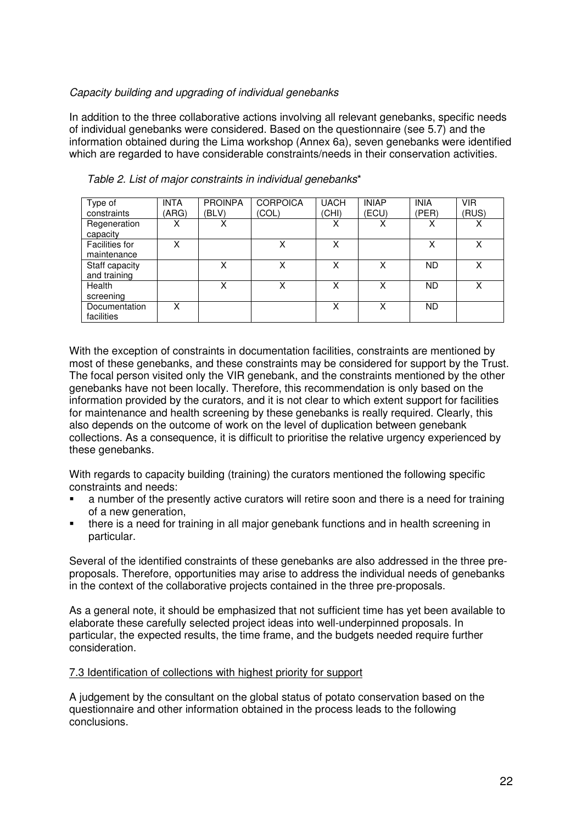## Capacity building and upgrading of individual genebanks

In addition to the three collaborative actions involving all relevant genebanks, specific needs of individual genebanks were considered. Based on the questionnaire (see 5.7) and the information obtained during the Lima workshop (Annex 6a), seven genebanks were identified which are regarded to have considerable constraints/needs in their conservation activities.

| Type of               | <b>INTA</b> | <b>PROINPA</b> | <b>CORPOICA</b> | <b>UACH</b> | <b>INIAP</b> | <b>INIA</b> | <b>VIR</b> |
|-----------------------|-------------|----------------|-----------------|-------------|--------------|-------------|------------|
| constraints           | (ARG)       | (BLV)          | (COL)           | (CHI)       | (ECU)        | (PER)       | (RUS)      |
| Regeneration          |             | x              |                 | v           |              | x           | х          |
| capacity              |             |                |                 |             |              |             |            |
| <b>Facilities for</b> | x           |                | Χ               | x           |              | х           | x          |
| maintenance           |             |                |                 |             |              |             |            |
| Staff capacity        |             | x              | Χ               | x           | x            | <b>ND</b>   | x          |
| and training          |             |                |                 |             |              |             |            |
| Health                |             |                | x               |             | X            | <b>ND</b>   | х          |
| screening             |             |                |                 |             |              |             |            |
| Documentation         | x           |                |                 | X           | x            | ND.         |            |
| facilities            |             |                |                 |             |              |             |            |

Table 2. List of major constraints in individual genebanks\*

With the exception of constraints in documentation facilities, constraints are mentioned by most of these genebanks, and these constraints may be considered for support by the Trust. The focal person visited only the VIR genebank, and the constraints mentioned by the other genebanks have not been locally. Therefore, this recommendation is only based on the information provided by the curators, and it is not clear to which extent support for facilities for maintenance and health screening by these genebanks is really required. Clearly, this also depends on the outcome of work on the level of duplication between genebank collections. As a consequence, it is difficult to prioritise the relative urgency experienced by these genebanks.

With regards to capacity building (training) the curators mentioned the following specific constraints and needs:

- a number of the presently active curators will retire soon and there is a need for training of a new generation,
- there is a need for training in all major genebank functions and in health screening in particular.

Several of the identified constraints of these genebanks are also addressed in the three preproposals. Therefore, opportunities may arise to address the individual needs of genebanks in the context of the collaborative projects contained in the three pre-proposals.

As a general note, it should be emphasized that not sufficient time has yet been available to elaborate these carefully selected project ideas into well-underpinned proposals. In particular, the expected results, the time frame, and the budgets needed require further consideration.

#### 7.3 Identification of collections with highest priority for support

A judgement by the consultant on the global status of potato conservation based on the questionnaire and other information obtained in the process leads to the following conclusions.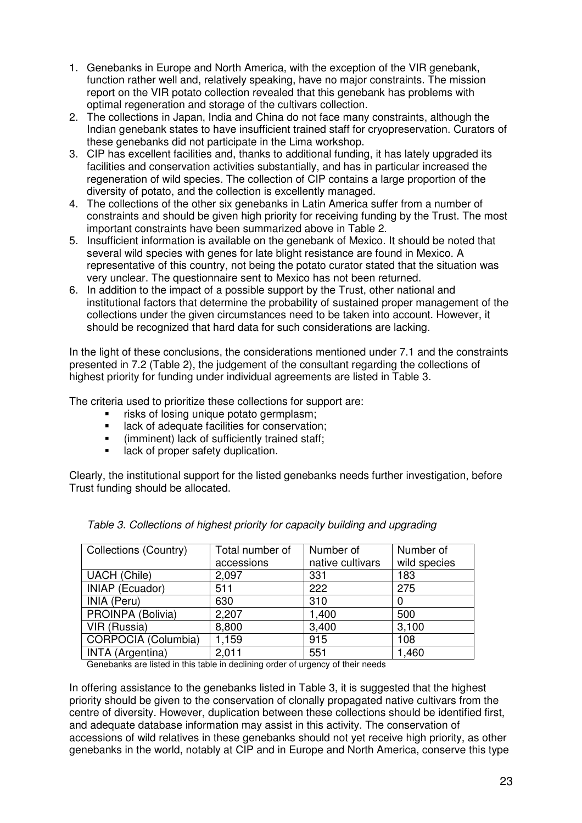- 1. Genebanks in Europe and North America, with the exception of the VIR genebank, function rather well and, relatively speaking, have no major constraints. The mission report on the VIR potato collection revealed that this genebank has problems with optimal regeneration and storage of the cultivars collection.
- 2. The collections in Japan, India and China do not face many constraints, although the Indian genebank states to have insufficient trained staff for cryopreservation. Curators of these genebanks did not participate in the Lima workshop.
- 3. CIP has excellent facilities and, thanks to additional funding, it has lately upgraded its facilities and conservation activities substantially, and has in particular increased the regeneration of wild species. The collection of CIP contains a large proportion of the diversity of potato, and the collection is excellently managed.
- 4. The collections of the other six genebanks in Latin America suffer from a number of constraints and should be given high priority for receiving funding by the Trust. The most important constraints have been summarized above in Table 2.
- 5. Insufficient information is available on the genebank of Mexico. It should be noted that several wild species with genes for late blight resistance are found in Mexico. A representative of this country, not being the potato curator stated that the situation was very unclear. The questionnaire sent to Mexico has not been returned.
- 6. In addition to the impact of a possible support by the Trust, other national and institutional factors that determine the probability of sustained proper management of the collections under the given circumstances need to be taken into account. However, it should be recognized that hard data for such considerations are lacking.

In the light of these conclusions, the considerations mentioned under 7.1 and the constraints presented in 7.2 (Table 2), the judgement of the consultant regarding the collections of highest priority for funding under individual agreements are listed in Table 3.

The criteria used to prioritize these collections for support are:

- **Figure 1** risks of losing unique potato germplasm;
- **EXEC** lack of adequate facilities for conservation;
- (imminent) lack of sufficiently trained staff;
- **If** lack of proper safety duplication.

Clearly, the institutional support for the listed genebanks needs further investigation, before Trust funding should be allocated.

| <b>Collections (Country)</b> | Total number of<br>accessions | Number of<br>native cultivars | Number of<br>wild species |
|------------------------------|-------------------------------|-------------------------------|---------------------------|
| <b>UACH</b> (Chile)          | 2,097                         | 331                           | 183                       |
| <b>INIAP (Ecuador)</b>       | 511                           | 222                           | 275                       |
| INIA (Peru)                  | 630                           | 310                           |                           |
| PROINPA (Bolivia)            | 2,207                         | 1,400                         | 500                       |
| VIR (Russia)                 | 8,800                         | 3,400                         | 3,100                     |
| CORPOCIA (Columbia)          | 1,159                         | 915                           | 108                       |
| <b>INTA</b> (Argentina)      | 2,011                         | 551                           | 1,460                     |

Table 3. Collections of highest priority for capacity building and upgrading

Genebanks are listed in this table in declining order of urgency of their needs

In offering assistance to the genebanks listed in Table 3, it is suggested that the highest priority should be given to the conservation of clonally propagated native cultivars from the centre of diversity. However, duplication between these collections should be identified first, and adequate database information may assist in this activity. The conservation of accessions of wild relatives in these genebanks should not yet receive high priority, as other genebanks in the world, notably at CIP and in Europe and North America, conserve this type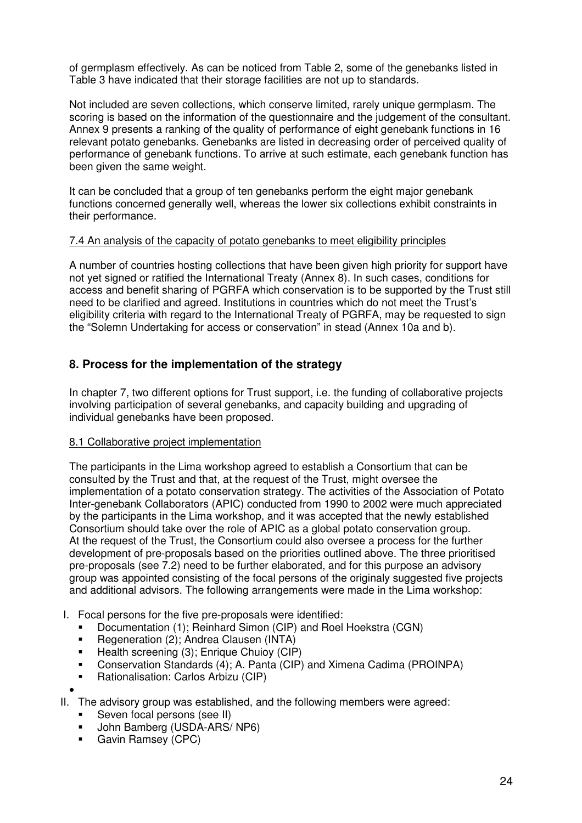of germplasm effectively. As can be noticed from Table 2, some of the genebanks listed in Table 3 have indicated that their storage facilities are not up to standards.

Not included are seven collections, which conserve limited, rarely unique germplasm. The scoring is based on the information of the questionnaire and the judgement of the consultant. Annex 9 presents a ranking of the quality of performance of eight genebank functions in 16 relevant potato genebanks. Genebanks are listed in decreasing order of perceived quality of performance of genebank functions. To arrive at such estimate, each genebank function has been given the same weight.

It can be concluded that a group of ten genebanks perform the eight major genebank functions concerned generally well, whereas the lower six collections exhibit constraints in their performance.

#### 7.4 An analysis of the capacity of potato genebanks to meet eligibility principles

A number of countries hosting collections that have been given high priority for support have not yet signed or ratified the International Treaty (Annex 8). In such cases, conditions for access and benefit sharing of PGRFA which conservation is to be supported by the Trust still need to be clarified and agreed. Institutions in countries which do not meet the Trust's eligibility criteria with regard to the International Treaty of PGRFA, may be requested to sign the "Solemn Undertaking for access or conservation" in stead (Annex 10a and b).

## **8. Process for the implementation of the strategy**

In chapter 7, two different options for Trust support, i.e. the funding of collaborative projects involving participation of several genebanks, and capacity building and upgrading of individual genebanks have been proposed.

#### 8.1 Collaborative project implementation

The participants in the Lima workshop agreed to establish a Consortium that can be consulted by the Trust and that, at the request of the Trust, might oversee the implementation of a potato conservation strategy. The activities of the Association of Potato Inter-genebank Collaborators (APIC) conducted from 1990 to 2002 were much appreciated by the participants in the Lima workshop, and it was accepted that the newly established Consortium should take over the role of APIC as a global potato conservation group. At the request of the Trust, the Consortium could also oversee a process for the further development of pre-proposals based on the priorities outlined above. The three prioritised pre-proposals (see 7.2) need to be further elaborated, and for this purpose an advisory group was appointed consisting of the focal persons of the originaly suggested five projects and additional advisors. The following arrangements were made in the Lima workshop:

- I. Focal persons for the five pre-proposals were identified:
	- Documentation (1); Reinhard Simon (CIP) and Roel Hoekstra (CGN)
	- **Regeneration (2); Andrea Clausen (INTA)**
	- Health screening (3); Enrique Chuioy (CIP)
	- Conservation Standards (4); A. Panta (CIP) and Ximena Cadima (PROINPA)
	- **Rationalisation: Carlos Arbizu (CIP)**
- •

II. The advisory group was established, and the following members were agreed:

- Seven focal persons (see II)
- **John Bamberg (USDA-ARS/ NP6)**
- **Gavin Ramsey (CPC)**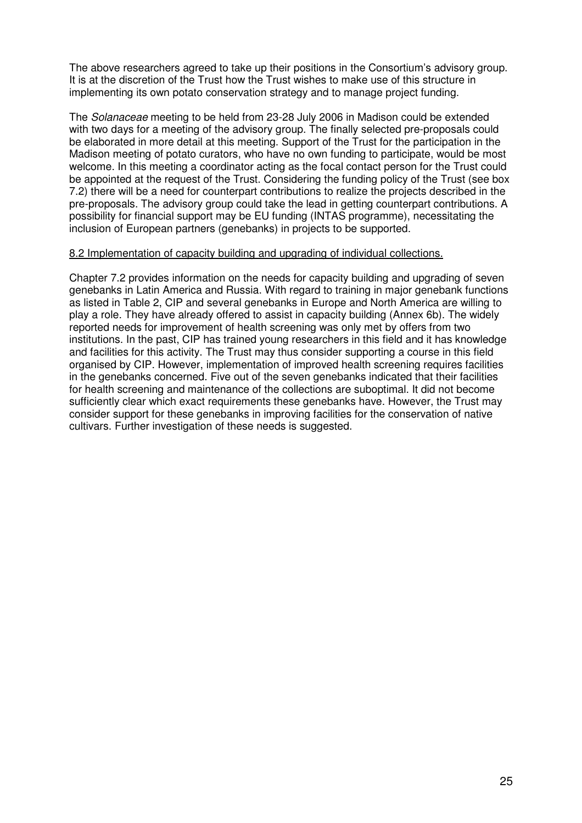The above researchers agreed to take up their positions in the Consortium's advisory group. It is at the discretion of the Trust how the Trust wishes to make use of this structure in implementing its own potato conservation strategy and to manage project funding.

The Solanaceae meeting to be held from 23-28 July 2006 in Madison could be extended with two days for a meeting of the advisory group. The finally selected pre-proposals could be elaborated in more detail at this meeting. Support of the Trust for the participation in the Madison meeting of potato curators, who have no own funding to participate, would be most welcome. In this meeting a coordinator acting as the focal contact person for the Trust could be appointed at the request of the Trust. Considering the funding policy of the Trust (see box 7.2) there will be a need for counterpart contributions to realize the projects described in the pre-proposals. The advisory group could take the lead in getting counterpart contributions. A possibility for financial support may be EU funding (INTAS programme), necessitating the inclusion of European partners (genebanks) in projects to be supported.

#### 8.2 Implementation of capacity building and upgrading of individual collections.

Chapter 7.2 provides information on the needs for capacity building and upgrading of seven genebanks in Latin America and Russia. With regard to training in major genebank functions as listed in Table 2, CIP and several genebanks in Europe and North America are willing to play a role. They have already offered to assist in capacity building (Annex 6b). The widely reported needs for improvement of health screening was only met by offers from two institutions. In the past, CIP has trained young researchers in this field and it has knowledge and facilities for this activity. The Trust may thus consider supporting a course in this field organised by CIP. However, implementation of improved health screening requires facilities in the genebanks concerned. Five out of the seven genebanks indicated that their facilities for health screening and maintenance of the collections are suboptimal. It did not become sufficiently clear which exact requirements these genebanks have. However, the Trust may consider support for these genebanks in improving facilities for the conservation of native cultivars. Further investigation of these needs is suggested.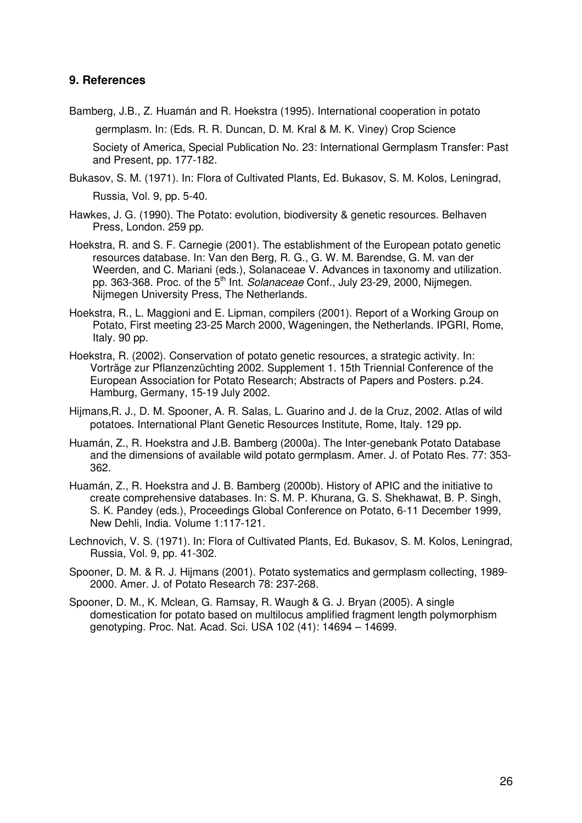#### **9. References**

- Bamberg, J.B., Z. Huamán and R. Hoekstra (1995). International cooperation in potato germplasm. In: (Eds. R. R. Duncan, D. M. Kral & M. K. Viney) Crop Science Society of America, Special Publication No. 23: International Germplasm Transfer: Past and Present, pp. 177-182.
- Bukasov, S. M. (1971). In: Flora of Cultivated Plants, Ed. Bukasov, S. M. Kolos, Leningrad, Russia, Vol. 9, pp. 5-40.
- Hawkes, J. G. (1990). The Potato: evolution, biodiversity & genetic resources. Belhaven Press, London. 259 pp.
- Hoekstra, R. and S. F. Carnegie (2001). The establishment of the European potato genetic resources database. In: Van den Berg, R. G., G. W. M. Barendse, G. M. van der Weerden, and C. Mariani (eds.), Solanaceae V. Advances in taxonomy and utilization. pp. 363-368. Proc. of the 5<sup>th</sup> Int. Solanaceae Conf., July 23-29, 2000, Nijmegen. Nijmegen University Press, The Netherlands.
- Hoekstra, R., L. Maggioni and E. Lipman, compilers (2001). Report of a Working Group on Potato, First meeting 23-25 March 2000, Wageningen, the Netherlands. IPGRI, Rome, Italy. 90 pp.
- Hoekstra, R. (2002). Conservation of potato genetic resources, a strategic activity. In: Vorträge zur Pflanzenzüchting 2002. Supplement 1. 15th Triennial Conference of the European Association for Potato Research; Abstracts of Papers and Posters. p.24. Hamburg, Germany, 15-19 July 2002.
- Hijmans,R. J., D. M. Spooner, A. R. Salas, L. Guarino and J. de la Cruz, 2002. Atlas of wild potatoes. International Plant Genetic Resources Institute, Rome, Italy. 129 pp.
- Huamán, Z., R. Hoekstra and J.B. Bamberg (2000a). The Inter-genebank Potato Database and the dimensions of available wild potato germplasm. Amer. J. of Potato Res. 77: 353- 362.
- Huamán, Z., R. Hoekstra and J. B. Bamberg (2000b). History of APIC and the initiative to create comprehensive databases. In: S. M. P. Khurana, G. S. Shekhawat, B. P. Singh, S. K. Pandey (eds.), Proceedings Global Conference on Potato, 6-11 December 1999, New Dehli, India. Volume 1:117-121.
- Lechnovich, V. S. (1971). In: Flora of Cultivated Plants, Ed. Bukasov, S. M. Kolos, Leningrad, Russia, Vol. 9, pp. 41-302.
- Spooner, D. M. & R. J. Hijmans (2001). Potato systematics and germplasm collecting, 1989- 2000. Amer. J. of Potato Research 78: 237-268.
- Spooner, D. M., K. Mclean, G. Ramsay, R. Waugh & G. J. Bryan (2005). A single domestication for potato based on multilocus amplified fragment length polymorphism genotyping. Proc. Nat. Acad. Sci. USA 102 (41): 14694 – 14699.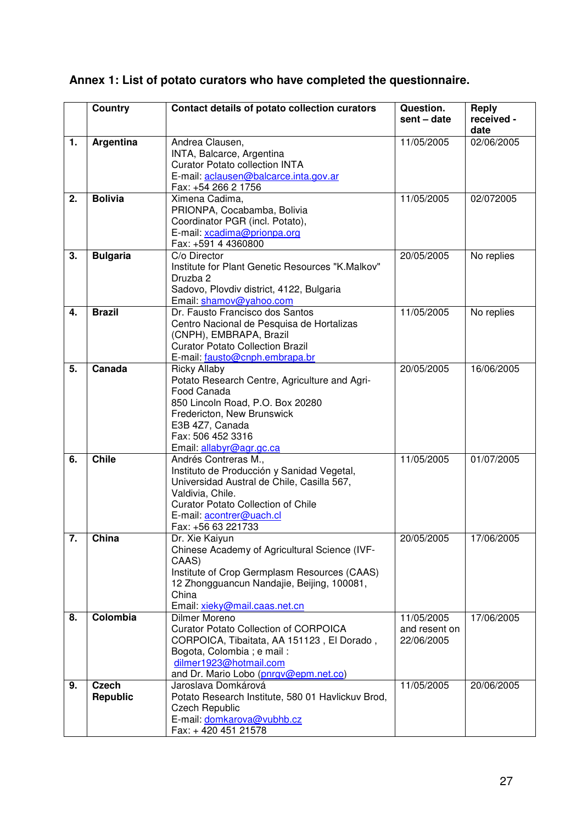| Annex 1: List of potato curators who have completed the questionnaire. |  |
|------------------------------------------------------------------------|--|
|------------------------------------------------------------------------|--|

|                  | <b>Country</b>                  | Contact details of potato collection curators                                                                                                                                                                                       | Question.<br>sent - date                  | <b>Reply</b><br>received -<br>date |
|------------------|---------------------------------|-------------------------------------------------------------------------------------------------------------------------------------------------------------------------------------------------------------------------------------|-------------------------------------------|------------------------------------|
| 1.               | Argentina                       | Andrea Clausen,<br>INTA, Balcarce, Argentina<br><b>Curator Potato collection INTA</b><br>E-mail: aclausen@balcarce.inta.gov.ar<br>Fax: +54 266 2 1756                                                                               | 11/05/2005                                | 02/06/2005                         |
| 2.               | <b>Bolivia</b>                  | Ximena Cadima,<br>PRIONPA, Cocabamba, Bolivia<br>Coordinator PGR (incl. Potato),<br>E-mail: xcadima@prionpa.org<br>Fax: +591 4 4360800                                                                                              | 11/05/2005                                | 02/072005                          |
| 3.               | <b>Bulgaria</b>                 | C/o Director<br>Institute for Plant Genetic Resources "K.Malkov"<br>Druzba 2<br>Sadovo, Plovdiv district, 4122, Bulgaria<br>Email: shamov@yahoo.com                                                                                 | 20/05/2005                                | No replies                         |
| 4.               | <b>Brazil</b>                   | Dr. Fausto Francisco dos Santos<br>Centro Nacional de Pesquisa de Hortalizas<br>(CNPH), EMBRAPA, Brazil<br><b>Curator Potato Collection Brazil</b><br>E-mail: fausto@cnph.embrapa.br                                                | 11/05/2005                                | No replies                         |
| 5.               | Canada                          | <b>Ricky Allaby</b><br>Potato Research Centre, Agriculture and Agri-<br>Food Canada<br>850 Lincoln Road, P.O. Box 20280<br>Fredericton, New Brunswick<br>E3B 4Z7, Canada<br>Fax: 506 452 3316<br>Email: allabyr@agr.gc.ca           | 20/05/2005                                | 16/06/2005                         |
| 6.               | <b>Chile</b>                    | Andrés Contreras M.,<br>Instituto de Producción y Sanidad Vegetal,<br>Universidad Austral de Chile, Casilla 567,<br>Valdivia, Chile.<br><b>Curator Potato Collection of Chile</b><br>E-mail: acontrer@uach.cl<br>Fax: +56 63 221733 | 11/05/2005                                | 01/07/2005                         |
| $\overline{7}$ . | China                           | Dr. Xie Kaiyun<br>Chinese Academy of Agricultural Science (IVF-<br>CAAS)<br>Institute of Crop Germplasm Resources (CAAS)<br>12 Zhongguancun Nandajie, Beijing, 100081,<br>China<br>Email: xieky@mail.caas.net.cn                    | 20/05/2005                                | 17/06/2005                         |
| 8.               | Colombia                        | Dilmer Moreno<br><b>Curator Potato Collection of CORPOICA</b><br>CORPOICA, Tibaitata, AA 151123, El Dorado,<br>Bogota, Colombia ; e mail :<br>dilmer1923@hotmail.com<br>and Dr. Mario Lobo (pnrgv@epm.net.co)                       | 11/05/2005<br>and resent on<br>22/06/2005 | 17/06/2005                         |
| 9.               | <b>Czech</b><br><b>Republic</b> | Jaroslava Domkárová<br>Potato Research Institute, 580 01 Havlickuv Brod,<br><b>Czech Republic</b><br>E-mail: domkarova@vubhb.cz<br>Fax: +420 451 21578                                                                              | 11/05/2005                                | 20/06/2005                         |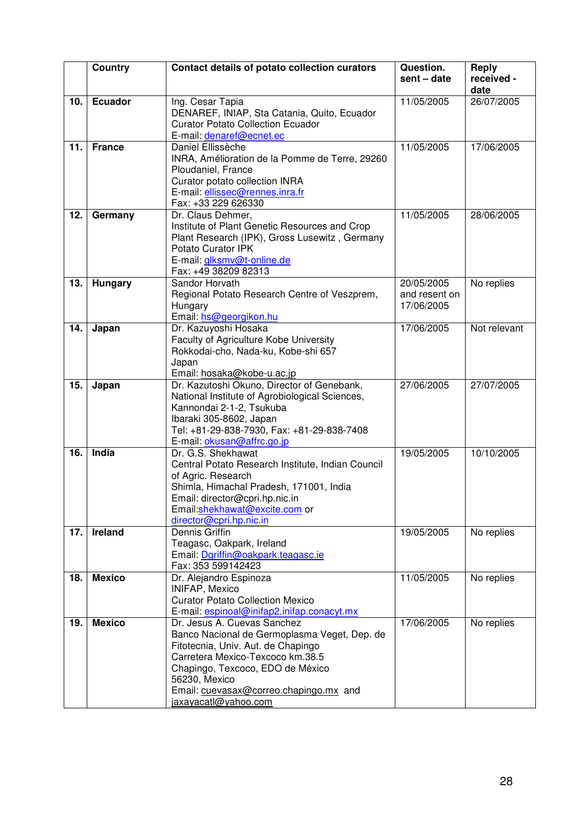|     | <b>Country</b> | Contact details of potato collection curators                                                                                                                                                                                                                                | Question.<br>sent - date                  | <b>Reply</b><br>received -<br>date |
|-----|----------------|------------------------------------------------------------------------------------------------------------------------------------------------------------------------------------------------------------------------------------------------------------------------------|-------------------------------------------|------------------------------------|
| 10. | <b>Ecuador</b> | Ing. Cesar Tapia<br>DENAREF, INIAP, Sta Catania, Quito, Ecuador<br><b>Curator Potato Collection Ecuador</b><br>E-mail: denaref@ecnet.ec                                                                                                                                      | 11/05/2005                                | 26/07/2005                         |
| 11. | <b>France</b>  | Daniel Ellissèche<br>INRA, Amélioration de la Pomme de Terre, 29260<br>Ploudaniel, France<br>Curator potato collection INRA<br>E-mail: ellissec@rennes.inra.fr<br>Fax: +33 229 626330                                                                                        | 11/05/2005                                | 17/06/2005                         |
| 12. | Germany        | Dr. Claus Dehmer,<br>Institute of Plant Genetic Resources and Crop<br>Plant Research (IPK), Gross Lusewitz, Germany<br>Potato Curator IPK<br>E-mail: glksmv@t-online.de<br>Fax: +49 38209 82313                                                                              | 11/05/2005                                | 28/06/2005                         |
| 13. | <b>Hungary</b> | Sandor Horvath<br>Regional Potato Research Centre of Veszprem,<br>Hungary<br>Email: hs@georgikon.hu                                                                                                                                                                          | 20/05/2005<br>and resent on<br>17/06/2005 | No replies                         |
| 14. | Japan          | Dr. Kazuyoshi Hosaka<br>Faculty of Agriculture Kobe University<br>Rokkodai-cho, Nada-ku, Kobe-shi 657<br>Japan<br>Email: hosaka@kobe-u.ac.jp                                                                                                                                 | 17/06/2005                                | Not relevant                       |
| 15. | Japan          | Dr. Kazutoshi Okuno, Director of Genebank,<br>National Institute of Agrobiological Sciences,<br>Kannondai 2-1-2, Tsukuba<br>Ibaraki 305-8602, Japan<br>Tel: +81-29-838-7930, Fax: +81-29-838-7408<br>E-mail: okusan@affrc.go.jp                                              | 27/06/2005                                | 27/07/2005                         |
| 16. | India          | Dr. G.S. Shekhawat<br>Central Potato Research Institute, Indian Council<br>of Agric. Research<br>Shimla, Himachal Pradesh, 171001, India<br>Email: director@cpri.hp.nic.in<br>Email:shekhawat@excite.com or<br>director@cpri.hp.nic.in                                       | 19/05/2005                                | 10/10/2005                         |
| 17. | Ireland        | Dennis Griffin<br>Teagasc, Oakpark, Ireland<br>Email: Dgriffin@oakpark.teagasc.ie<br>Fax: 353 599142423                                                                                                                                                                      | 19/05/2005                                | No replies                         |
| 18. | <b>Mexico</b>  | Dr. Alejandro Espinoza<br><b>INIFAP, Mexico</b><br><b>Curator Potato Collection Mexico</b><br>E-mail: espinoal@inifap2.inifap.conacyt.mx                                                                                                                                     | 11/05/2005                                | No replies                         |
| 19. | <b>Mexico</b>  | Dr. Jesus A. Cuevas Sanchez<br>Banco Nacional de Germoplasma Veget, Dep. de<br>Fitotecnia, Univ. Aut. de Chapingo<br>Carretera Mexico-Texcoco km.38.5<br>Chapingo, Texcoco, EDO de México<br>56230, Mexico<br>Email: cuevasax@correo.chapingo.mx and<br>jaxayacatl@yahoo.com | 17/06/2005                                | No replies                         |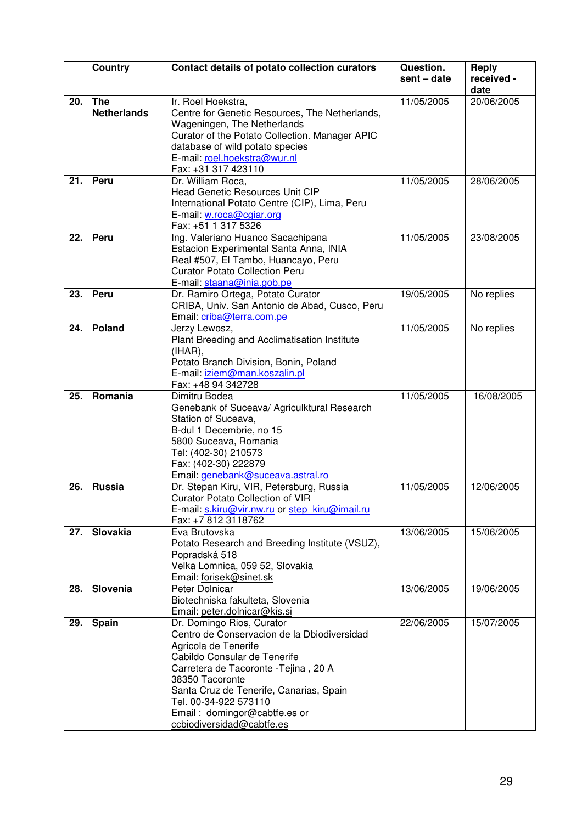|     | Country            | Contact details of potato collection curators                                       | Question.   | Reply<br>received - |
|-----|--------------------|-------------------------------------------------------------------------------------|-------------|---------------------|
|     |                    |                                                                                     | sent - date | date                |
| 20. | <b>The</b>         | Ir. Roel Hoekstra,                                                                  | 11/05/2005  | 20/06/2005          |
|     | <b>Netherlands</b> | Centre for Genetic Resources, The Netherlands,                                      |             |                     |
|     |                    | Wageningen, The Netherlands                                                         |             |                     |
|     |                    | Curator of the Potato Collection. Manager APIC                                      |             |                     |
|     |                    | database of wild potato species                                                     |             |                     |
|     |                    | E-mail: roel.hoekstra@wur.nl                                                        |             |                     |
|     |                    | Fax: +31 317 423110                                                                 |             |                     |
| 21. | Peru               | Dr. William Roca,                                                                   | 11/05/2005  | 28/06/2005          |
|     |                    | <b>Head Genetic Resources Unit CIP</b>                                              |             |                     |
|     |                    | International Potato Centre (CIP), Lima, Peru                                       |             |                     |
|     |                    | E-mail: w.roca@cgiar.org<br>Fax: +51 1 317 5326                                     |             |                     |
| 22. | Peru               | Ing. Valeriano Huanco Sacachipana                                                   | 11/05/2005  | 23/08/2005          |
|     |                    | Estacion Experimental Santa Anna, INIA                                              |             |                     |
|     |                    | Real #507, El Tambo, Huancayo, Peru                                                 |             |                     |
|     |                    | <b>Curator Potato Collection Peru</b>                                               |             |                     |
|     |                    | E-mail: staana@inia.gob.pe                                                          |             |                     |
| 23. | Peru               | Dr. Ramiro Ortega, Potato Curator                                                   | 19/05/2005  | No replies          |
|     |                    | CRIBA, Univ. San Antonio de Abad, Cusco, Peru                                       |             |                     |
|     |                    | Email: criba@terra.com.pe                                                           |             |                     |
| 24. | Poland             | Jerzy Lewosz,                                                                       | 11/05/2005  | No replies          |
|     |                    | Plant Breeding and Acclimatisation Institute                                        |             |                     |
|     |                    | (IHAR),                                                                             |             |                     |
|     |                    | Potato Branch Division, Bonin, Poland<br>E-mail: iziem@man.koszalin.pl              |             |                     |
|     |                    | Fax: +48 94 342728                                                                  |             |                     |
| 25. | Romania            | Dimitru Bodea                                                                       | 11/05/2005  | 16/08/2005          |
|     |                    | Genebank of Suceava/ Agriculktural Research                                         |             |                     |
|     |                    | Station of Suceava,                                                                 |             |                     |
|     |                    | B-dul 1 Decembrie, no 15                                                            |             |                     |
|     |                    | 5800 Suceava, Romania                                                               |             |                     |
|     |                    | Tel: (402-30) 210573                                                                |             |                     |
|     |                    | Fax: (402-30) 222879                                                                |             |                     |
|     |                    | Email: genebank@suceava.astral.ro                                                   |             |                     |
| 26. | <b>Russia</b>      | Dr. Stepan Kiru, VIR, Petersburg, Russia<br><b>Curator Potato Collection of VIR</b> | 11/05/2005  | 12/06/2005          |
|     |                    | E-mail: s.kiru@vir.nw.ru or step kiru@imail.ru                                      |             |                     |
|     |                    | Fax: +7 812 3118762                                                                 |             |                     |
| 27. | Slovakia           | Eva Brutovska                                                                       | 13/06/2005  | 15/06/2005          |
|     |                    | Potato Research and Breeding Institute (VSUZ),                                      |             |                     |
|     |                    | Popradská 518                                                                       |             |                     |
|     |                    | Velka Lomnica, 059 52, Slovakia                                                     |             |                     |
|     |                    | Email: forisek@sinet.sk                                                             |             |                     |
| 28. | <b>Slovenia</b>    | Peter Dolnicar                                                                      | 13/06/2005  | 19/06/2005          |
|     |                    | Biotechniska fakulteta, Slovenia<br>Email: peter.dolnicar@kis.si                    |             |                     |
| 29. | Spain              | Dr. Domingo Rios, Curator                                                           | 22/06/2005  | 15/07/2005          |
|     |                    | Centro de Conservacion de la Dbiodiversidad                                         |             |                     |
|     |                    | Agricola de Tenerife                                                                |             |                     |
|     |                    | Cabildo Consular de Tenerife                                                        |             |                     |
|     |                    | Carretera de Tacoronte - Tejina, 20 A                                               |             |                     |
|     |                    | 38350 Tacoronte                                                                     |             |                     |
|     |                    | Santa Cruz de Tenerife, Canarias, Spain                                             |             |                     |
|     |                    | Tel. 00-34-922 573110                                                               |             |                     |
|     |                    | Email: domingor@cabtfe.es or                                                        |             |                     |
|     |                    | ccbiodiversidad@cabtfe.es                                                           |             |                     |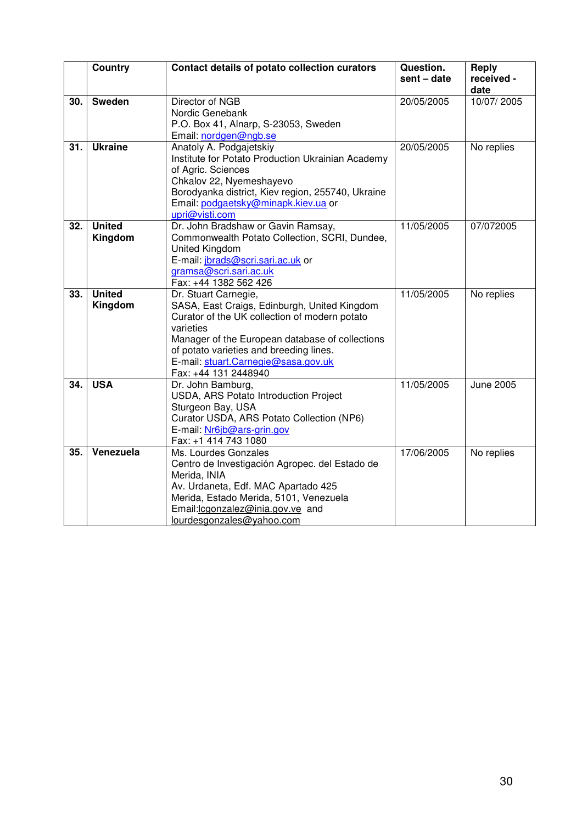|     | <b>Country</b>           | Contact details of potato collection curators                                                                                                                                                                                                                                                   | Question.<br>sent - date | Reply<br>received -<br>date |
|-----|--------------------------|-------------------------------------------------------------------------------------------------------------------------------------------------------------------------------------------------------------------------------------------------------------------------------------------------|--------------------------|-----------------------------|
| 30. | <b>Sweden</b>            | Director of NGB<br>Nordic Genebank<br>P.O. Box 41, Alnarp, S-23053, Sweden<br>Email: nordgen@ngb.se                                                                                                                                                                                             | 20/05/2005               | 10/07/2005                  |
| 31. | <b>Ukraine</b>           | Anatoly A. Podgajetskiy<br>Institute for Potato Production Ukrainian Academy<br>of Agric. Sciences<br>Chkalov 22, Nyemeshayevo<br>Borodyanka district, Kiev region, 255740, Ukraine<br>Email: podgaetsky@minapk.kiev.ua or<br>upri@visti.com                                                    | 20/05/2005               | No replies                  |
| 32. | <b>United</b><br>Kingdom | Dr. John Bradshaw or Gavin Ramsay,<br>Commonwealth Potato Collection, SCRI, Dundee,<br>United Kingdom<br>E-mail: jbrads@scri.sari.ac.uk or<br>gramsa@scri.sari.ac.uk<br>Fax: +44 1382 562 426                                                                                                   | 11/05/2005               | 07/072005                   |
| 33. | <b>United</b><br>Kingdom | Dr. Stuart Carnegie,<br>SASA, East Craigs, Edinburgh, United Kingdom<br>Curator of the UK collection of modern potato<br>varieties<br>Manager of the European database of collections<br>of potato varieties and breeding lines.<br>E-mail: stuart.Carnegie@sasa.gov.uk<br>Fax: +44 131 2448940 | 11/05/2005               | No replies                  |
| 34. | <b>USA</b>               | Dr. John Bamburg,<br>USDA, ARS Potato Introduction Project<br>Sturgeon Bay, USA<br>Curator USDA, ARS Potato Collection (NP6)<br>E-mail: Nr6jb@ars-grin.gov<br>Fax: +1 414 743 1080                                                                                                              | 11/05/2005               | <b>June 2005</b>            |
| 35. | Venezuela                | Ms. Lourdes Gonzales<br>Centro de Investigación Agropec. del Estado de<br>Merida, INIA<br>Av. Urdaneta, Edf. MAC Apartado 425<br>Merida, Estado Merida, 5101, Venezuela<br>Email: lcgonzalez@inia.gov.ve and<br>lourdesgonzales@yahoo.com                                                       | 17/06/2005               | No replies                  |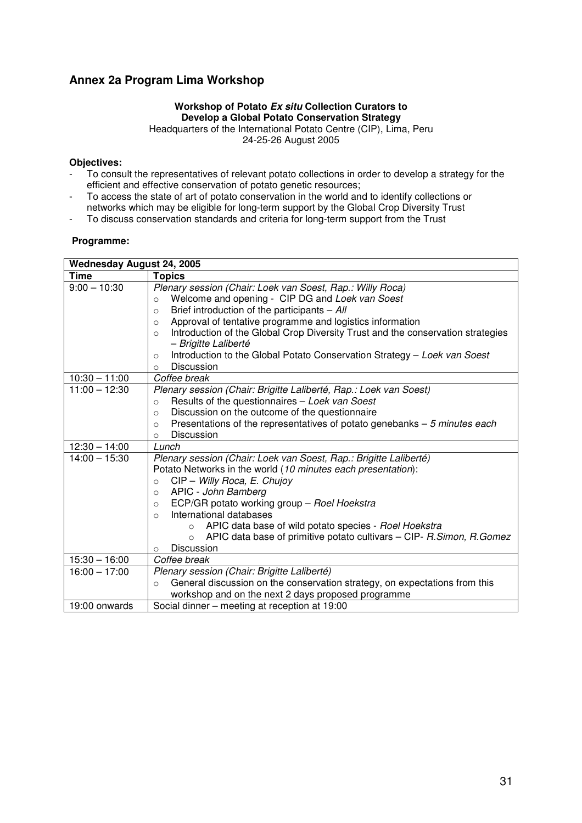# **Annex 2a Program Lima Workshop**

#### **Workshop of Potato Ex situ Collection Curators to Develop a Global Potato Conservation Strategy**

Headquarters of the International Potato Centre (CIP), Lima, Peru 24-25-26 August 2005

#### **Objectives:**

- To consult the representatives of relevant potato collections in order to develop a strategy for the efficient and effective conservation of potato genetic resources;
- To access the state of art of potato conservation in the world and to identify collections or
- networks which may be eligible for long-term support by the Global Crop Diversity Trust
- To discuss conservation standards and criteria for long-term support from the Trust

#### **Programme:**

|                 | <b>Wednesday August 24, 2005</b>                                                           |  |  |  |
|-----------------|--------------------------------------------------------------------------------------------|--|--|--|
| <b>Time</b>     | <b>Topics</b>                                                                              |  |  |  |
| $9:00 - 10:30$  | Plenary session (Chair: Loek van Soest, Rap.: Willy Roca)                                  |  |  |  |
|                 | Welcome and opening - CIP DG and Loek van Soest<br>$\circ$                                 |  |  |  |
|                 | Brief introduction of the participants $-$ All<br>$\circ$                                  |  |  |  |
|                 | Approval of tentative programme and logistics information<br>$\circ$                       |  |  |  |
|                 | Introduction of the Global Crop Diversity Trust and the conservation strategies<br>$\circ$ |  |  |  |
|                 | - Brigitte Laliberté                                                                       |  |  |  |
|                 | Introduction to the Global Potato Conservation Strategy - Loek van Soest<br>O              |  |  |  |
|                 | <b>Discussion</b><br>O                                                                     |  |  |  |
| $10:30 - 11:00$ | Coffee break                                                                               |  |  |  |
| $11:00 - 12:30$ | Plenary session (Chair: Brigitte Laliberté, Rap.: Loek van Soest)                          |  |  |  |
|                 | Results of the questionnaires - Loek van Soest<br>$\circ$                                  |  |  |  |
|                 | Discussion on the outcome of the questionnaire<br>$\circ$                                  |  |  |  |
|                 | Presentations of the representatives of potato genebanks $-5$ minutes each<br>$\circ$      |  |  |  |
|                 | Discussion<br>$\Omega$                                                                     |  |  |  |
| $12:30 - 14:00$ | Lunch                                                                                      |  |  |  |
| $14:00 - 15:30$ | Plenary session (Chair: Loek van Soest, Rap.: Brigitte Laliberté)                          |  |  |  |
|                 | Potato Networks in the world (10 minutes each presentation):                               |  |  |  |
|                 | CIP - Willy Roca, E. Chujoy<br>$\circ$                                                     |  |  |  |
|                 | APIC - John Bamberg<br>$\circ$                                                             |  |  |  |
|                 | ECP/GR potato working group - Roel Hoekstra<br>O                                           |  |  |  |
|                 | International databases<br>$\Omega$                                                        |  |  |  |
|                 | APIC data base of wild potato species - Roel Hoekstra<br>$\circ$                           |  |  |  |
|                 | APIC data base of primitive potato cultivars - CIP- R.Simon, R.Gomez<br>$\Omega$           |  |  |  |
|                 | Discussion<br>$\circ$                                                                      |  |  |  |
| $15:30 - 16:00$ | Coffee break                                                                               |  |  |  |
| $16:00 - 17:00$ | Plenary session (Chair: Brigitte Laliberté)                                                |  |  |  |
|                 | General discussion on the conservation strategy, on expectations from this<br>$\circ$      |  |  |  |
|                 | workshop and on the next 2 days proposed programme                                         |  |  |  |
| 19:00 onwards   | Social dinner - meeting at reception at 19:00                                              |  |  |  |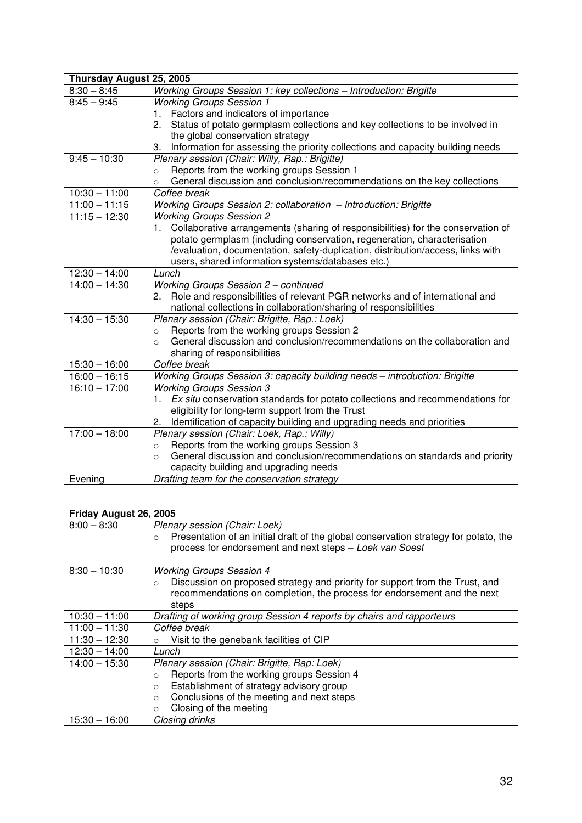| Thursday August 25, 2005 |                                                                                        |
|--------------------------|----------------------------------------------------------------------------------------|
| $8:30 - 8:45$            | Working Groups Session 1: key collections - Introduction: Brigitte                     |
| $8:45 - 9:45$            | <b>Working Groups Session 1</b>                                                        |
|                          | 1. Factors and indicators of importance                                                |
|                          | Status of potato germplasm collections and key collections to be involved in<br>2.     |
|                          | the global conservation strategy                                                       |
|                          | Information for assessing the priority collections and capacity building needs<br>3.   |
| $9:45 - 10:30$           | Plenary session (Chair: Willy, Rap.: Brigitte)                                         |
|                          | Reports from the working groups Session 1<br>$\circ$                                   |
|                          | General discussion and conclusion/recommendations on the key collections<br>$\circ$    |
| $10:30 - 11:00$          | Coffee break                                                                           |
| $11:00 - 11:15$          | Working Groups Session 2: collaboration - Introduction: Brigitte                       |
| $11:15 - 12:30$          | <b>Working Groups Session 2</b>                                                        |
|                          | Collaborative arrangements (sharing of responsibilities) for the conservation of<br>1. |
|                          | potato germplasm (including conservation, regeneration, characterisation               |
|                          | /evaluation, documentation, safety-duplication, distribution/access, links with        |
|                          | users, shared information systems/databases etc.)                                      |
| $12:30 - 14:00$          | $L$ unch                                                                               |
| $14:00 - 14:30$          | Working Groups Session 2 - continued                                                   |
|                          | Role and responsibilities of relevant PGR networks and of international and<br>2.      |
|                          | national collections in collaboration/sharing of responsibilities                      |
| $14:30 - 15:30$          | Plenary session (Chair: Brigitte, Rap.: Loek)                                          |
|                          | Reports from the working groups Session 2<br>$\circ$                                   |
|                          | General discussion and conclusion/recommendations on the collaboration and<br>$\circ$  |
|                          | sharing of responsibilities                                                            |
| $15:30 - 16:00$          | Coffee break                                                                           |
| $16:00 - 16:15$          | Working Groups Session 3: capacity building needs - introduction: Brigitte             |
| $16:10 - 17:00$          | <b>Working Groups Session 3</b>                                                        |
|                          | Ex situ conservation standards for potato collections and recommendations for<br>1.    |
|                          | eligibility for long-term support from the Trust                                       |
|                          | Identification of capacity building and upgrading needs and priorities<br>2.           |
| $17:00 - 18:00$          | Plenary session (Chair: Loek, Rap.: Willy)                                             |
|                          | Reports from the working groups Session 3<br>$\circ$                                   |
|                          | General discussion and conclusion/recommendations on standards and priority<br>$\circ$ |
|                          | capacity building and upgrading needs                                                  |
| Evening                  | Drafting team for the conservation strategy                                            |

| Friday August 26, 2005 |                                                                                                                                                                                                                                                           |
|------------------------|-----------------------------------------------------------------------------------------------------------------------------------------------------------------------------------------------------------------------------------------------------------|
| $8:00 - 8:30$          | Plenary session (Chair: Loek)<br>Presentation of an initial draft of the global conservation strategy for potato, the<br>$\circ$<br>process for endorsement and next steps - Loek van Soest                                                               |
| $8:30 - 10:30$         | <b>Working Groups Session 4</b><br>Discussion on proposed strategy and priority for support from the Trust, and<br>$\circ$<br>recommendations on completion, the process for endorsement and the next<br>steps                                            |
| $10:30 - 11:00$        | Drafting of working group Session 4 reports by chairs and rapporteurs                                                                                                                                                                                     |
| $11:00 - 11:30$        | Coffee break                                                                                                                                                                                                                                              |
| $11:30 - 12:30$        | Visit to the genebank facilities of CIP<br>$\circ$                                                                                                                                                                                                        |
| $12:30 - 14:00$        | Lunch                                                                                                                                                                                                                                                     |
| $14:00 - 15:30$        | Plenary session (Chair: Brigitte, Rap: Loek)<br>Reports from the working groups Session 4<br>$\circ$<br>Establishment of strategy advisory group<br>$\circ$<br>Conclusions of the meeting and next steps<br>$\circ$<br>Closing of the meeting<br>$\Omega$ |
| $15:30 - 16:00$        | Closing drinks                                                                                                                                                                                                                                            |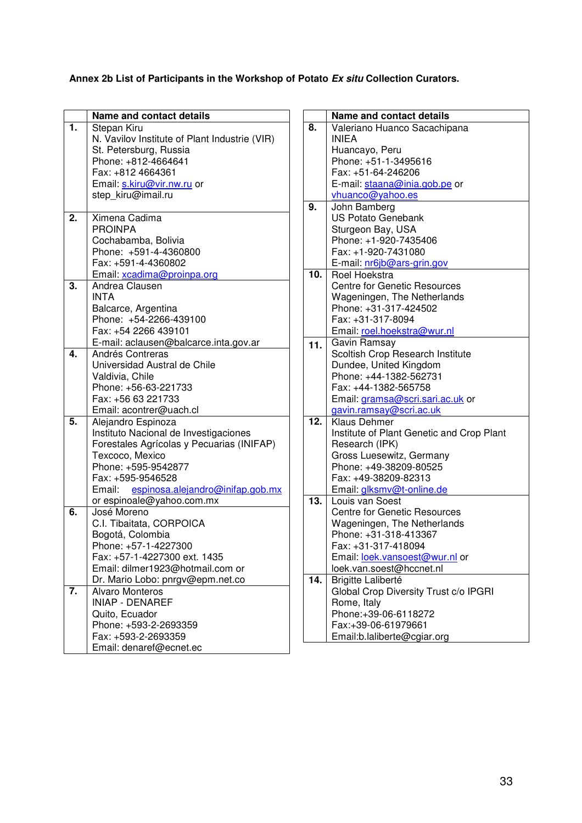## **Annex 2b List of Participants in the Workshop of Potato Ex situ Collection Curators.**

|    | <b>Name and contact details</b>               |  |  |
|----|-----------------------------------------------|--|--|
| 1. | Stepan Kiru                                   |  |  |
|    | N. Vavilov Institute of Plant Industrie (VIR) |  |  |
|    | St. Petersburg, Russia                        |  |  |
|    | Phone: +812-4664641                           |  |  |
|    | Fax: +812 4664361                             |  |  |
|    | Email: s.kiru@vir.nw.ru or                    |  |  |
|    | step kiru@imail.ru                            |  |  |
|    |                                               |  |  |
| 2. | Ximena Cadima                                 |  |  |
|    | <b>PROINPA</b>                                |  |  |
|    | Cochabamba, Bolivia                           |  |  |
|    | Phone: +591-4-4360800                         |  |  |
|    | Fax: +591-4-4360802                           |  |  |
|    | Email: xcadima@proinpa.org                    |  |  |
| 3. | Andrea Clausen                                |  |  |
|    | <b>INTA</b>                                   |  |  |
|    | Balcarce, Argentina                           |  |  |
|    | Phone: +54-2266-439100                        |  |  |
|    | Fax: +54 2266 439101                          |  |  |
|    | E-mail: aclausen@balcarce.inta.gov.ar         |  |  |
| 4. | Andrés Contreras                              |  |  |
|    | Universidad Austral de Chile                  |  |  |
|    | Valdivia, Chile                               |  |  |
|    | Phone: +56-63-221733                          |  |  |
|    | Fax: +56 63 221733                            |  |  |
|    | Email: acontrer@uach.cl                       |  |  |
| 5. | Alejandro Espinoza                            |  |  |
|    | Instituto Nacional de Investigaciones         |  |  |
|    | Forestales Agrícolas y Pecuarias (INIFAP)     |  |  |
|    | Texcoco, Mexico<br>Phone: +595-9542877        |  |  |
|    | Fax: +595-9546528                             |  |  |
|    | Email: espinosa.alejandro@inifap.gob.mx       |  |  |
|    | or espinoale@yahoo.com.mx                     |  |  |
| 6. | José Moreno                                   |  |  |
|    | C.I. Tibaitata, CORPOICA                      |  |  |
|    | Bogotá, Colombia                              |  |  |
|    | Phone: +57-1-4227300                          |  |  |
|    | Fax: +57-1-4227300 ext. 1435                  |  |  |
|    | Email: dilmer1923@hotmail.com or              |  |  |
|    | Dr. Mario Lobo: pnrgv@epm.net.co              |  |  |
| 7. | <b>Alvaro Monteros</b>                        |  |  |
|    | <b>INIAP - DENAREF</b>                        |  |  |
|    | Quito, Ecuador                                |  |  |
|    | Phone: +593-2-2693359                         |  |  |
|    | Fax: +593-2-2693359                           |  |  |
|    | Email: denaref@ecnet.ec                       |  |  |
|    |                                               |  |  |

|                   | <b>Name and contact details</b>                            |
|-------------------|------------------------------------------------------------|
| 8.                | Valeriano Huanco Sacachipana                               |
|                   | <b>INIEA</b>                                               |
|                   | Huancayo, Peru<br>Phone: +51-1-3495616                     |
|                   | Fax: +51-64-246206                                         |
|                   | E-mail: staana@inia.gob.pe or                              |
|                   | vhuanco@yahoo.es                                           |
| 9.                | John Bamberg                                               |
|                   | <b>US Potato Genebank</b>                                  |
|                   | Sturgeon Bay, USA                                          |
|                   | Phone: +1-920-7435406                                      |
|                   | Fax: +1-920-7431080                                        |
|                   | E-mail: nr6jb@ars-grin.gov                                 |
| 10.               | Roel Hoekstra                                              |
|                   | <b>Centre for Genetic Resources</b>                        |
|                   | Wageningen, The Netherlands                                |
|                   | Phone: +31-317-424502                                      |
|                   | Fax: +31-317-8094                                          |
|                   | Email: roel.hoekstra@wur.nl                                |
| 11.               | Gavin Ramsay                                               |
|                   | Scoltish Crop Research Institute<br>Dundee, United Kingdom |
|                   | Phone: +44-1382-562731                                     |
|                   | Fax: +44-1382-565758                                       |
|                   | Email: gramsa@scri.sari.ac.uk or                           |
|                   | gavin.ramsay@scri.ac.uk                                    |
| $\overline{12}$ . | Klaus Dehmer                                               |
|                   | Institute of Plant Genetic and Crop Plant                  |
|                   | Research (IPK)                                             |
|                   | Gross Luesewitz, Germany                                   |
|                   | Phone: +49-38209-80525                                     |
|                   | Fax: +49-38209-82313                                       |
|                   | Email: glksmv@t-online.de                                  |
| $\overline{13}$ . | Louis van Soest                                            |
|                   | <b>Centre for Genetic Resources</b>                        |
|                   | Wageningen, The Netherlands                                |
|                   | Phone: +31-318-413367                                      |
|                   | Fax: +31-317-418094                                        |
|                   | Email: loek.vansoest@wur.nl or                             |
| $\overline{14}$ . | loek.van.soest@hccnet.nl<br>Brigitte Laliberté             |
|                   | Global Crop Diversity Trust c/o IPGRI                      |
|                   | Rome, Italy                                                |
|                   | Phone:+39-06-6118272                                       |
|                   | Fax:+39-06-61979661                                        |
|                   | Email:b.laliberte@cgiar.org                                |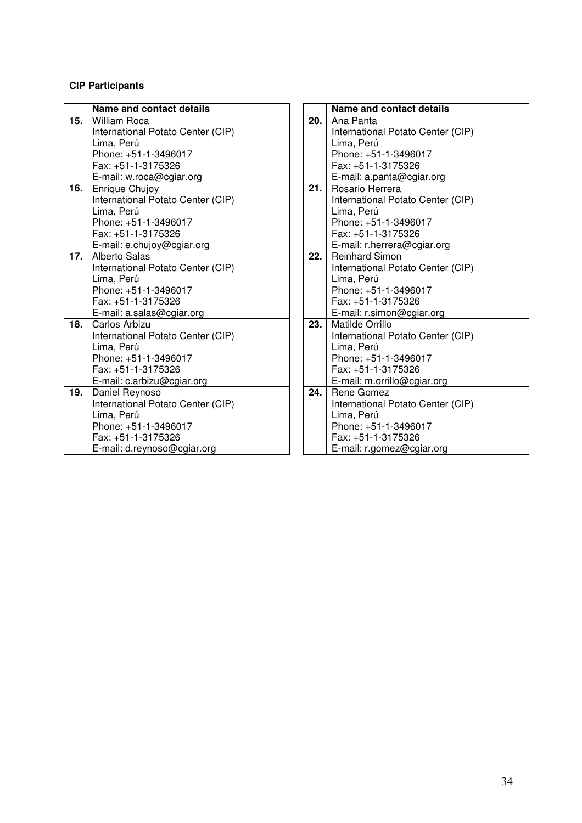#### **CIP Participants**

|     | Name and contact details          |     | Name and contact details          |
|-----|-----------------------------------|-----|-----------------------------------|
| 15. | <b>William Roca</b>               | 20. | Ana Panta                         |
|     | International Potato Center (CIP) |     | International Potato Center (CIP) |
|     | Lima, Perú                        |     | Lima, Perú                        |
|     | Phone: +51-1-3496017              |     | Phone: +51-1-3496017              |
|     | Fax: +51-1-3175326                |     | Fax: +51-1-3175326                |
|     | E-mail: w.roca@cgiar.org          |     | E-mail: a.panta@cgiar.org         |
| 16. | Enrique Chujoy                    | 21. | Rosario Herrera                   |
|     | International Potato Center (CIP) |     | International Potato Center (CIP) |
|     | Lima, Perú                        |     | Lima, Perú                        |
|     | Phone: +51-1-3496017              |     | Phone: +51-1-3496017              |
|     | Fax: +51-1-3175326                |     | Fax: +51-1-3175326                |
|     | E-mail: e.chujoy@cgiar.org        |     | E-mail: r.herrera@cgiar.org       |
| 17. | <b>Alberto Salas</b>              | 22. | <b>Reinhard Simon</b>             |
|     | International Potato Center (CIP) |     | International Potato Center (CIP) |
|     | Lima, Perú                        |     | Lima, Perú                        |
|     | Phone: +51-1-3496017              |     | Phone: +51-1-3496017              |
|     | Fax: +51-1-3175326                |     | Fax: +51-1-3175326                |
|     | E-mail: a.salas@cgiar.org         |     | E-mail: r.simon@cgiar.org         |
| 18. | Carlos Arbizu                     | 23. | Matilde Orrillo                   |
|     | International Potato Center (CIP) |     | International Potato Center (CIP) |
|     | Lima, Perú                        |     | Lima, Perú                        |
|     | Phone: +51-1-3496017              |     | Phone: +51-1-3496017              |
|     | Fax: +51-1-3175326                |     | Fax: +51-1-3175326                |
|     | E-mail: c.arbizu@cgiar.org        |     | E-mail: m.orrillo@cgiar.org       |
| 19. | Daniel Reynoso                    | 24. | Rene Gomez                        |
|     | International Potato Center (CIP) |     | International Potato Center (CIP) |
|     | Lima, Perú                        |     | Lima, Perú                        |
|     | Phone: +51-1-3496017              |     | Phone: +51-1-3496017              |
|     | Fax: +51-1-3175326                |     | Fax: +51-1-3175326                |
|     | E-mail: d.reynoso@cgiar.org       |     | E-mail: r.gomez@cgiar.org         |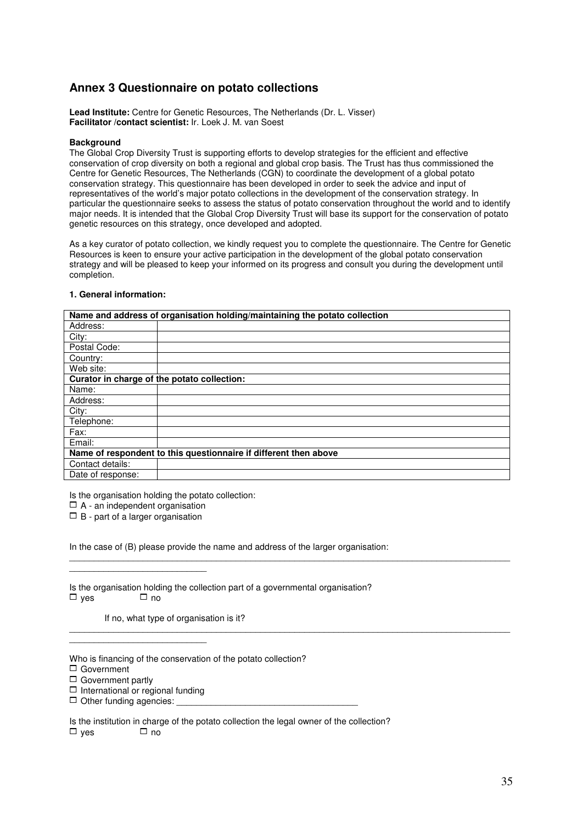## **Annex 3 Questionnaire on potato collections**

**Lead Institute:** Centre for Genetic Resources, The Netherlands (Dr. L. Visser) **Facilitator /contact scientist:** Ir. Loek J. M. van Soest

#### **Background**

The Global Crop Diversity Trust is supporting efforts to develop strategies for the efficient and effective conservation of crop diversity on both a regional and global crop basis. The Trust has thus commissioned the Centre for Genetic Resources, The Netherlands (CGN) to coordinate the development of a global potato conservation strategy. This questionnaire has been developed in order to seek the advice and input of representatives of the world's major potato collections in the development of the conservation strategy. In particular the questionnaire seeks to assess the status of potato conservation throughout the world and to identify major needs. It is intended that the Global Crop Diversity Trust will base its support for the conservation of potato genetic resources on this strategy, once developed and adopted.

As a key curator of potato collection, we kindly request you to complete the questionnaire. The Centre for Genetic Resources is keen to ensure your active participation in the development of the global potato conservation strategy and will be pleased to keep your informed on its progress and consult you during the development until completion.

|                   | Name and address of organisation holding/maintaining the potato collection |
|-------------------|----------------------------------------------------------------------------|
| Address:          |                                                                            |
| City:             |                                                                            |
| Postal Code:      |                                                                            |
| Country:          |                                                                            |
| Web site:         |                                                                            |
|                   | Curator in charge of the potato collection:                                |
| Name:             |                                                                            |
| Address:          |                                                                            |
| City:             |                                                                            |
| Telephone:        |                                                                            |
| Fax:              |                                                                            |
| Email:            |                                                                            |
|                   | Name of respondent to this questionnaire if different then above           |
| Contact details:  |                                                                            |
| Date of response: |                                                                            |

 $\mathcal{L}_\mathcal{L} = \{ \mathcal{L}_\mathcal{L} = \{ \mathcal{L}_\mathcal{L} = \{ \mathcal{L}_\mathcal{L} = \{ \mathcal{L}_\mathcal{L} = \{ \mathcal{L}_\mathcal{L} = \{ \mathcal{L}_\mathcal{L} = \{ \mathcal{L}_\mathcal{L} = \{ \mathcal{L}_\mathcal{L} = \{ \mathcal{L}_\mathcal{L} = \{ \mathcal{L}_\mathcal{L} = \{ \mathcal{L}_\mathcal{L} = \{ \mathcal{L}_\mathcal{L} = \{ \mathcal{L}_\mathcal{L} = \{ \mathcal{L}_\mathcal{$ 

 $\mathcal{L}_\mathcal{L} = \{ \mathcal{L}_\mathcal{L} = \{ \mathcal{L}_\mathcal{L} = \{ \mathcal{L}_\mathcal{L} = \{ \mathcal{L}_\mathcal{L} = \{ \mathcal{L}_\mathcal{L} = \{ \mathcal{L}_\mathcal{L} = \{ \mathcal{L}_\mathcal{L} = \{ \mathcal{L}_\mathcal{L} = \{ \mathcal{L}_\mathcal{L} = \{ \mathcal{L}_\mathcal{L} = \{ \mathcal{L}_\mathcal{L} = \{ \mathcal{L}_\mathcal{L} = \{ \mathcal{L}_\mathcal{L} = \{ \mathcal{L}_\mathcal{$ 

#### **1. General information:**

Is the organisation holding the potato collection:

 $\Box$  A - an independent organisation

 $\Box$  B - part of a larger organisation

\_\_\_\_\_\_\_\_\_\_\_\_\_\_\_\_\_\_\_\_\_\_\_\_\_\_\_\_

In the case of (B) please provide the name and address of the larger organisation:

| Is the organisation holding the collection part of a governmental organisation? |           |  |  |
|---------------------------------------------------------------------------------|-----------|--|--|
| $\Box$ ves                                                                      | $\Box$ no |  |  |

If no, what type of organisation is it?

Who is financing of the conservation of the potato collection?

1 Government

 $\Box$  Government partly

 $\Box$  International or regional funding

\_\_\_\_\_\_\_\_\_\_\_\_\_\_\_\_\_\_\_\_\_\_\_\_\_\_\_\_

 $\Box$  Other funding agencies:

Is the institution in charge of the potato collection the legal owner of the collection?  $\square$  yes  $\square$  no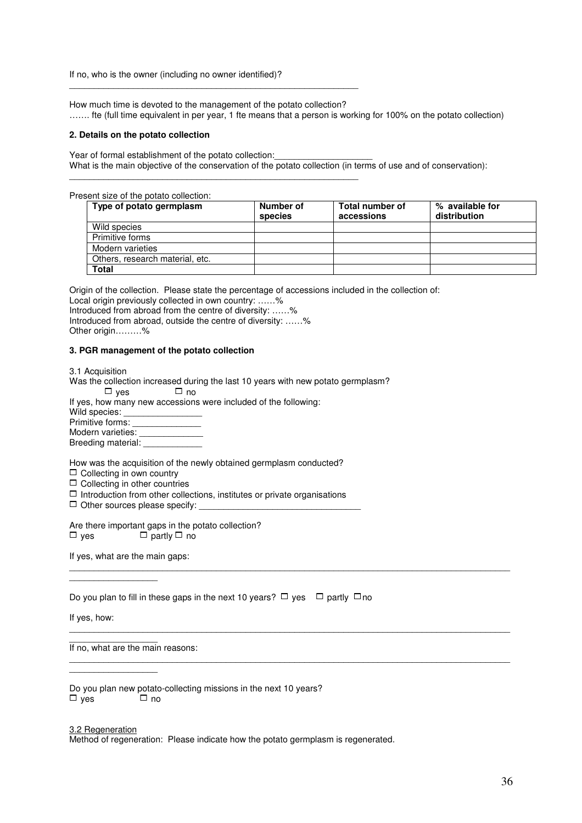If no, who is the owner (including no owner identified)?

\_\_\_\_\_\_\_\_\_\_\_\_\_\_\_\_\_\_\_\_\_\_\_\_\_\_\_\_\_\_\_\_\_\_\_\_\_\_\_\_\_\_\_\_\_\_\_\_\_\_\_\_\_\_\_\_\_\_\_

\_\_\_\_\_\_\_\_\_\_\_\_\_\_\_\_\_\_\_\_\_\_\_\_\_\_\_\_\_\_\_\_\_\_\_\_\_\_\_\_\_\_\_\_\_\_\_\_\_\_\_\_\_\_\_\_\_\_\_

How much time is devoted to the management of the potato collection? ……. fte (full time equivalent in per year, 1 fte means that a person is working for 100% on the potato collection)

#### **2. Details on the potato collection**

Year of formal establishment of the potato collection: What is the main objective of the conservation of the potato collection (in terms of use and of conservation):

Present size of the potato collection:

| Type of potato germplasm        | Number of<br>species | <b>Total number of</b><br>accessions | % available for<br>distribution |
|---------------------------------|----------------------|--------------------------------------|---------------------------------|
| Wild species                    |                      |                                      |                                 |
| Primitive forms                 |                      |                                      |                                 |
| Modern varieties                |                      |                                      |                                 |
| Others, research material, etc. |                      |                                      |                                 |
| Total                           |                      |                                      |                                 |

Origin of the collection. Please state the percentage of accessions included in the collection of:

Local origin previously collected in own country: ......% Introduced from abroad from the centre of diversity: ……%

Introduced from abroad, outside the centre of diversity: ……%

Other origin………%

#### **3. PGR management of the potato collection**

| 3.1 Acquisition                                                                                                                                                                                                                                                           |
|---------------------------------------------------------------------------------------------------------------------------------------------------------------------------------------------------------------------------------------------------------------------------|
| Was the collection increased during the last 10 years with new potato germplasm?                                                                                                                                                                                          |
| □ ves<br>$\Box$ no                                                                                                                                                                                                                                                        |
| If yes, how many new accessions were included of the following:                                                                                                                                                                                                           |
| Wild species: <u>_______________</u>                                                                                                                                                                                                                                      |
| Primitive forms: ________________                                                                                                                                                                                                                                         |
| Modern varieties: _______________                                                                                                                                                                                                                                         |
| Breeding material:                                                                                                                                                                                                                                                        |
| How was the acquisition of the newly obtained germplasm conducted?<br>$\Box$ Collecting in own country<br>$\Box$ Collecting in other countries<br>$\Box$ Introduction from other collections, institutes or private organisations<br>$\Box$ Other sources please specify: |
| Are there important gaps in the potato collection?                                                                                                                                                                                                                        |

 $\Box$  yes  $\Box$  partly  $\Box$  no

If yes, what are the main gaps:

 $\frac{1}{2}$  ,  $\frac{1}{2}$  ,  $\frac{1}{2}$  ,  $\frac{1}{2}$  ,  $\frac{1}{2}$  ,  $\frac{1}{2}$  ,  $\frac{1}{2}$  ,  $\frac{1}{2}$  ,  $\frac{1}{2}$  ,  $\frac{1}{2}$ 

 $\frac{1}{2}$  ,  $\frac{1}{2}$  ,  $\frac{1}{2}$  ,  $\frac{1}{2}$  ,  $\frac{1}{2}$  ,  $\frac{1}{2}$  ,  $\frac{1}{2}$  ,  $\frac{1}{2}$  ,  $\frac{1}{2}$  ,  $\frac{1}{2}$ 

Do you plan to fill in these gaps in the next 10 years?  $\Box$  yes  $\Box$  partly  $\Box$  no

 $\mathcal{L}_\mathcal{L} = \{ \mathcal{L}_\mathcal{L} = \{ \mathcal{L}_\mathcal{L} = \{ \mathcal{L}_\mathcal{L} = \{ \mathcal{L}_\mathcal{L} = \{ \mathcal{L}_\mathcal{L} = \{ \mathcal{L}_\mathcal{L} = \{ \mathcal{L}_\mathcal{L} = \{ \mathcal{L}_\mathcal{L} = \{ \mathcal{L}_\mathcal{L} = \{ \mathcal{L}_\mathcal{L} = \{ \mathcal{L}_\mathcal{L} = \{ \mathcal{L}_\mathcal{L} = \{ \mathcal{L}_\mathcal{L} = \{ \mathcal{L}_\mathcal{$ 

 $\mathcal{L}_\mathcal{L} = \{ \mathcal{L}_\mathcal{L} = \{ \mathcal{L}_\mathcal{L} = \{ \mathcal{L}_\mathcal{L} = \{ \mathcal{L}_\mathcal{L} = \{ \mathcal{L}_\mathcal{L} = \{ \mathcal{L}_\mathcal{L} = \{ \mathcal{L}_\mathcal{L} = \{ \mathcal{L}_\mathcal{L} = \{ \mathcal{L}_\mathcal{L} = \{ \mathcal{L}_\mathcal{L} = \{ \mathcal{L}_\mathcal{L} = \{ \mathcal{L}_\mathcal{L} = \{ \mathcal{L}_\mathcal{L} = \{ \mathcal{L}_\mathcal{$ 

 $\mathcal{L}_\mathcal{L} = \mathcal{L}_\mathcal{L} = \mathcal{L}_\mathcal{L} = \mathcal{L}_\mathcal{L} = \mathcal{L}_\mathcal{L} = \mathcal{L}_\mathcal{L} = \mathcal{L}_\mathcal{L} = \mathcal{L}_\mathcal{L} = \mathcal{L}_\mathcal{L} = \mathcal{L}_\mathcal{L} = \mathcal{L}_\mathcal{L} = \mathcal{L}_\mathcal{L} = \mathcal{L}_\mathcal{L} = \mathcal{L}_\mathcal{L} = \mathcal{L}_\mathcal{L} = \mathcal{L}_\mathcal{L} = \mathcal{L}_\mathcal{L}$ 

If yes, how:

 $\frac{1}{2}$  ,  $\frac{1}{2}$  ,  $\frac{1}{2}$  ,  $\frac{1}{2}$  ,  $\frac{1}{2}$  ,  $\frac{1}{2}$  ,  $\frac{1}{2}$  ,  $\frac{1}{2}$  ,  $\frac{1}{2}$  ,  $\frac{1}{2}$ If no, what are the main reasons:

Do you plan new potato-collecting missions in the next 10 years?<br> $\Box$  yes  $\Box$  no  $\Box$  yes

#### 3.2 Regeneration

Method of regeneration: Please indicate how the potato germplasm is regenerated.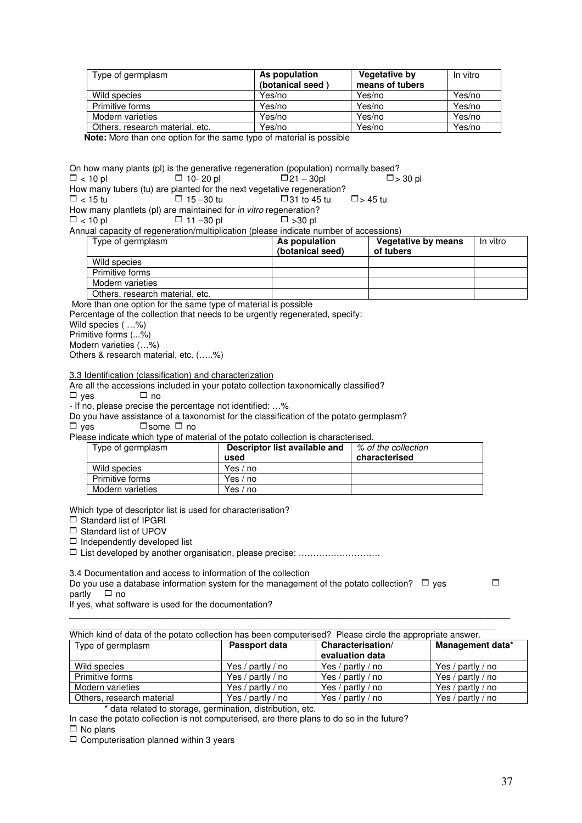| Type of germplasm                                                    | As population    | <b>Vegetative by</b> | In vitro |
|----------------------------------------------------------------------|------------------|----------------------|----------|
|                                                                      | (botanical seed) | means of tubers      |          |
| Wild species                                                         | Yes/no           | Yes/no               | Yes/no   |
| Primitive forms                                                      | Yes/no           | Yes/no               | Yes/no   |
| Modern varieties                                                     | Yes/no           | Yes/no               | Yes/no   |
| Others, research material, etc.                                      | Yes/no           | Yes/no               | Yes/no   |
| Note: Mara than ano option for the same type of material is pessible |                  |                      |          |

**Note:** More than one option for the same type of material is possible

On how many plants (pl) is the generative regeneration (population) normally based?<br> $\square$  < 10 pl  $\square$  = 10- 20 pl  $\square$  = 10- 20 pl  $\square$  = 30 pl  $\square$  = 30 pl  $\Box$  10- 20 pl

How many tubers (tu) are planted for the next vegetative regeneration?<br> $\square$  < 15 tu  $\square$  15 -30 tu  $\square$  31 to 45 tu  $\Box$  < 15 tu  $\Box$  15 – 30 tu  $\Box$  31 to 45 tu  $\Box$  > 45 tu

How many plantlets (pl) are maintained for *in vitro* regeneration?<br> $\square$  < 10 pl  $\square$  -30 pl  $\square$  -30 pl

 $\Box$  11 –30 pl

Annual capacity of regeneration/multiplication (please indicate number of accessions)

| Type of germplasm               | As population<br>(botanical seed) | <b>Vegetative by means</b><br>of tubers | In vitro |
|---------------------------------|-----------------------------------|-----------------------------------------|----------|
| Wild species                    |                                   |                                         |          |
| Primitive forms                 |                                   |                                         |          |
| Modern varieties                |                                   |                                         |          |
| Others, research material, etc. |                                   |                                         |          |

More than one option for the same type of material is possible

Percentage of the collection that needs to be urgently regenerated, specify:

Wild species ( …%)

Primitive forms (...%)

Modern varieties (…%)

Others & research material, etc. (…..%)

3.3 Identification (classification) and characterization

Are all the accessions included in your potato collection taxonomically classified?<br> $\square$  ves

 $\Box$  yes

- If no, please precise the percentage not identified: …%

Do you have assistance of a taxonomist for the classification of the potato germplasm?

 $\Box$  yes  $\Box$  some  $\Box$  no

Please indicate which type of material of the potato collection is characterised.

| Type of germplasm | Descriptor list available and<br>used | % of the collection<br>characterised |
|-------------------|---------------------------------------|--------------------------------------|
| Wild species      | Yes / no                              |                                      |
| Primitive forms   | Yes / no                              |                                      |
| Modern varieties  | Yes / no                              |                                      |

Which type of descriptor list is used for characterisation?

 $\Box$  Standard list of IPGRI

 $\Box$  Standard list of UPOV

 $\Box$  Independently developed list

□ List developed by another organisation, please precise: …………………………………………………………

3.4 Documentation and access to information of the collection

Do you use a database information system for the management of the potato collection?  $\Box$  yes  $\Box$  $partiv$   $\Box$  no

If yes, what software is used for the documentation?

| Which kind of data of the potato collection has been computerised? Please circle the appropriate answer. |                   |                                      |                   |  |  |  |  |  |
|----------------------------------------------------------------------------------------------------------|-------------------|--------------------------------------|-------------------|--|--|--|--|--|
| Type of germplasm                                                                                        | Passport data     | Characterisation/<br>evaluation data | Management data*  |  |  |  |  |  |
| Wild species                                                                                             | Yes / partly / no | Yes / partly / no                    | Yes / partly / no |  |  |  |  |  |
| Primitive forms                                                                                          | Yes / partly / no | Yes / partly / no                    | Yes / partly / no |  |  |  |  |  |
| Modern varieties                                                                                         | Yes / partly / no | Yes / partly / no                    | Yes / partly / no |  |  |  |  |  |
| Others, research material                                                                                | Yes / partly / no | Yes / partly / no                    | Yes / partly / no |  |  |  |  |  |

 $\mathcal{L}_\mathcal{L} = \{ \mathcal{L}_\mathcal{L} = \{ \mathcal{L}_\mathcal{L} = \{ \mathcal{L}_\mathcal{L} = \{ \mathcal{L}_\mathcal{L} = \{ \mathcal{L}_\mathcal{L} = \{ \mathcal{L}_\mathcal{L} = \{ \mathcal{L}_\mathcal{L} = \{ \mathcal{L}_\mathcal{L} = \{ \mathcal{L}_\mathcal{L} = \{ \mathcal{L}_\mathcal{L} = \{ \mathcal{L}_\mathcal{L} = \{ \mathcal{L}_\mathcal{L} = \{ \mathcal{L}_\mathcal{L} = \{ \mathcal{L}_\mathcal{$ 

\* data related to storage, germination, distribution, etc.

In case the potato collection is not computerised, are there plans to do so in the future?

 $\Box$  No plans

 $\Box$  Computerisation planned within 3 years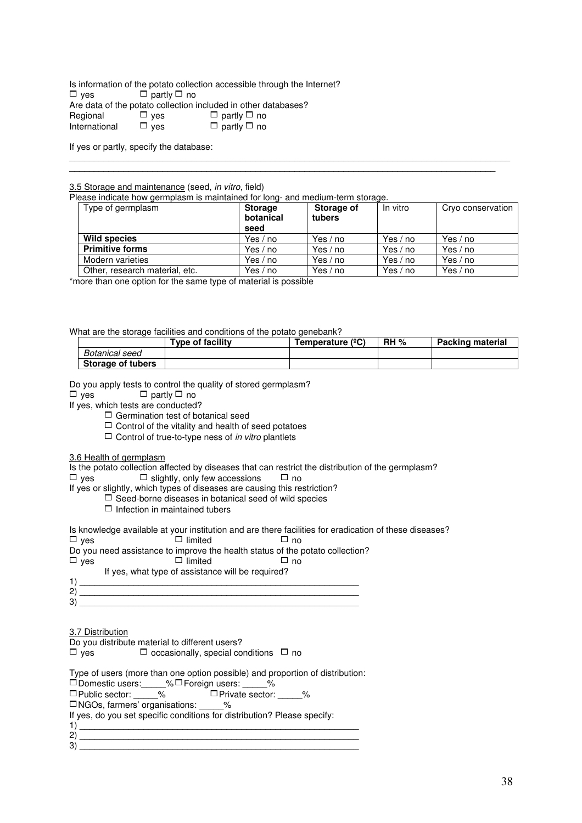Is information of the potato collection accessible through the Internet?<br> $\Box$  yes  $\Box$  partly  $\Box$  no  $\Box$  partly  $\Box$  no Are data of the potato collection included in other databases?<br>
Regional  $\square$  ves  $\square$  partly  $\square$  no  $\Box$  yes  $\Box$  partly  $\Box$  no  $\Box$  ves  $\Box$  partly  $\Box$  no International  $\Box$  yes  $\Box$  partly  $\Box$  no

If yes or partly, specify the database:

#### 3.5 Storage and maintenance (seed, in vitro, field)

Please indicate how germplasm is maintained for long- and medium-term storage.

| Type of germplasm              | <b>Storage</b><br>botanical<br>seed | Storage of<br>tubers | In vitro | Cryo conservation |
|--------------------------------|-------------------------------------|----------------------|----------|-------------------|
| <b>Wild species</b>            | Yes / no                            | Yes / no             | Yes / no | Yes $/$ no        |
| <b>Primitive forms</b>         | Yes / no                            | Yes / no             | Yes / no | Yes / no          |
| Modern varieties               | Yes / no                            | Yes / no             | Yes / no | Yes / no          |
| Other, research material, etc. | Yes / no                            | Yes / no             | Yes / no | Yes / no          |

 $\mathcal{L}_\mathcal{L} = \{ \mathcal{L}_\mathcal{L} = \{ \mathcal{L}_\mathcal{L} = \{ \mathcal{L}_\mathcal{L} = \{ \mathcal{L}_\mathcal{L} = \{ \mathcal{L}_\mathcal{L} = \{ \mathcal{L}_\mathcal{L} = \{ \mathcal{L}_\mathcal{L} = \{ \mathcal{L}_\mathcal{L} = \{ \mathcal{L}_\mathcal{L} = \{ \mathcal{L}_\mathcal{L} = \{ \mathcal{L}_\mathcal{L} = \{ \mathcal{L}_\mathcal{L} = \{ \mathcal{L}_\mathcal{L} = \{ \mathcal{L}_\mathcal{$ \_\_\_\_\_\_\_\_\_\_\_\_\_\_\_\_\_\_\_\_\_\_\_\_\_\_\_\_\_\_\_\_\_\_\_\_\_\_\_\_\_\_\_\_\_\_\_\_\_\_\_\_\_\_\_\_\_\_\_\_\_\_\_\_\_\_\_\_\_\_\_\_\_\_\_\_\_\_\_\_\_\_\_\_\_\_\_

\*more than one option for the same type of material is possible

What are the storage facilities and conditions of the potato genebank?

|                   | Type of facility | Temperature (°C) | $RH \%$ | <b>Packing material</b> |
|-------------------|------------------|------------------|---------|-------------------------|
| Botanical seed    |                  |                  |         |                         |
| Storage of tubers |                  |                  |         |                         |

Do you apply tests to control the quality of stored germplasm?

 $\Box$  yes  $\Box$  partly  $\Box$  no

If yes, which tests are conducted?

 $\Box$  Germination test of botanical seed

 $\Box$  Control of the vitality and health of seed potatoes

 $\Box$  Control of true-to-type ness of *in vitro* plantlets

3.6 Health of germplasm

Is the potato collection affected by diseases that can restrict the distribution of the germplasm?

 $\Box$  yes  $\Box$  slightly, only few accessions  $\Box$  no

If yes or slightly, which types of diseases are causing this restriction?

 $\Box$  Seed-borne diseases in botanical seed of wild species

 $\Box$  Infection in maintained tubers

Is knowledge available at your institution and are there facilities for eradication of these diseases?

 $\Box$  yes  $\Box$  limited  $\Box$  no

Do you need assistance to improve the health status of the potato collection?<br> $\Box$  yes  $\Box$   $\Box$  imited  $\Box$   $\Box$  no

- $\Box$  limited
- If yes, what type of assistance will be required?

1) \_\_\_\_\_\_\_\_\_\_\_\_\_\_\_\_\_\_\_\_\_\_\_\_\_\_\_\_\_\_\_\_\_\_\_\_\_\_\_\_\_\_\_\_\_\_\_\_\_\_\_\_\_\_\_\_\_ 2) \_\_\_\_\_\_\_\_\_\_\_\_\_\_\_\_\_\_\_\_\_\_\_\_\_\_\_\_\_\_\_\_\_\_\_\_\_\_\_\_\_\_\_\_\_\_\_\_\_\_\_\_\_\_\_\_\_ 3) \_\_\_\_\_\_\_\_\_\_\_\_\_\_\_\_\_\_\_\_\_\_\_\_\_\_\_\_\_\_\_\_\_\_\_\_\_\_\_\_\_\_\_\_\_\_\_\_\_\_\_\_\_\_\_\_\_

3.7 Distribution

Do you distribute material to different users?

 $\Box$  yes  $\Box$  occasionally, special conditions  $\Box$  no

Type of users (more than one option possible) and proportion of distribution:

1Domestic users:\_\_\_\_\_% 1Foreign users: \_\_\_\_\_% 1Public sector: \_\_\_\_\_% 1Private sector: \_\_\_\_\_%

1NGOs, farmers' organisations: \_\_\_\_\_%

If yes, do you set specific conditions for distribution? Please specify: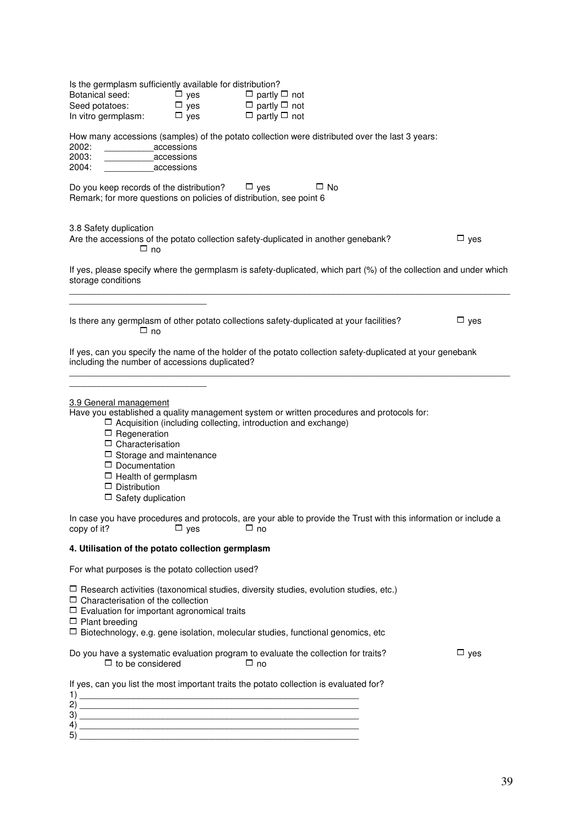| Is the germplasm sufficiently available for distribution?<br>Botanical seed:<br>Seed potatoes:<br>In vitro germplasm:                                                                                                | $\Box$ yes<br>$\Box$ yes<br>$\Box$ yes | $\Box$ partly $\Box$ not<br>$\Box$ partly $\Box$ not<br>$\Box$ partly $\Box$ not                                                                                                       |            |
|----------------------------------------------------------------------------------------------------------------------------------------------------------------------------------------------------------------------|----------------------------------------|----------------------------------------------------------------------------------------------------------------------------------------------------------------------------------------|------------|
| 2002:<br>2003:<br>2004:                                                                                                                                                                                              | accessions<br>accessions<br>accessions | How many accessions (samples) of the potato collection were distributed over the last 3 years:                                                                                         |            |
| Do you keep records of the distribution? $\Box$ yes<br>Remark; for more questions on policies of distribution, see point 6                                                                                           |                                        | $\Box$ No                                                                                                                                                                              |            |
| 3.8 Safety duplication<br>$\Box$ no                                                                                                                                                                                  |                                        | Are the accessions of the potato collection safety-duplicated in another genebank?                                                                                                     | $\Box$ yes |
| storage conditions                                                                                                                                                                                                   |                                        | If yes, please specify where the germplasm is safety-duplicated, which part (%) of the collection and under which                                                                      |            |
| $\Box$ no                                                                                                                                                                                                            |                                        | Is there any germplasm of other potato collections safety-duplicated at your facilities?                                                                                               | $\Box$ yes |
| including the number of accessions duplicated?                                                                                                                                                                       |                                        | If yes, can you specify the name of the holder of the potato collection safety-duplicated at your genebank                                                                             |            |
| 3.9 General management<br>$\Box$ Regeneration<br>$\Box$ Characterisation<br>$\Box$ Storage and maintenance<br>$\Box$ Documentation<br>$\Box$ Health of germplasm<br>$\Box$ Distribution<br>$\Box$ Safety duplication |                                        | Have you established a quality management system or written procedures and protocols for:<br>$\Box$ Acquisition (including collecting, introduction and exchange)                      |            |
| copy of it?                                                                                                                                                                                                          | $\Box$ yes                             | In case you have procedures and protocols, are your able to provide the Trust with this information or include a<br>$\Box$ no                                                          |            |
| 4. Utilisation of the potato collection germplasm                                                                                                                                                                    |                                        |                                                                                                                                                                                        |            |
| For what purposes is the potato collection used?                                                                                                                                                                     |                                        |                                                                                                                                                                                        |            |
| $\Box$ Characterisation of the collection<br>$\Box$ Evaluation for important agronomical traits<br>$\Box$ Plant breeding                                                                                             |                                        | $\Box$ Research activities (taxonomical studies, diversity studies, evolution studies, etc.)<br>$\Box$ Biotechnology, e.g. gene isolation, molecular studies, functional genomics, etc |            |
| $\Box$ to be considered                                                                                                                                                                                              |                                        | Do you have a systematic evaluation program to evaluate the collection for traits?<br>$\Box$ no                                                                                        | $\Box$ yes |
| 2)<br>3)<br>4)<br>5)                                                                                                                                                                                                 |                                        | If yes, can you list the most important traits the potato collection is evaluated for?                                                                                                 |            |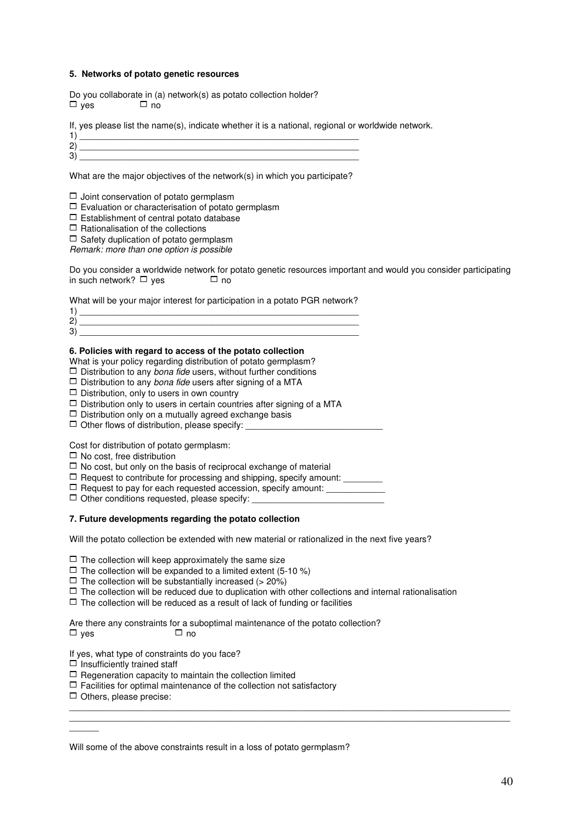#### **5. Networks of potato genetic resources**

Do you collaborate in (a) network(s) as potato collection holder?  $\Box$  yes  $\Box$  no

If, yes please list the name(s), indicate whether it is a national, regional or worldwide network.

1)  $\overline{\phantom{a}}$ 2) \_\_\_\_\_\_\_\_\_\_\_\_\_\_\_\_\_\_\_\_\_\_\_\_\_\_\_\_\_\_\_\_\_\_\_\_\_\_\_\_\_\_\_\_\_\_\_\_\_\_\_\_\_\_\_\_\_ 3) \_\_\_\_\_\_\_\_\_\_\_\_\_\_\_\_\_\_\_\_\_\_\_\_\_\_\_\_\_\_\_\_\_\_\_\_\_\_\_\_\_\_\_\_\_\_\_\_\_\_\_\_\_\_\_\_\_

What are the major objectives of the network(s) in which you participate?

 $\Box$  Joint conservation of potato germplasm

 $\Box$  Evaluation or characterisation of potato germplasm

 $\Box$  Establishment of central potato database

 $\Box$  Rationalisation of the collections

 $\Box$  Safety duplication of potato germplasm

Remark: more than one option is possible

Do you consider a worldwide network for potato genetic resources important and would you consider participating in such network?  $\Box$  yes  $\Box$  no

What will be your major interest for participation in a potato PGR network?

| n |  |
|---|--|
| ົ |  |
|   |  |

#### **6. Policies with regard to access of the potato collection**

What is your policy regarding distribution of potato germplasm?

 $\Box$  Distribution to any *bona fide* users, without further conditions

- $\Box$  Distribution to any bona fide users after signing of a MTA
- $\Box$  Distribution, only to users in own country

 $\Box$  Distribution only to users in certain countries after signing of a MTA

- $\Box$  Distribution only on a mutually agreed exchange basis
- $\Box$  Other flows of distribution, please specify:

Cost for distribution of potato germplasm:

 $\Box$  No cost, free distribution

 $\Box$  No cost, but only on the basis of reciprocal exchange of material

 $\Box$  Request to contribute for processing and shipping, specify amount:

 $\Box$  Request to pay for each requested accession, specify amount:

 $\Box$  Other conditions requested, please specify:

#### **7. Future developments regarding the potato collection**

Will the potato collection be extended with new material or rationalized in the next five years?

 $\Box$  The collection will keep approximately the same size

 $\Box$  The collection will be expanded to a limited extent (5-10 %)

 $\Box$  The collection will be substantially increased (> 20%)

 $\Box$  The collection will be reduced due to duplication with other collections and internal rationalisation

 $\mathcal{L}_\mathcal{L} = \{ \mathcal{L}_\mathcal{L} = \{ \mathcal{L}_\mathcal{L} = \{ \mathcal{L}_\mathcal{L} = \{ \mathcal{L}_\mathcal{L} = \{ \mathcal{L}_\mathcal{L} = \{ \mathcal{L}_\mathcal{L} = \{ \mathcal{L}_\mathcal{L} = \{ \mathcal{L}_\mathcal{L} = \{ \mathcal{L}_\mathcal{L} = \{ \mathcal{L}_\mathcal{L} = \{ \mathcal{L}_\mathcal{L} = \{ \mathcal{L}_\mathcal{L} = \{ \mathcal{L}_\mathcal{L} = \{ \mathcal{L}_\mathcal{$  $\mathcal{L}_\mathcal{L} = \{ \mathcal{L}_\mathcal{L} = \{ \mathcal{L}_\mathcal{L} = \{ \mathcal{L}_\mathcal{L} = \{ \mathcal{L}_\mathcal{L} = \{ \mathcal{L}_\mathcal{L} = \{ \mathcal{L}_\mathcal{L} = \{ \mathcal{L}_\mathcal{L} = \{ \mathcal{L}_\mathcal{L} = \{ \mathcal{L}_\mathcal{L} = \{ \mathcal{L}_\mathcal{L} = \{ \mathcal{L}_\mathcal{L} = \{ \mathcal{L}_\mathcal{L} = \{ \mathcal{L}_\mathcal{L} = \{ \mathcal{L}_\mathcal{$ 

 $\Box$  The collection will be reduced as a result of lack of funding or facilities

Are there any constraints for a suboptimal maintenance of the potato collection?  $\Box$  yes  $\Box$  no

If yes, what type of constraints do you face?

 $\Box$  Insufficiently trained staff

 $\Box$  Regeneration capacity to maintain the collection limited

 $\Box$  Facilities for optimal maintenance of the collection not satisfactory

 $\Box$  Others, please precise:

 $\overline{\phantom{a}}$ 

| Will some of the above constraints result in a loss of potato germplasm? |  |
|--------------------------------------------------------------------------|--|
|--------------------------------------------------------------------------|--|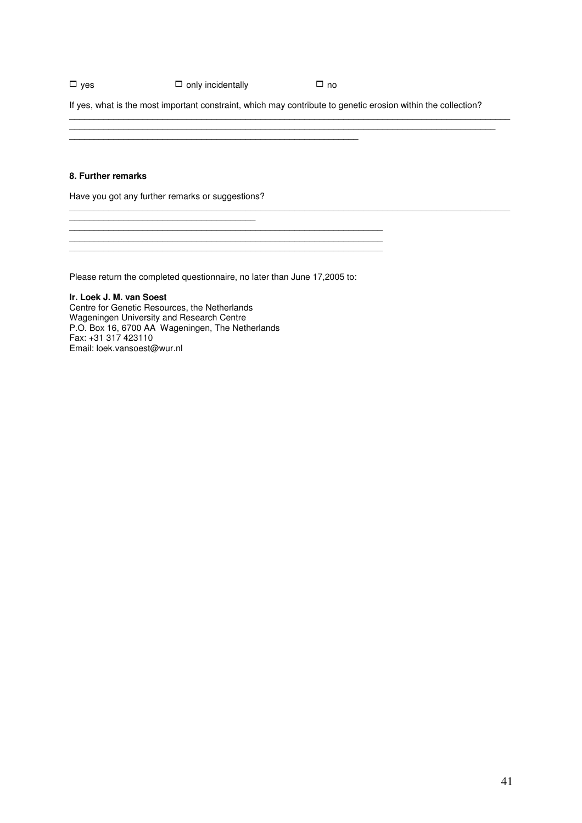## $\Box$  yes  $\Box$  only incidentally  $\Box$  no

If yes, what is the most important constraint, which may contribute to genetic erosion within the collection?

 $\mathcal{L}_\mathcal{L} = \{ \mathcal{L}_\mathcal{L} = \{ \mathcal{L}_\mathcal{L} = \{ \mathcal{L}_\mathcal{L} = \{ \mathcal{L}_\mathcal{L} = \{ \mathcal{L}_\mathcal{L} = \{ \mathcal{L}_\mathcal{L} = \{ \mathcal{L}_\mathcal{L} = \{ \mathcal{L}_\mathcal{L} = \{ \mathcal{L}_\mathcal{L} = \{ \mathcal{L}_\mathcal{L} = \{ \mathcal{L}_\mathcal{L} = \{ \mathcal{L}_\mathcal{L} = \{ \mathcal{L}_\mathcal{L} = \{ \mathcal{L}_\mathcal{$ \_\_\_\_\_\_\_\_\_\_\_\_\_\_\_\_\_\_\_\_\_\_\_\_\_\_\_\_\_\_\_\_\_\_\_\_\_\_\_\_\_\_\_\_\_\_\_\_\_\_\_\_\_\_\_\_\_\_\_\_\_\_\_\_\_\_\_\_\_\_\_\_\_\_\_\_\_\_\_\_\_\_\_\_\_\_\_

 $\mathcal{L}_\mathcal{L} = \{ \mathcal{L}_\mathcal{L} = \{ \mathcal{L}_\mathcal{L} = \{ \mathcal{L}_\mathcal{L} = \{ \mathcal{L}_\mathcal{L} = \{ \mathcal{L}_\mathcal{L} = \{ \mathcal{L}_\mathcal{L} = \{ \mathcal{L}_\mathcal{L} = \{ \mathcal{L}_\mathcal{L} = \{ \mathcal{L}_\mathcal{L} = \{ \mathcal{L}_\mathcal{L} = \{ \mathcal{L}_\mathcal{L} = \{ \mathcal{L}_\mathcal{L} = \{ \mathcal{L}_\mathcal{L} = \{ \mathcal{L}_\mathcal{$ 

#### **8. Further remarks**

Have you got any further remarks or suggestions?

\_\_\_\_\_\_\_\_\_\_\_\_\_\_\_\_\_\_\_\_\_\_\_\_\_\_\_\_\_\_\_\_\_\_\_\_\_\_

 $\mathcal{L}_\text{max} = \mathcal{L}_\text{max} = \mathcal{L}_\text{max} = \mathcal{L}_\text{max} = \mathcal{L}_\text{max} = \mathcal{L}_\text{max} = \mathcal{L}_\text{max} = \mathcal{L}_\text{max} = \mathcal{L}_\text{max} = \mathcal{L}_\text{max} = \mathcal{L}_\text{max} = \mathcal{L}_\text{max} = \mathcal{L}_\text{max} = \mathcal{L}_\text{max} = \mathcal{L}_\text{max} = \mathcal{L}_\text{max} = \mathcal{L}_\text{max} = \mathcal{L}_\text{max} = \mathcal{$ 

Please return the completed questionnaire, no later than June 17,2005 to:

\_\_\_\_\_\_\_\_\_\_\_\_\_\_\_\_\_\_\_\_\_\_\_\_\_\_\_\_\_\_\_\_\_\_\_\_\_\_\_\_\_\_\_\_\_\_\_\_\_\_\_\_\_\_\_\_\_\_\_\_\_\_\_\_

\_\_\_\_\_\_\_\_\_\_\_\_\_\_\_\_\_\_\_\_\_\_\_\_\_\_\_\_\_\_\_\_\_\_\_\_\_\_\_\_\_\_\_\_\_\_\_\_\_\_\_\_\_\_\_\_\_\_\_

**Ir. Loek J. M. van Soest**  Centre for Genetic Resources, the Netherlands Wageningen University and Research Centre P.O. Box 16, 6700 AA Wageningen, The Netherlands Fax: +31 317 423110 Email: loek.vansoest@wur.nl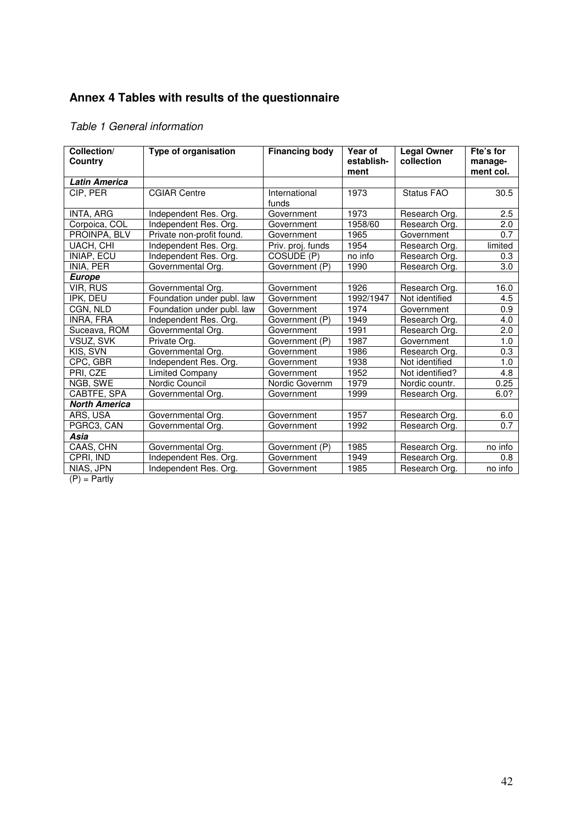# **Annex 4 Tables with results of the questionnaire**

# Table 1 General information

| Collection/<br>Country       | Type of organisation       | <b>Financing body</b> | Year of<br>establish- | <b>Legal Owner</b><br>collection | Fte's for<br>manage- |
|------------------------------|----------------------------|-----------------------|-----------------------|----------------------------------|----------------------|
|                              |                            |                       | ment                  |                                  | ment col.            |
| <b>Latin America</b>         |                            |                       |                       |                                  |                      |
| CIP, PER                     | <b>CGIAR Centre</b>        | International         | 1973                  | Status FAO                       | 30.5                 |
|                              |                            | funds                 |                       |                                  |                      |
| INTA, ARG                    | Independent Res. Org.      | Government            | 1973                  | Research Org.                    | 2.5                  |
| Corpoica, COL                | Independent Res. Org.      | Government            | 1958/60               | Research Org.                    | 2.0                  |
| PROINPA, BLV                 | Private non-profit found.  | Government            | 1965                  | Government                       | 0.7                  |
| <b>UACH, CHI</b>             | Independent Res. Org.      | Priv. proj. funds     | 1954                  | Research Org.                    | limited              |
| <b>INIAP, ECU</b>            | Independent Res. Org.      | COSUDE (P)            | no info               | Research Org.                    | 0.3                  |
| INIA, PER                    | Governmental Org.          | Government (P)        | 1990                  | Research Org.                    | 3.0                  |
| <b>Europe</b>                |                            |                       |                       |                                  |                      |
| VIR, RUS                     | Governmental Org.          | Government            | 1926                  | Research Org.                    | 16.0                 |
| IPK, DEU                     | Foundation under publ. law | Government            | 1992/1947             | Not identified                   | 4.5                  |
| CGN, NLD                     | Foundation under publ. law | Government            | 1974                  | Government                       | 0.9                  |
| INRA, FRA                    | Independent Res. Org.      | Government (P)        | 1949                  | Research Org.                    | 4.0                  |
| Suceava, ROM                 | Governmental Org.          | Government            | 1991                  | Research Org.                    | 2.0                  |
| VSUZ, SVK                    | Private Org.               | Government (P)        | 1987                  | Government                       | 1.0                  |
| KIS, SVN                     | Governmental Org.          | Government            | 1986                  | Research Org.                    | 0.3                  |
| CPC, GBR                     | Independent Res. Org.      | Government            | 1938                  | Not identified                   | 1.0                  |
| PRI, CZE                     | Limited Company            | Government            | 1952                  | Not identified?                  | 4.8                  |
| NGB, SWE                     | Nordic Council             | Nordic Governm        | 1979                  | Nordic countr.                   | 0.25                 |
| CABTFE, SPA                  | Governmental Org.          | Government            | 1999                  | Research Org.                    | 6.0?                 |
| <b>North America</b>         |                            |                       |                       |                                  |                      |
| ARS, USA                     | Governmental Org.          | Government            | 1957                  | Research Org.                    | 6.0                  |
| PGRC3, CAN                   | Governmental Org.          | Government            | 1992                  | Research Org.                    | $\overline{0.7}$     |
| Asia                         |                            |                       |                       |                                  |                      |
| CAAS, CHN                    | Governmental Org.          | Government (P)        | 1985                  | Research Org.                    | no info              |
| CPRI, IND                    | Independent Res. Org.      | Government            | 1949                  | Research Org.                    | 0.8                  |
| NIAS, JPN<br>$(D)$ $D = 1$ . | Independent Res. Org.      | Government            | 1985                  | Research Org.                    | no info              |

 $(P) =$  Partly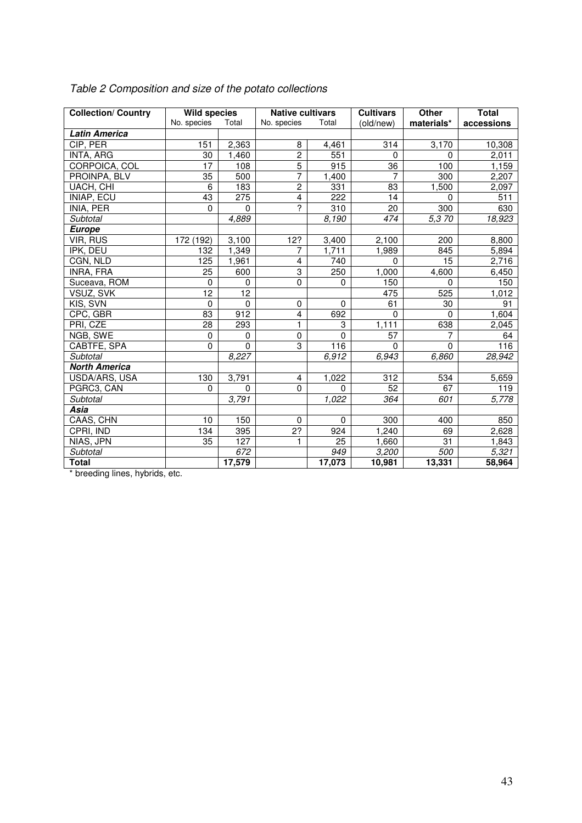| <b>Collection/ Country</b> | <b>Wild species</b> |                  | <b>Native cultivars</b> |                  | <b>Cultivars</b> | Other           | <b>Total</b> |
|----------------------------|---------------------|------------------|-------------------------|------------------|------------------|-----------------|--------------|
|                            | No. species         | Total            | No. species             | Total            | (old/new)        | materials*      | accessions   |
| <b>Latin America</b>       |                     |                  |                         |                  |                  |                 |              |
| CIP, PER                   | 151                 | 2,363            | 8                       | 4,461            | 314              | 3,170           | 10,308       |
| INTA, ARG                  | 30                  | 1,460            | $\overline{2}$          | 551              | 0                | 0               | 2,011        |
| CORPOICA, COL              | 17                  | 108              | $\overline{5}$          | 915              | 36               | 100             | 1,159        |
| PROINPA, BLV               | 35                  | 500              | $\overline{7}$          | 1,400            | 7                | 300             | 2,207        |
| UACH, CHI                  | 6                   | 183              | $\overline{2}$          | 331              | 83               | 1,500           | 2,097        |
| INIAP, ECU                 | 43                  | 275              | 4                       | $\overline{222}$ | 14               | 0               | 511          |
| INIA, PER                  | $\mathbf 0$         | $\mathbf 0$      | $\overline{?}$          | 310              | 20               | 300             | 630          |
| Subtotal                   |                     | 4,889            |                         | 8,190            | 474              | 5,370           | 18,923       |
| <b>Europe</b>              |                     |                  |                         |                  |                  |                 |              |
| VIR, RUS                   | 172 (192)           | 3,100            | 12?                     | 3,400            | 2,100            | 200             | 8,800        |
| IPK, DEU                   | 132                 | 1,349            | 7                       | 1,711            | 1,989            | 845             | 5,894        |
| CGN, NLD                   | 125                 | 1,961            | $\overline{4}$          | 740              | $\Omega$         | 15              | 2,716        |
| INRA, FRA                  | 25                  | 600              | 3                       | 250              | 1,000            | 4,600           | 6,450        |
| Suceava, ROM               | $\mathbf 0$         | 0                | $\mathbf 0$             | $\mathbf 0$      | 150              | $\Omega$        | 150          |
| VSUZ, SVK                  | $\overline{12}$     | $\overline{12}$  |                         |                  | 475              | 525             | 1,012        |
| KIS, SVN                   | $\mathbf 0$         | $\mathbf 0$      | $\mathbf 0$             | $\mathbf 0$      | 61               | 30              | 91           |
| CPC, GBR                   | 83                  | $\overline{912}$ | $\overline{\mathbf{4}}$ | 692              | $\mathbf 0$      | $\mathbf 0$     | 1,604        |
| PRI, CZE                   | $\overline{28}$     | 293              | $\mathbf{1}$            | 3                | 1,111            | 638             | 2,045        |
| NGB, SWE                   | $\mathbf 0$         | 0                | $\pmb{0}$               | $\Omega$         | 57               | 7               | 64           |
| CABTFE, SPA                | $\mathbf 0$         | $\mathbf 0$      | 3                       | 116              | $\Omega$         | $\Omega$        | 116          |
| Subtotal                   |                     | 8,227            |                         | 6,912            | 6,943            | 6,860           | 28,942       |
| <b>North America</b>       |                     |                  |                         |                  |                  |                 |              |
| USDA/ARS, USA              | 130                 | 3,791            | 4                       | 1,022            | 312              | 534             | 5,659        |
| PGRC3, CAN                 | $\Omega$            | $\Omega$         | $\mathbf 0$             | $\Omega$         | 52               | 67              | 119          |
| Subtotal                   |                     | 3,791            |                         | 1,022            | 364              | 601             | 5,778        |
| Asia                       |                     |                  |                         |                  |                  |                 |              |
| CAAS, CHN                  | 10                  | 150              | $\mathbf 0$             | $\Omega$         | 300              | 400             | 850          |
| CPRI, IND                  | 134                 | 395              | $\overline{2?}$         | 924              | 1,240            | 69              | 2,628        |
| NIAS, JPN                  | $\overline{35}$     | 127              | $\mathbf{1}$            | $\overline{25}$  | 1,660            | $\overline{31}$ | 1,843        |
| Subtotal                   |                     | 672              |                         | 949              | 3,200            | 500             | 5,321        |
| <b>Total</b>               |                     | 17,579           |                         | 17,073           | 10,981           | 13,331          | 58,964       |

# Table 2 Composition and size of the potato collections

\* breeding lines, hybrids, etc.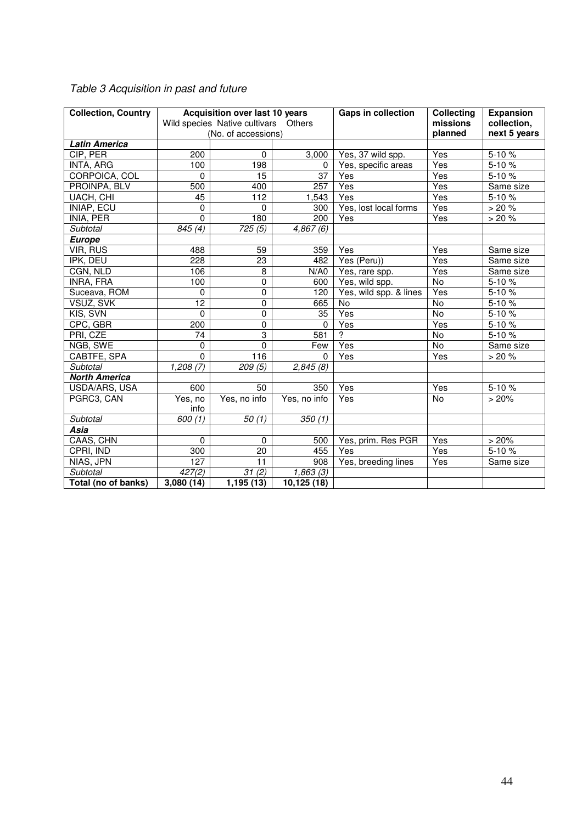| <b>Collection, Country</b> | <b>Acquisition over last 10 years</b><br>Wild species Native cultivars Others |                     | <b>Gaps in collection</b> | <b>Collecting</b><br>missions | <b>Expansion</b><br>collection, |              |
|----------------------------|-------------------------------------------------------------------------------|---------------------|---------------------------|-------------------------------|---------------------------------|--------------|
|                            |                                                                               | (No. of accessions) |                           |                               | planned                         | next 5 years |
| <b>Latin America</b>       |                                                                               |                     |                           |                               |                                 |              |
| CIP, PER                   | 200                                                                           | 0                   | 3,000                     | Yes, 37 wild spp.             | Yes                             | 5-10%        |
| INTA, ARG                  | 100                                                                           | 198                 | 0                         | Yes, specific areas           | Yes                             | $5 - 10%$    |
| CORPOICA, COL              | 0                                                                             | 15                  | 37                        | Yes                           | Yes                             | 5-10%        |
| PROINPA, BLV               | 500                                                                           | 400                 | 257                       | Yes                           | Yes                             | Same size    |
| UACH, CHI                  | 45                                                                            | 112                 | ,543                      | Yes                           | Yes                             | 5-10%        |
| INIAP, ECU                 | 0                                                                             | 0                   | 300                       | Yes, lost local forms         | Yes                             | > 20%        |
| INIA, PER                  | 0                                                                             | 180                 | 200                       | Yes                           | Yes                             | > 20%        |
| Subtotal                   | 845 (4)                                                                       | 725(5)              | 4,867(6)                  |                               |                                 |              |
| <b>Europe</b>              |                                                                               |                     |                           |                               |                                 |              |
| <b>VIR, RUS</b>            | 488                                                                           | 59                  | 359                       | Yes                           | Yes                             | Same size    |
| IPK, DEU                   | 228                                                                           | 23                  | 482                       | Yes (Peru))                   | Yes                             | Same size    |
| CGN, NLD                   | 106                                                                           | 8                   | N/A0                      | Yes, rare spp.                | Yes                             | Same size    |
| INRA, FRA                  | 100                                                                           | 0                   | 600                       | Yes, wild spp.                | No                              | 5-10%        |
| Suceava, ROM               | 0                                                                             | 0                   | 120                       | Yes, wild spp. & lines        | Yes                             | $5 - 10%$    |
| VSUZ, SVK                  | 12                                                                            | $\overline{0}$      | 665                       | <b>No</b>                     | No                              | $5 - 10%$    |
| KIS, SVN                   | $\Omega$                                                                      | $\overline{0}$      | 35                        | Yes                           | No                              | $5 - 10%$    |
| CPC, GBR                   | 200                                                                           | 0                   | $\Omega$                  | Yes                           | Yes                             | 5-10%        |
| PRI, CZE                   | 74                                                                            | 3                   | 581                       | $\overline{2}$                | No                              | $5-10%$      |
| NGB, SWE                   | 0                                                                             | 0                   | Few                       | Yes                           | No                              | Same size    |
| CABTFE, SPA                | 0                                                                             | 116                 | 0                         | Yes                           | Yes                             | $>20%$       |
| Subtotal                   | 1,208(7)                                                                      | 209(5)              | 2,845(8)                  |                               |                                 |              |
| <b>North America</b>       |                                                                               |                     |                           |                               |                                 |              |
| USDA/ARS, USA              | 600                                                                           | 50                  | 350                       | Yes                           | Yes                             | 5-10%        |
| PGRC3, CAN                 | Yes, no                                                                       | Yes, no info        | Yes, no info              | Yes                           | No                              | >20%         |
|                            | info                                                                          |                     |                           |                               |                                 |              |
| Subtotal                   | 600(1)                                                                        | 50(1)               | 350(1)                    |                               |                                 |              |
| Asia                       |                                                                               |                     |                           |                               |                                 |              |
| CAAS, CHN                  | 0                                                                             | 0                   | 500                       | Yes, prim. Res PGR            | Yes                             | >20%         |
| CPRI, IND                  | 300                                                                           | 20                  | 455                       | Yes                           | Yes                             | 5-10%        |
| NIAS, JPN                  | 127                                                                           | $\overline{11}$     | 908                       | Yes, breeding lines           | Yes                             | Same size    |
| Subtotal                   | 427(2)                                                                        | 31(2)               | 1,863(3)                  |                               |                                 |              |
| Total (no of banks)        | 3,080(14)                                                                     | 1,195(13)           | 10,125(18)                |                               |                                 |              |

## Table 3 Acquisition in past and future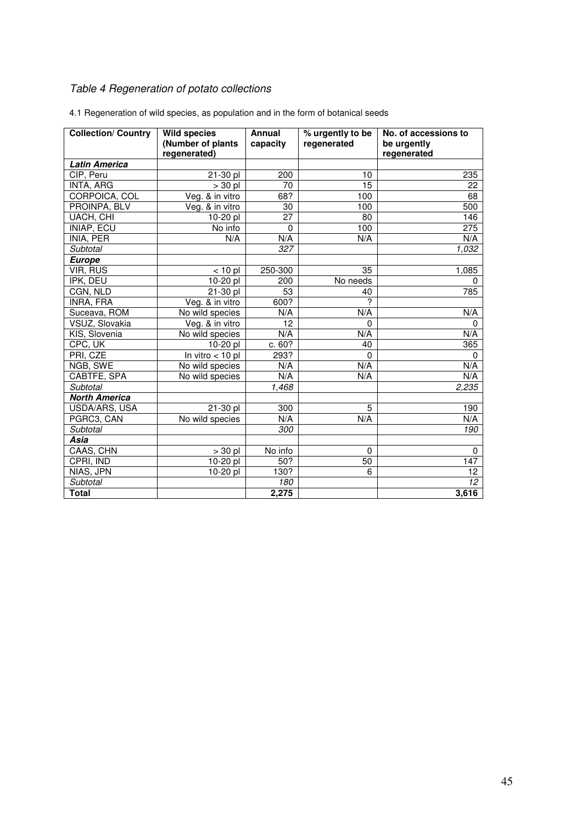# Table 4 Regeneration of potato collections

| <b>Collection/ Country</b> | <b>Wild species</b> | Annual   | % urgently to be | No. of accessions to |
|----------------------------|---------------------|----------|------------------|----------------------|
|                            | (Number of plants   | capacity | regenerated      | be urgently          |
|                            | regenerated)        |          |                  | regenerated          |
| <b>Latin America</b>       |                     |          |                  |                      |
| CIP, Peru                  | 21-30 pl            | 200      | 10               | 235                  |
| INTA, ARG                  | $> 30$ pl           | 70       | 15               | 22                   |
| CORPOICA, COL              | Veg. & in vitro     | 68?      | 100              | 68                   |
| PROINPA, BLV               | Veg. & in vitro     | 30       | 100              | 500                  |
| UACH, CHI                  | $10-20$ pl          | 27       | 80               | 146                  |
| <b>INIAP, ECU</b>          | No info             | 0        | 100              | 275                  |
| INIA, PER                  | N/A                 | N/A      | N/A              | N/A                  |
| Subtotal                   |                     | 327      |                  | 1,032                |
| Europe                     |                     |          |                  |                      |
| <b>VIR, RUS</b>            | $< 10$ pl           | 250-300  | 35               | 1,085                |
| IPK, DEU                   | 10-20 pl            | 200      | No needs         | 0                    |
| CGN, NLD                   | 21-30 pl            | 53       | 40               | 785                  |
| INRA, FRA                  | Veg. & in vitro     | 600?     | ?                |                      |
| Suceava, ROM               | No wild species     | N/A      | N/A              | N/A                  |
| VSUZ, Slovakia             | Veg. & in vitro     | 12       | 0                | 0                    |
| KIS, Slovenia              | No wild species     | N/A      | N/A              | N/A                  |
| CPC, UK                    | 10-20 pl            | c. 60?   | 40               | 365                  |
| PRI, CZE                   | In vitro $<$ 10 pl  | 293?     | $\Omega$         | $\Omega$             |
| NGB, SWE                   | No wild species     | N/A      | N/A              | N/A                  |
| CABTFE, SPA                | No wild species     | N/A      | N/A              | N/A                  |
| Subtotal                   |                     | 1,468    |                  | 2,235                |
| <b>North America</b>       |                     |          |                  |                      |
| USDA/ARS, USA              | $21 - 30$ pl        | 300      | 5                | 190                  |
| PGRC3, CAN                 | No wild species     | N/A      | N/A              | N/A                  |
| Subtotal                   |                     | 300      |                  | 190                  |
| Asia                       |                     |          |                  |                      |
| CAAS, CHN                  | $> 30$ pl           | No info  | $\mathbf 0$      | 0                    |
| CPRI, IND                  | 10-20 pl            | 50?      | 50               | 147                  |
| NIAS, JPN                  | 10-20 pl            | 130?     | 6                | 12                   |
| Subtotal                   |                     | 180      |                  | 12 <sup>2</sup>      |
| <b>Total</b>               |                     | 2,275    |                  | 3,616                |

4.1 Regeneration of wild species, as population and in the form of botanical seeds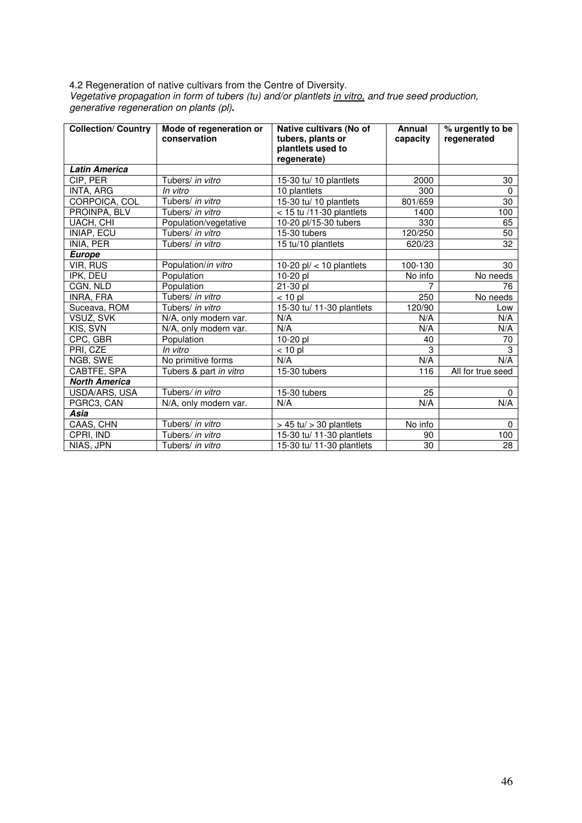4.2 Regeneration of native cultivars from the Centre of Diversity. Vegetative propagation in form of tubers (tu) and/or plantlets in vitro, and true seed production, generative regeneration on plants (pl)**.** 

| <b>Collection/ Country</b> | Mode of regeneration or<br>conservation | Native cultivars (No of<br>tubers, plants or<br>plantlets used to<br>regenerate) | Annual<br>capacity | % urgently to be<br>regenerated |
|----------------------------|-----------------------------------------|----------------------------------------------------------------------------------|--------------------|---------------------------------|
| <b>Latin America</b>       |                                         |                                                                                  |                    |                                 |
| CIP, PER                   | Tubers/ in vitro                        | 15-30 tu/ 10 plantlets                                                           | 2000               | 30                              |
| <b>INTA, ARG</b>           | In vitro                                | 10 plantlets                                                                     | 300                | 0                               |
| CORPOICA, COL              | Tubers/ in vitro                        | 15-30 tu/ 10 plantlets                                                           | 801/659            | 30                              |
| PROINPA, BLV               | Tubers/ in vitro                        | $<$ 15 tu /11-30 plantlets                                                       | 1400               | 100                             |
| UACH, CHI                  | Population/vegetative                   | 10-20 pl/15-30 tubers                                                            | 330                | 65                              |
| INIAP, ECU                 | Tubers/ in vitro                        | $15-30$ tubers                                                                   | 120/250            | 50                              |
| INIA, PER                  | Tubers/ in vitro                        | 15 tu/10 plantlets                                                               | 620/23             | 32                              |
| <b>Europe</b>              |                                         |                                                                                  |                    |                                 |
| VIR, RUS                   | Population/in vitro                     | 10-20 $p$ l/ < 10 plantlets                                                      | 100-130            | 30                              |
| IPK, DEU                   | Population                              | 10-20 pl                                                                         | No info            | No needs                        |
| CGN, NLD                   | Population                              | 21-30 pl                                                                         | 7                  | 76                              |
| <b>INRA, FRA</b>           | Tubers/ in vitro                        | $< 10$ pl                                                                        | 250                | No needs                        |
| Suceava, ROM               | Tubers/ in vitro                        | 15-30 tu/ 11-30 plantlets                                                        | 120/90             | Low                             |
| VSUZ, SVK                  | N/A, only modern var.                   | N/A                                                                              | N/A                | N/A                             |
| KIS, SVN                   | N/A, only modern var.                   | N/A                                                                              | N/A                | N/A                             |
| CPC, GBR                   | Population                              | 10-20 pl                                                                         | 40                 | 70                              |
| PRI, CZE                   | In vitro                                | $< 10$ pl                                                                        | 3                  | 3                               |
| NGB, SWE                   | No primitive forms                      | N/A                                                                              | N/A                | N/A                             |
| CABTFE, SPA                | Tubers & part in vitro                  | 15-30 tubers                                                                     | 116                | All for true seed               |
| <b>North America</b>       |                                         |                                                                                  |                    |                                 |
| USDA/ARS, USA              | Tubers/ in vitro                        | $15-30$ tubers                                                                   | 25                 | $\Omega$                        |
| PGRC3, CAN                 | N/A, only modern var.                   | N/A                                                                              | N/A                | N/A                             |
| Asia                       |                                         |                                                                                  |                    |                                 |
| CAAS, CHN                  | Tubers/ in vitro                        | $>$ 45 tu/ $>$ 30 plantlets                                                      | No info            | $\Omega$                        |
| CPRI, IND                  | Tubers/ in vitro                        | 15-30 tu/ 11-30 plantlets                                                        | 90                 | 100                             |
| NIAS, JPN                  | Tubers/ in vitro                        | 15-30 tu/ 11-30 plantlets                                                        | 30                 | 28                              |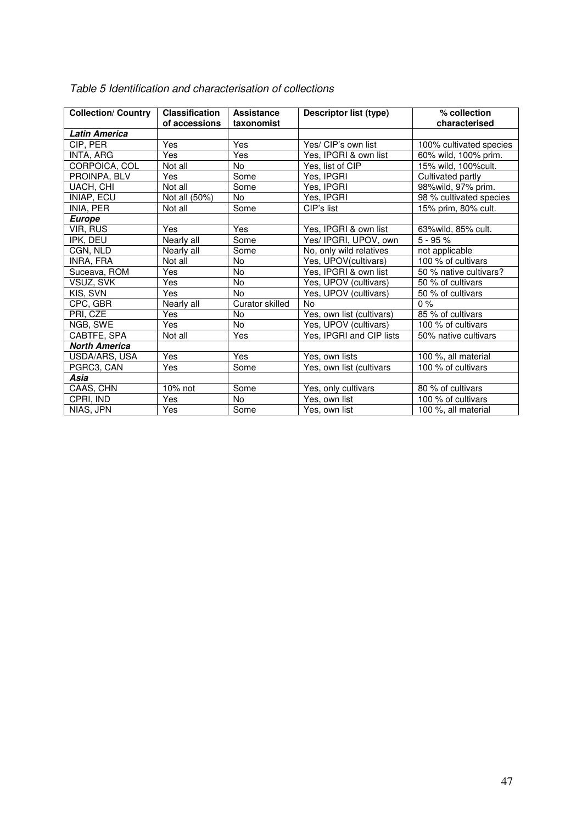| <b>Collection/ Country</b> | <b>Classification</b> | <b>Assistance</b> | <b>Descriptor list (type)</b> | % collection            |
|----------------------------|-----------------------|-------------------|-------------------------------|-------------------------|
|                            | of accessions         | taxonomist        |                               | characterised           |
| <b>Latin America</b>       |                       |                   |                               |                         |
| CIP, PER                   | Yes                   | Yes               | Yes/ CIP's own list           | 100% cultivated species |
| INTA, ARG                  | <b>Yes</b>            | Yes               | Yes, IPGRI & own list         | 60% wild, 100% prim.    |
| CORPOICA, COL              | Not all               | <b>No</b>         | Yes, list of CIP              | 15% wild, 100% cult.    |
| PROINPA, BLV               | Yes                   | Some              | Yes, IPGRI                    | Cultivated partly       |
| UACH, CHI                  | Not all               | Some              | Yes, IPGRI                    | 98% wild, 97% prim.     |
| INIAP, ECU                 | Not all (50%)         | No.               | Yes, IPGRI                    | 98 % cultivated species |
| INIA, PER                  | Not all               | Some              | CIP's list                    | 15% prim, 80% cult.     |
| <b>Europe</b>              |                       |                   |                               |                         |
| VIR, RUS                   | Yes                   | Yes               | Yes, IPGRI & own list         | 63% wild, 85% cult.     |
| IPK, DEU                   | Nearly all            | Some              | Yes/ IPGRI, UPOV, own         | $5 - 95%$               |
| CGN, NLD                   | Nearly all            | Some              | No, only wild relatives       | not applicable          |
| INRA, FRA                  | Not all               | No.               | Yes, UPOV(cultivars)          | 100 % of cultivars      |
| Suceava, ROM               | <b>Yes</b>            | <b>No</b>         | Yes, IPGRI & own list         | 50 % native cultivars?  |
| VSUZ, SVK                  | <b>Yes</b>            | <b>No</b>         | Yes, UPOV (cultivars)         | 50 % of cultivars       |
| KIS, SVN                   | Yes                   | No.               | Yes, UPOV (cultivars)         | 50 % of cultivars       |
| CPC, GBR                   | Nearly all            | Curator skilled   | <b>No</b>                     | $0\%$                   |
| PRI, CZE                   | Yes                   | <b>No</b>         | Yes, own list (cultivars)     | 85 % of cultivars       |
| NGB, SWE                   | <b>Yes</b>            | <b>No</b>         | Yes, UPOV (cultivars)         | 100 % of cultivars      |
| CABTFE, SPA                | Not all               | Yes               | Yes, IPGRI and CIP lists      | 50% native cultivars    |
| <b>North America</b>       |                       |                   |                               |                         |
| USDA/ARS, USA              | Yes                   | Yes               | Yes, own lists                | 100 %, all material     |
| PGRC3, CAN                 | Yes                   | Some              | Yes, own list (cultivars      | 100 % of cultivars      |
| Asia                       |                       |                   |                               |                         |
| CAAS, CHN                  | $10\%$ not            | Some              | Yes, only cultivars           | 80 % of cultivars       |
| CPRI, IND                  | Yes                   | <b>No</b>         | Yes, own list                 | 100 % of cultivars      |
| NIAS, JPN                  | Yes                   | Some              | Yes, own list                 | 100 %, all material     |

## Table 5 Identification and characterisation of collections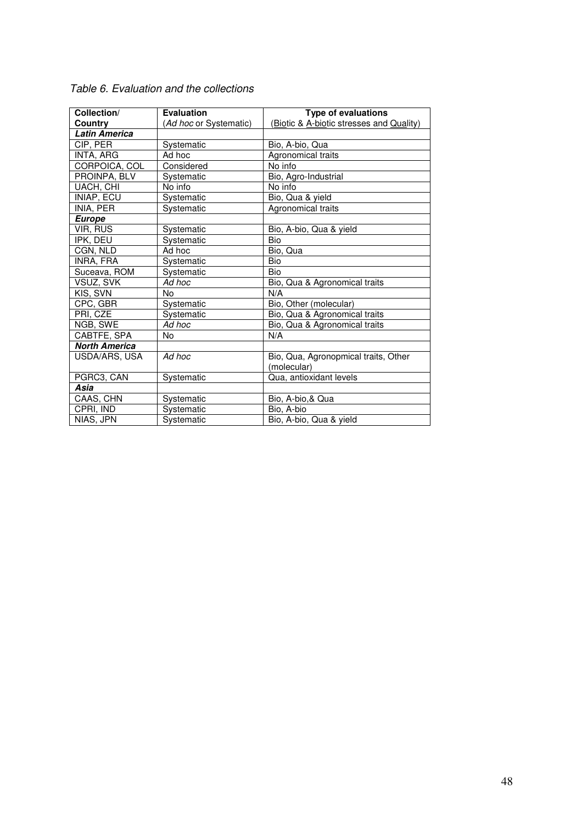| Collection/          | <b>Evaluation</b>      | <b>Type of evaluations</b>               |
|----------------------|------------------------|------------------------------------------|
| Country              | (Ad hoc or Systematic) | (Biotic & A-biotic stresses and Quality) |
| <b>Latin America</b> |                        |                                          |
| CIP, PER             | Systematic             | Bio, A-bio, Qua                          |
| INTA, ARG            | Ad hoc                 | Agronomical traits                       |
| CORPOICA, COL        | Considered             | No info                                  |
| PROINPA, BLV         | Systematic             | Bio, Agro-Industrial                     |
| UACH, CHI            | No info                | No info                                  |
| INIAP, ECU           | Systematic             | Bio, Qua & yield                         |
| INIA, PER            | Systematic             | Agronomical traits                       |
| <b>Europe</b>        |                        |                                          |
| VIR, RUS             | Systematic             | Bio, A-bio, Qua & yield                  |
| IPK, DEU             | Systematic             | <b>Bio</b>                               |
| CGN, NLD             | Ad hoc                 | Bio, Qua                                 |
| INRA, FRA            | Systematic             | Bio                                      |
| Suceava, ROM         | Systematic             | Bio                                      |
| VSUZ, SVK            | Ad hoc                 | Bio, Qua & Agronomical traits            |
| KIS, SVN             | No                     | N/A                                      |
| CPC, GBR             | Systematic             | Bio, Other (molecular)                   |
| PRI, CZE             | Systematic             | Bio, Qua & Agronomical traits            |
| NGB, SWE             | Ad hoc                 | Bio, Qua & Agronomical traits            |
| CABTFE, SPA          | No                     | N/A                                      |
| <b>North America</b> |                        |                                          |
| USDA/ARS, USA        | Ad hoc                 | Bio, Qua, Agronopmical traits, Other     |
|                      |                        | (molecular)                              |
| PGRC3, CAN           | Systematic             | Qua, antioxidant levels                  |
| Asia                 |                        |                                          |
| CAAS, CHN            | Systematic             | Bio, A-bio, & Qua                        |
| CPRI, IND            | Systematic             | Bio, A-bio                               |
| NIAS, JPN            | Systematic             | Bio, A-bio, Qua & yield                  |

Table 6. Evaluation and the collections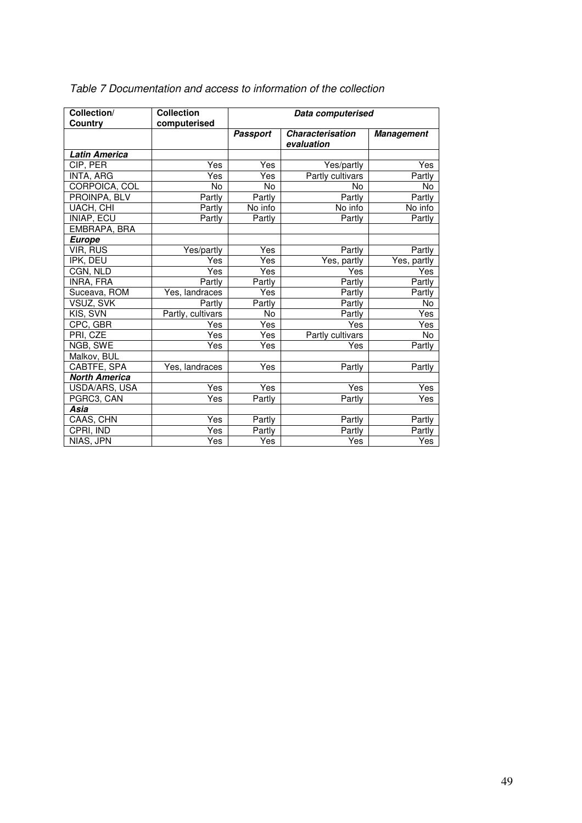| Collection/<br>Country | <b>Collection</b><br>computerised | Data computerised |                                       |                   |  |  |  |
|------------------------|-----------------------------------|-------------------|---------------------------------------|-------------------|--|--|--|
|                        |                                   | <b>Passport</b>   | <b>Characterisation</b><br>evaluation | <b>Management</b> |  |  |  |
| <b>Latin America</b>   |                                   |                   |                                       |                   |  |  |  |
| CIP, PER               | Yes                               | Yes               | Yes/partly                            | Yes               |  |  |  |
| INTA, ARG              | Yes                               | Yes               | Partly cultivars                      | Partly            |  |  |  |
| CORPOICA, COL          | No                                | No.               | No                                    | No                |  |  |  |
| PROINPA, BLV           | Partly                            | Partly            | Partly                                | Partly            |  |  |  |
| UACH, CHI              | Partly                            | No info           | No info                               | No info           |  |  |  |
| INIAP, ECU             | Partly                            | Partly            | Partly                                | Partly            |  |  |  |
| EMBRAPA, BRA           |                                   |                   |                                       |                   |  |  |  |
| <b>Europe</b>          |                                   |                   |                                       |                   |  |  |  |
| VIR, RUS               | Yes/partly                        | Yes               | Partly                                | Partly            |  |  |  |
| IPK, DEU               | Yes                               | Yes               | Yes, partly                           | Yes, partly       |  |  |  |
| CGN, NLD               | Yes                               | Yes               | Yes                                   | Yes               |  |  |  |
| INRA, FRA              | Partly                            | Partly            | Partly                                | Partly            |  |  |  |
| Suceava, ROM           | Yes, landraces                    | Yes               | Partly                                | Partly            |  |  |  |
| VSUZ, SVK              | Partly                            | Partly            | Partly                                | No                |  |  |  |
| KIS, SVN               | Partly, cultivars                 | No                | Partly                                | Yes               |  |  |  |
| CPC, GBR               | Yes                               | Yes               | Yes                                   | Yes               |  |  |  |
| PRI, CZE               | Yes                               | Yes               | Partly cultivars                      | No                |  |  |  |
| NGB, SWE               | Yes                               | Yes               | Yes                                   | Partly            |  |  |  |
| Malkov, BUL            |                                   |                   |                                       |                   |  |  |  |
| CABTFE, SPA            | Yes, landraces                    | Yes               | Partly                                | Partly            |  |  |  |
| <b>North America</b>   |                                   |                   |                                       |                   |  |  |  |
| USDA/ARS, USA          | Yes                               | <b>Yes</b>        | Yes                                   | Yes               |  |  |  |
| PGRC3, CAN             | Yes                               | Partly            | Partly                                | Yes               |  |  |  |
| Asia                   |                                   |                   |                                       |                   |  |  |  |
| CAAS, CHN              | Yes                               | Partly            | Partly                                | Partly            |  |  |  |
| CPRI, IND              | Yes                               | Partly            | Partly                                | Partly            |  |  |  |
| NIAS, JPN              | Yes                               | Yes               | Yes                                   | Yes               |  |  |  |

## Table 7 Documentation and access to information of the collection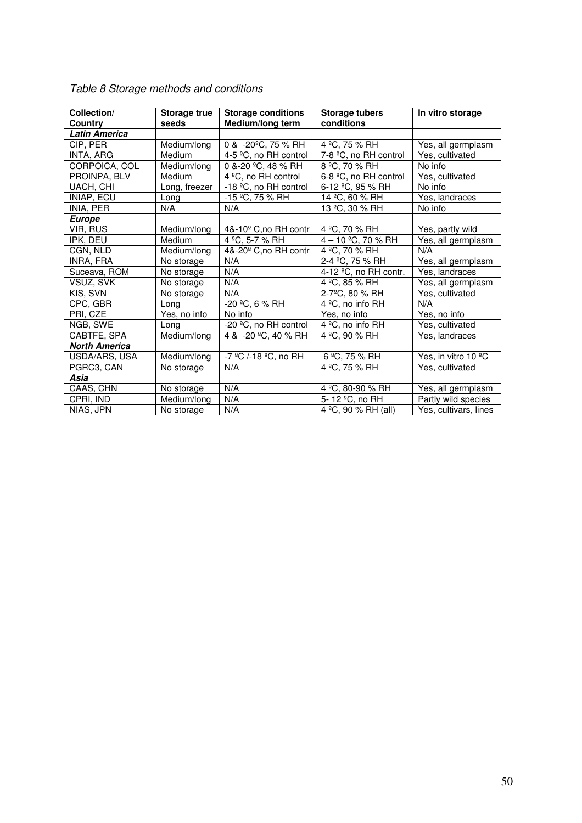| Collection/          | <b>Storage true</b> | <b>Storage conditions</b>         | <b>Storage tubers</b>         | In vitro storage      |
|----------------------|---------------------|-----------------------------------|-------------------------------|-----------------------|
| Country              | seeds               | Medium/long term                  | conditions                    |                       |
| <b>Latin America</b> |                     |                                   |                               |                       |
| CIP, PER             | Medium/long         | 0 & -20°C, 75 % RH                | 4 °C, 75 % RH                 | Yes, all germplasm    |
| INTA, ARG            | Medium              | 4-5 °C, no RH control             | 7-8 °C, no RH control         | Yes, cultivated       |
| CORPOICA, COL        | Medium/long         | 0 &-20 °C, 48 % RH                | 8 °C, 70 % RH                 | No info               |
| PROINPA, BLV         | Medium              | 4 °C, no RH control               | 6-8 °C, no RH control         | Yes, cultivated       |
| UACH, CHI            | Long, freezer       | -18 °C, no RH control             | $6-12$ °C, 95 % RH            | No info               |
| INIAP, ECU           | Long                | -15 °C, 75 % RH                   | 14 °C, 60 % RH                | Yes, landraces        |
| INIA, PER            | N/A                 | N/A                               | 13 °C, 30 % RH                | No info               |
| <b>Europe</b>        |                     |                                   |                               |                       |
| VIR, RUS             | Medium/long         | 4&-10 <sup>°</sup> C, no RH contr | 4 °C, 70 % RH                 | Yes, partly wild      |
| IPK, DEU             | Medium              | 4 °C, 5-7 % RH                    | 4 - 10 °C, 70 % RH            | Yes, all germplasm    |
| CGN, NLD             | Medium/long         | 4&-20 <sup>°</sup> C, no RH contr | 4 °C, 70 % RH                 | N/A                   |
| INRA, FRA            | No storage          | N/A                               | 2-4 °C, 75 % RH               | Yes, all germplasm    |
| Suceava, ROM         | No storage          | N/A                               | 4-12 °C, no RH contr.         | Yes, landraces        |
| VSUZ, SVK            | No storage          | N/A                               | 4 °C, 85 % RH                 | Yes, all germplasm    |
| KIS, SVN             | No storage          | N/A                               | 2-7°C, 80 % RH                | Yes, cultivated       |
| CPC, GBR             | Long                | -20 °C, 6 % RH                    | 4 °C, no info RH              | N/A                   |
| PRI, CZE             | Yes, no info        | No info                           | Yes, no info                  | Yes, no info          |
| NGB, SWE             | Long                | -20 °C, no RH control             | 4 °C, no info RH              | Yes, cultivated       |
| CABTFE, SPA          | Medium/long         | 4 & -20 °C, 40 % RH               | 4 °C, 90 % RH                 | Yes, landraces        |
| <b>North America</b> |                     |                                   |                               |                       |
| USDA/ARS, USA        | Medium/long         | -7 °C /-18 °C, no RH              | 6 °C, 75 % RH                 | Yes, in vitro 10 °C   |
| PGRC3, CAN           | No storage          | N/A                               | 4 °C, 75 % RH                 | Yes, cultivated       |
| Asia                 |                     |                                   |                               |                       |
| CAAS, CHN            | No storage          | N/A                               | 4 °C, 80-90 % RH              | Yes, all germplasm    |
| CPRI, IND            | Medium/long         | N/A                               | $\overline{5}$ - 12 °C, no RH | Partly wild species   |
| NIAS, JPN            | No storage          | N/A                               | 4 °C, 90 % RH (all)           | Yes, cultivars, lines |

# Table 8 Storage methods and conditions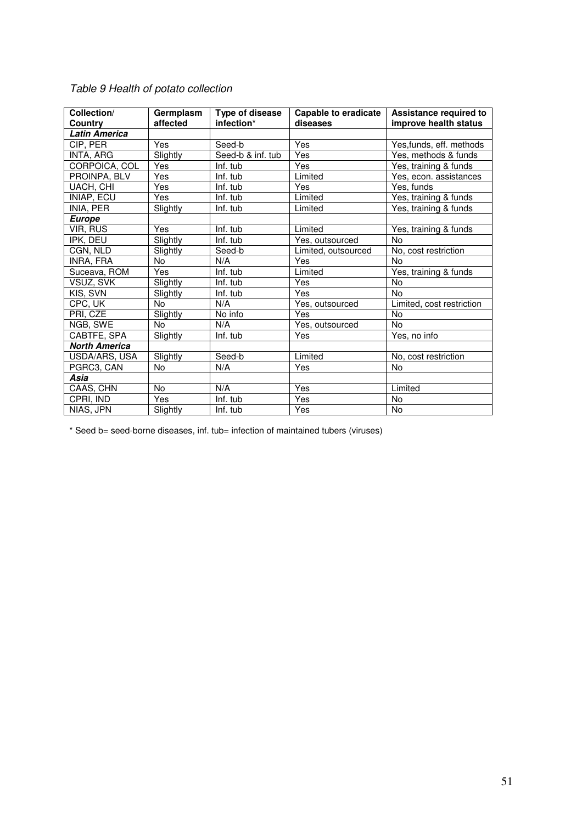| Collection/          | Germplasm  | Type of disease   | <b>Capable to eradicate</b> | Assistance required to    |
|----------------------|------------|-------------------|-----------------------------|---------------------------|
| Country              | affected   | infection*        | diseases                    | improve health status     |
| <b>Latin America</b> |            |                   |                             |                           |
| CIP, PER             | Yes        | Seed-b            | Yes                         | Yes, funds, eff. methods  |
| INTA, ARG            | Slightly   | Seed-b & inf. tub | Yes                         | Yes, methods & funds      |
| CORPOICA, COL        | Yes        | Inf. tub          | Yes                         | Yes, training & funds     |
| PROINPA, BLV         | Yes        | Inf. tub          | Limited                     | Yes, econ. assistances    |
| UACH, CHI            | <b>Yes</b> | Inf. tub          | Yes                         | Yes, funds                |
| INIAP, ECU           | Yes        | Inf. tub          | Limited                     | Yes, training & funds     |
| INIA, PER            | Slightly   | Inf. tub          | Limited                     | Yes, training & funds     |
| <b>Europe</b>        |            |                   |                             |                           |
| VIR, RUS             | Yes        | Inf. tub          | Limited                     | Yes, training & funds     |
| IPK, DEU             | Slightly   | Inf. tub          | Yes, outsourced             | <b>No</b>                 |
| CGN, NLD             | Slightly   | Seed-b            | Limited, outsourced         | No, cost restriction      |
| INRA, FRA            | <b>No</b>  | N/A               | Yes                         | <b>No</b>                 |
| Suceava, ROM         | Yes        | Inf. tub          | Limited                     | Yes, training & funds     |
| VSUZ, SVK            | Slightly   | Inf. tub          | Yes                         | <b>No</b>                 |
| KIS, SVN             | Slightly   | Inf. tub          | Yes                         | <b>No</b>                 |
| CPC, UK              | <b>No</b>  | N/A               | Yes, outsourced             | Limited, cost restriction |
| PRI, CZE             | Slightly   | No info           | Yes                         | <b>No</b>                 |
| NGB, SWE             | <b>No</b>  | N/A               | Yes, outsourced             | <b>No</b>                 |
| CABTFE, SPA          | Slightly   | Inf. tub          | Yes                         | Yes, no info              |
| <b>North America</b> |            |                   |                             |                           |
| USDA/ARS, USA        | Slightly   | Seed-b            | Limited                     | No, cost restriction      |
| PGRC3, CAN           | <b>No</b>  | N/A               | Yes                         | <b>No</b>                 |
| Asia                 |            |                   |                             |                           |
| CAAS, CHN            | <b>No</b>  | N/A               | Yes                         | Limited                   |
| CPRI, IND            | Yes        | Inf. tub          | Yes                         | <b>No</b>                 |
| NIAS, JPN            | Slightly   | Inf. tub          | Yes                         | No                        |

## Table 9 Health of potato collection

\* Seed b= seed-borne diseases, inf. tub= infection of maintained tubers (viruses)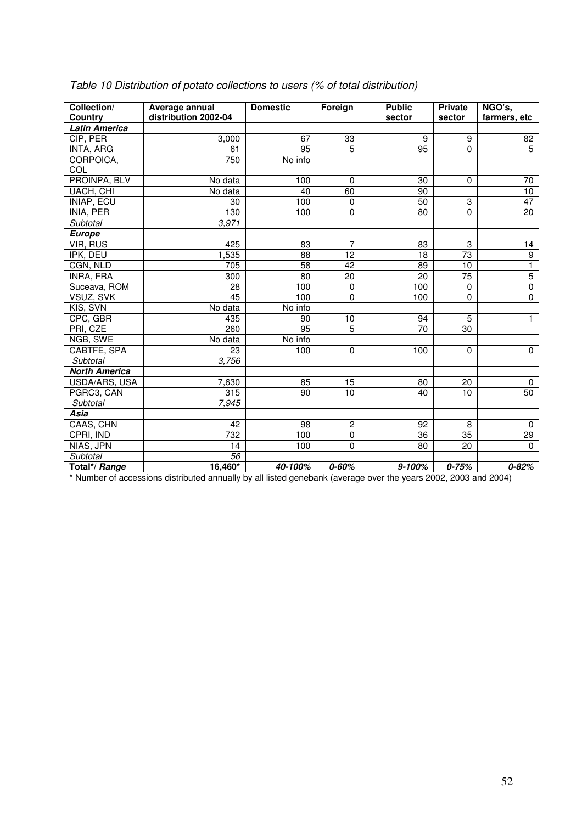| Collection/          | Average annual       | <b>Domestic</b> | Foreign        | <b>Public</b>   | Private         | NGO's,          |
|----------------------|----------------------|-----------------|----------------|-----------------|-----------------|-----------------|
| Country              | distribution 2002-04 |                 |                | sector          | sector          | farmers, etc    |
| <b>Latin America</b> |                      |                 |                |                 |                 |                 |
| CIP, PER             | 3,000                | 67              | 33             | 9               | 9               | 82              |
| INTA, ARG            | 61                   | 95              | $\overline{5}$ | $\overline{95}$ | 0               | $\overline{5}$  |
| CORPOICA,            | 750                  | No info         |                |                 |                 |                 |
| COL                  |                      |                 |                |                 |                 |                 |
| PROINPA, BLV         | No data              | 100             | $\Omega$       | 30              | $\Omega$        | 70              |
| UACH, CHI            | No data              | 40              | 60             | 90              |                 | $\overline{10}$ |
| INIAP, ECU           | 30                   | 100             | $\mathbf 0$    | 50              | 3               | 47              |
| INIA, PER            | 130                  | 100             | $\Omega$       | 80              | 0               | 20              |
| Subtotal             | 3,971                |                 |                |                 |                 |                 |
| <b>Europe</b>        |                      |                 |                |                 |                 |                 |
| <b>VIR, RUS</b>      | 425                  | 83              | $\overline{7}$ | 83              | 3               | 14              |
| IPK, DEU             | 1,535                | 88              | 12             | 18              | $\overline{73}$ | 9               |
| CGN, NLD             | 705                  | 58              | 42             | 89              | 10              | $\overline{1}$  |
| INRA, FRA            | 300                  | 80              | 20             | 20              | $\overline{75}$ | $\overline{5}$  |
| Suceava, ROM         | 28                   | 100             | $\Omega$       | 100             | $\Omega$        | $\mathbf 0$     |
| VSUZ, SVK            | $\overline{45}$      | 100             | 0              | 100             | $\mathbf 0$     | $\mathbf 0$     |
| KIS, SVN             | No data              | No info         |                |                 |                 |                 |
| CPC, GBR             | 435                  | 90              | 10             | 94              | $\overline{5}$  | $\mathbf{1}$    |
| PRI, CZE             | 260                  | $\overline{95}$ | $\overline{5}$ | $\overline{70}$ | 30              |                 |
| NGB, SWE             | No data              | No info         |                |                 |                 |                 |
| CABTFE, SPA          | 23                   | 100             | 0              | 100             | $\mathbf 0$     | $\mathbf 0$     |
| Subtotal             | 3,756                |                 |                |                 |                 |                 |
| <b>North America</b> |                      |                 |                |                 |                 |                 |
| USDA/ARS, USA        | 7,630                | 85              | 15             | 80              | 20              | $\mathbf{0}$    |
| PGRC3, CAN           | 315                  | 90              | 10             | 40              | 10              | 50              |
| Subtotal             | 7,945                |                 |                |                 |                 |                 |
| Asia                 |                      |                 |                |                 |                 |                 |
| CAAS, CHN            | 42                   | 98              | $\overline{c}$ | 92              | $\, 8$          | $\mathbf 0$     |
| CPRI, IND            | 732                  | 100             | $\mathbf 0$    | 36              | 35              | 29              |
| NIAS, JPN            | 14                   | 100             | $\overline{0}$ | 80              | 20              | $\Omega$        |
| Subtotal             | 56                   |                 |                |                 |                 |                 |
| Total*/ Range        | $16,460*$            | 40-100%         | $0 - 60%$      | $9 - 100%$      | $0 - 75%$       | $0 - 82%$       |

Table 10 Distribution of potato collections to users (% of total distribution)

\* Number of accessions distributed annually by all listed genebank (average over the years 2002, 2003 and 2004)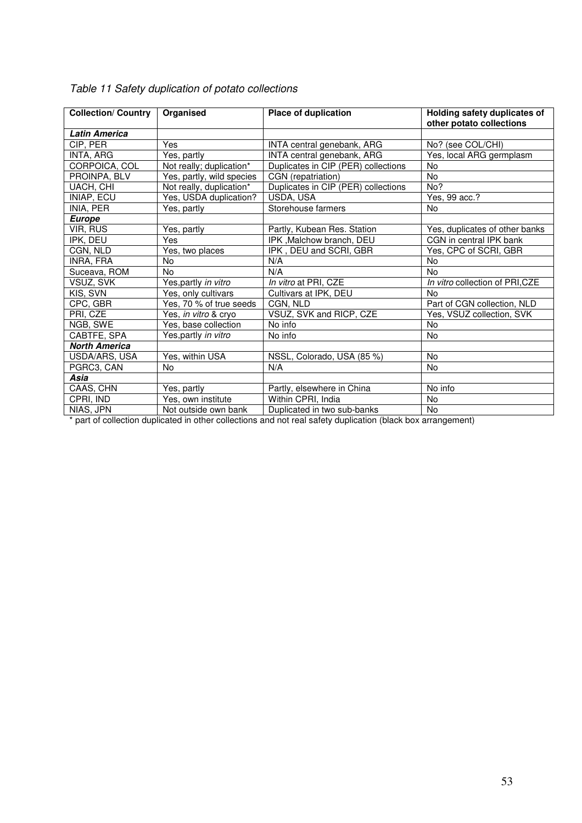| <b>Collection/ Country</b> | Organised                 | Place of duplication                | Holding safety duplicates of<br>other potato collections |
|----------------------------|---------------------------|-------------------------------------|----------------------------------------------------------|
| <b>Latin America</b>       |                           |                                     |                                                          |
| CIP, PER                   | Yes                       | INTA central genebank, ARG          | No? (see COL/CHI)                                        |
| INTA, ARG                  | Yes, partly               | INTA central genebank, ARG          | Yes, local ARG germplasm                                 |
| CORPOICA, COL              | Not really; duplication*  | Duplicates in CIP (PER) collections | No                                                       |
| PROINPA, BLV               | Yes, partly, wild species | CGN (repatriation)                  | <b>No</b>                                                |
| UACH, CHI                  | Not really, duplication*  | Duplicates in CIP (PER) collections | No?                                                      |
| INIAP, ECU                 | Yes, USDA duplication?    | USDA, USA                           | Yes, 99 acc.?                                            |
| INIA, PER                  | Yes, partly               | Storehouse farmers                  | No                                                       |
| <b>Europe</b>              |                           |                                     |                                                          |
| VIR, RUS                   | Yes, partly               | Partly, Kubean Res. Station         | Yes, duplicates of other banks                           |
| IPK, DEU                   | Yes                       | IPK, Malchow branch, DEU            | CGN in central IPK bank                                  |
| CGN, NLD                   | Yes, two places           | IPK, DEU and SCRI, GBR              | Yes, CPC of SCRI, GBR                                    |
| INRA, FRA                  | No                        | N/A                                 | No                                                       |
| Suceava, ROM               | <b>No</b>                 | N/A                                 | No                                                       |
| VSUZ, SVK                  | Yes, partly in vitro      | In vitro at PRI, CZE                | In vitro collection of PRI, CZE                          |
| KIS, SVN                   | Yes, only cultivars       | Cultivars at IPK, DEU               | No                                                       |
| CPC, GBR                   | Yes, 70 % of true seeds   | CGN, NLD                            | Part of CGN collection, NLD                              |
| PRI, CZE                   | Yes, in vitro & cryo      | VSUZ, SVK and RICP, CZE             | Yes, VSUZ collection, SVK                                |
| NGB, SWE                   | Yes, base collection      | No info                             | <b>No</b>                                                |
| CABTFE, SPA                | Yes, partly in vitro      | No info                             | <b>No</b>                                                |
| <b>North America</b>       |                           |                                     |                                                          |
| USDA/ARS, USA              | Yes, within USA           | NSSL, Colorado, USA (85 %)          | <b>No</b>                                                |
| PGRC3, CAN                 | No                        | N/A                                 | No                                                       |
| Asia                       |                           |                                     |                                                          |
| CAAS, CHN                  | Yes, partly               | Partly, elsewhere in China          | No info                                                  |
| CPRI, IND                  | Yes, own institute        | Within CPRI, India                  | No                                                       |
| NIAS, JPN                  | Not outside own bank      | Duplicated in two sub-banks         | <b>No</b>                                                |

| Table 11 Safety duplication of potato collections |  |
|---------------------------------------------------|--|
|---------------------------------------------------|--|

\* part of collection duplicated in other collections and not real safety duplication (black box arrangement)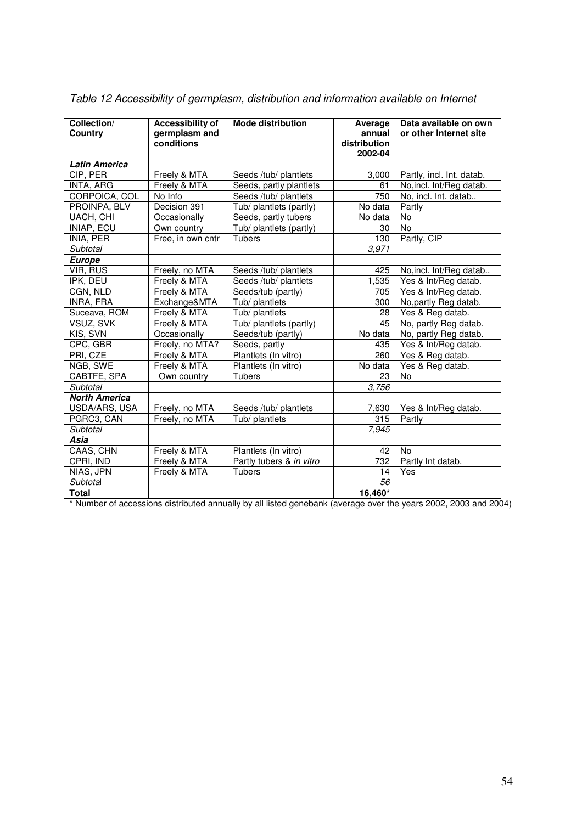| Collection/<br>Country | <b>Accessibility of</b><br>germplasm and<br>conditions | <b>Mode distribution</b> | Average<br>annual<br>distribution<br>2002-04 | Data available on own<br>or other Internet site |
|------------------------|--------------------------------------------------------|--------------------------|----------------------------------------------|-------------------------------------------------|
| <b>Latin America</b>   |                                                        |                          |                                              |                                                 |
| CIP, PER               | Freely & MTA                                           | Seeds /tub/ plantlets    | 3,000                                        | Partly, incl. Int. datab.                       |
| INTA, ARG              | Freely & MTA                                           | Seeds, partly plantlets  | 61                                           | No, incl. Int/Reg datab.                        |
| CORPOICA, COL          | No Info                                                | Seeds /tub/ plantlets    | 750                                          | No, incl. Int. datab                            |
| PROINPA, BLV           | Decision 391                                           | Tub/ plantlets (partly)  | No data                                      | Partly                                          |
| UACH, CHI              | Occasionally                                           | Seeds, partly tubers     | No data                                      | <b>No</b>                                       |
| INIAP, ECU             | Own country                                            | Tub/ plantlets (partly)  | 30                                           | <b>No</b>                                       |
| INIA, PER              | Free, in own cntr                                      | Tubers                   | 130                                          | Partly, CIP                                     |
| Subtotal               |                                                        |                          | 3,971                                        |                                                 |
| <b>Europe</b>          |                                                        |                          |                                              |                                                 |
| <b>VIR, RUS</b>        | Freely, no MTA                                         | Seeds /tub/ plantlets    | 425                                          | No, incl. Int/Reg datab                         |
| IPK, DEU               | Freely & MTA                                           | Seeds /tub/ plantlets    | 1,535                                        | Yes & Int/Reg datab.                            |
| CGN, NLD               | Freely & MTA                                           | Seeds/tub (partly)       | 705                                          | Yes & Int/Reg datab.                            |
| INRA, FRA              | Exchange&MTA                                           | Tub/ plantlets           | 300                                          | No, partly Reg datab.                           |
| Suceava, ROM           | Freely & MTA                                           | Tub/ plantlets           | 28                                           | Yes & Reg datab.                                |
| VSUZ, SVK              | Freely & MTA                                           | Tub/ plantlets (partly)  | 45                                           | No, partly Reg datab.                           |
| KIS, SVN               | Occasionally                                           | Seeds/tub (partly)       | No data                                      | No, partly Reg datab.                           |
| CPC, GBR               | Freely, no MTA?                                        | Seeds, partly            | 435                                          | Yes & Int/Reg datab.                            |
| PRI, CZE               | Freely & MTA                                           | Plantlets (In vitro)     | 260                                          | Yes & Reg datab.                                |
| NGB, SWE               | Freely & MTA                                           | Plantlets (In vitro)     | $\overline{N}$ o data                        | Yes & Reg datab.                                |
| CABTFE, SPA            | Own country                                            | Tubers                   | 23                                           | No                                              |
| Subtotal               |                                                        |                          | 3,756                                        |                                                 |
| <b>North America</b>   |                                                        |                          |                                              |                                                 |
| USDA/ARS, USA          | Freely, no MTA                                         | Seeds /tub/ plantlets    | 7,630                                        | Yes & Int/Reg datab.                            |
| PGRC3, CAN             | Freely, no MTA                                         | Tub/ plantlets           | 315                                          | Partly                                          |
| Subtotal               |                                                        |                          | 7,945                                        |                                                 |
| Asia                   |                                                        |                          |                                              |                                                 |
| CAAS, CHN              | Freely & MTA                                           | Plantlets (In vitro)     | 42                                           | <b>No</b>                                       |
| CPRI, IND              | Freely & MTA                                           | Partly tubers & in vitro | 732                                          | Partly Int datab.                               |
| NIAS, JPN              | Freely & MTA                                           | Tubers                   | 14                                           | Yes                                             |
| Subtotal               |                                                        |                          | 56                                           |                                                 |
| <b>Total</b>           |                                                        |                          | 16,460*                                      |                                                 |

Table 12 Accessibility of germplasm, distribution and information available on Internet

\* Number of accessions distributed annually by all listed genebank (average over the years 2002, 2003 and 2004)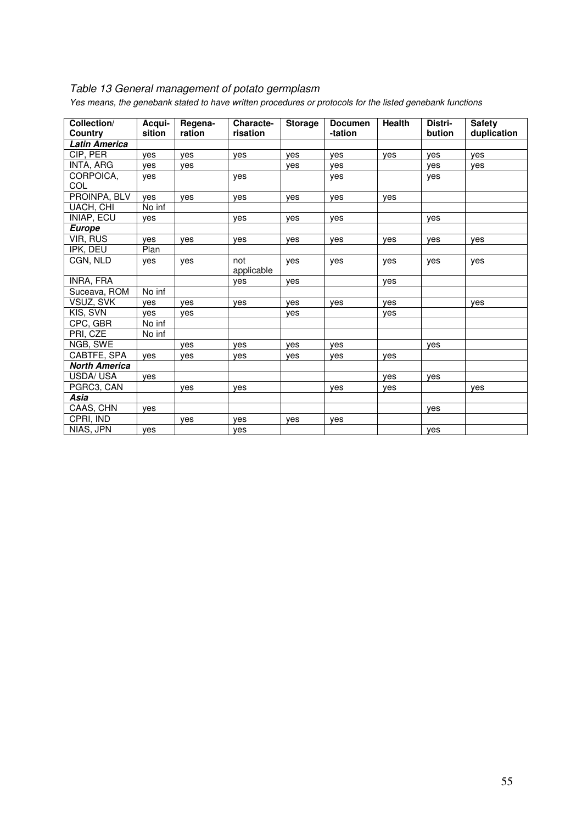## Table 13 General management of potato germplasm

| Collection/<br>Country | Acqui-<br>sition | Regena-<br>ration | <b>Characte-</b><br>risation | <b>Storage</b> | <b>Documen</b><br>-tation | <b>Health</b> | Distri-<br>bution | <b>Safety</b><br>duplication |
|------------------------|------------------|-------------------|------------------------------|----------------|---------------------------|---------------|-------------------|------------------------------|
| <b>Latin America</b>   |                  |                   |                              |                |                           |               |                   |                              |
| CIP. PER               | ves              | ves               | ves                          | ves            | ves                       | yes           | ves               | ves                          |
| INTA, ARG              | yes              | ves               |                              | yes            | yes                       |               | yes               | yes                          |
| CORPOICA,              | yes              |                   | yes                          |                | yes                       |               | yes               |                              |
| COL                    |                  |                   |                              |                |                           |               |                   |                              |
| PROINPA, BLV           | yes              | yes               | yes                          | yes            | yes                       | yes           |                   |                              |
| UACH, CHI              | No inf           |                   |                              |                |                           |               |                   |                              |
| INIAP, ECU             | yes              |                   | yes                          | yes            | yes                       |               | yes               |                              |
| <b>Europe</b>          |                  |                   |                              |                |                           |               |                   |                              |
| VIR, RUS               | yes              | yes               | yes                          | yes            | yes                       | yes           | yes               | yes                          |
| IPK, DEU               | Plan             |                   |                              |                |                           |               |                   |                              |
| CGN, NLD               | yes              | yes               | not                          | yes            | yes                       | yes           | yes               | yes                          |
|                        |                  |                   | applicable                   |                |                           |               |                   |                              |
| INRA, FRA              |                  |                   | yes                          | yes            |                           | yes           |                   |                              |
| Suceava, ROM           | No inf           |                   |                              |                |                           |               |                   |                              |
| VSUZ, SVK              | ves              | ves               | ves                          | ves            | yes                       | ves           |                   | ves                          |
| KIS, SVN               | ves              | yes               |                              | yes            |                           | yes           |                   |                              |
| CPC, GBR               | No inf           |                   |                              |                |                           |               |                   |                              |
| PRI, CZE               | No inf           |                   |                              |                |                           |               |                   |                              |
| NGB, SWE               |                  | yes               | yes                          | yes            | yes                       |               | yes               |                              |
| CABTFE, SPA            | yes              | yes               | yes                          | yes            | yes                       | yes           |                   |                              |
| <b>North America</b>   |                  |                   |                              |                |                           |               |                   |                              |
| USDA/USA               | yes              |                   |                              |                |                           | yes           | yes               |                              |
| PGRC3, CAN             |                  | ves               | yes                          |                | yes                       | yes           |                   | yes                          |
| Asia                   |                  |                   |                              |                |                           |               |                   |                              |
| CAAS, CHN              | ves              |                   |                              |                |                           |               | ves               |                              |
| CPRI, IND              |                  | yes               | ves                          | yes            | yes                       |               |                   |                              |
| NIAS, JPN              | yes              |                   | yes                          |                |                           |               | yes               |                              |

Yes means, the genebank stated to have written procedures or protocols for the listed genebank functions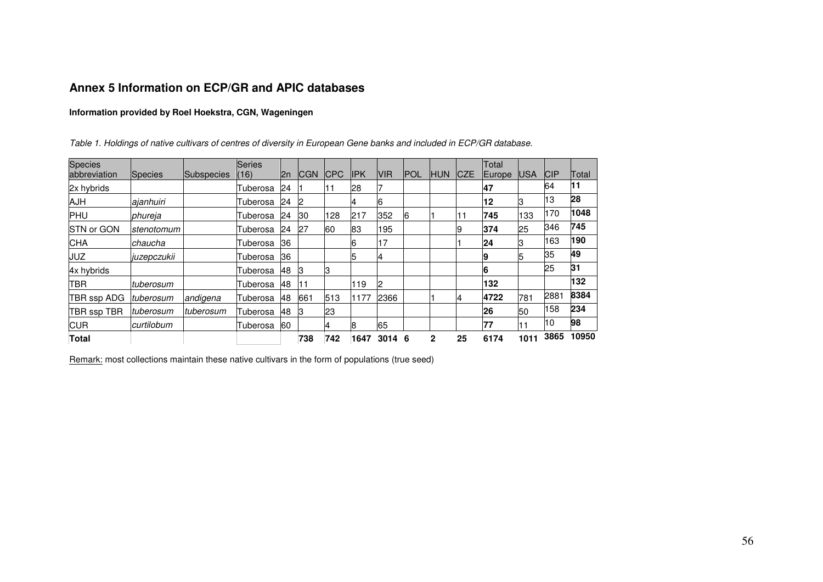## **Annex 5 Information on ECP/GR and APIC databases**

#### **Information provided by Roel Hoekstra, CGN, Wageningen**

|  | Table 1. Holdings of native cultivars of centres of diversity in European Gene banks and included in ECP/GR database. |
|--|-----------------------------------------------------------------------------------------------------------------------|
|--|-----------------------------------------------------------------------------------------------------------------------|

| <b>Species</b> |             |            | <b>Series</b>   |              |            |             |             |             |             |              |             | Total  |            |            |       |
|----------------|-------------|------------|-----------------|--------------|------------|-------------|-------------|-------------|-------------|--------------|-------------|--------|------------|------------|-------|
| abbreviation   | Species     | Subspecies | (16)            | l2n          | <b>CGN</b> | <b>ICPC</b> | <b>IIPK</b> | <b>IVIR</b> | <b>IPOL</b> | <b>HUN</b>   | <b>ICZE</b> | Europe | <b>USA</b> | <b>CIP</b> | Total |
| 2x hybrids     |             |            | Tuberosa        | 24           |            | 11          | 28          |             |             |              |             | 47     |            | 64         | 11    |
| <b>AJH</b>     | ajanhuiri   |            | Tuberosa        | 24           | 12         |             | 4           | 6           |             |              |             | 12     | 3          | 13         | 28    |
| <b>PHU</b>     | phureja     |            | Tuberosa        | $ 24\rangle$ | 30         | 128         | 217         | 352         | 6           |              |             | 745    | 133        | 170        | 1048  |
| STN or GON     | stenotomum  |            | Tuberosa        | 24           | 27         | 60          | 83          | 195         |             |              | 19          | 374    | 25         | 346        | 745   |
| <b>CHA</b>     | chaucha     |            | Tuberosa        | 36           |            |             | 6           | 17          |             |              |             | 24     | 3          | 163        | 190   |
| <b>JUZ</b>     | juzepczukii |            | Tuberosa        | 36           |            |             | 5           | 4           |             |              |             | 19     |            | 35         | 49    |
| 4x hybrids     |             |            | <b>Tuberosa</b> | 48           | 13         | lЗ          |             |             |             |              |             | 6      |            | 25         | 31    |
| <b>TBR</b>     | tuberosum   |            | Tuberosa        | <b>48</b>    | 11         |             | 119         | 2           |             |              |             | 132    |            |            | 132   |
| TBR ssp ADG    | ltuberosum  | andigena   | Tuberosa        | 48           | 661        | 513         | 1177        | 2366        |             |              | 14          | 4722   | 781        | 2881       | 8384  |
| TBR ssp TBR    | tuberosum   | tuberosum  | Tuberosa        | 48           | IЗ         | 23          |             |             |             |              |             | 26     | 50         | 158        | 234   |
| <b>CUR</b>     | curtilobum  |            | Tuberosa        | 60           |            | 4           | 8           | 65          |             |              |             | 77     | 11         | 10         | 98    |
| <b>Total</b>   |             |            |                 |              | 738        | 742         | 1647        | 3014 6      |             | $\mathbf{2}$ | 25          | 6174   | 1011       | 3865       | 10950 |

Remark: most collections maintain these native cultivars in the form of populations (true seed)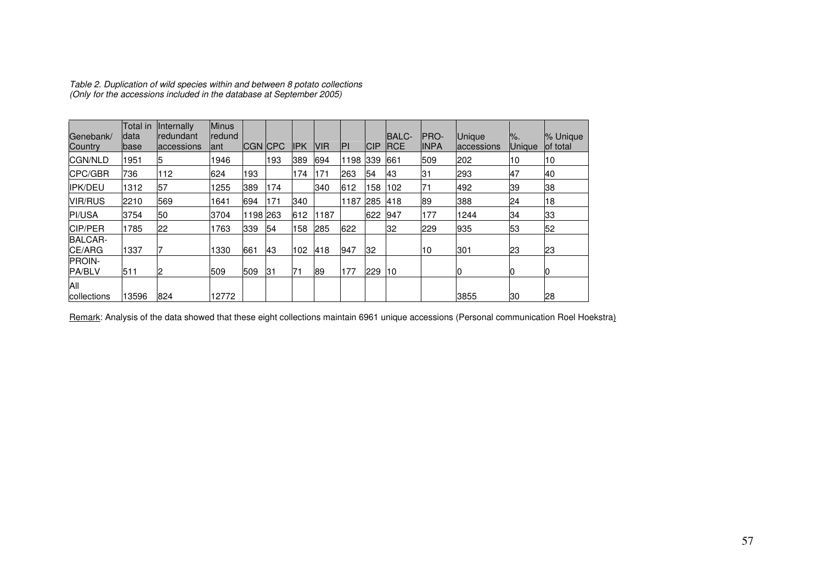| Genebank/<br>Country           | Total in<br>data<br>base | <b>Internally</b><br>redundant<br>laccessions | <b>Minus</b><br>redund<br>lant | <b>CGN CPC</b> |     | IPK | <b>NR</b> | IP۱  | CIP | <b>BALC-</b><br><b>IRCE</b> | <b>IPRO-</b><br><b>INPA</b> | <b>Unique</b><br>accessions | $\%$ .<br><b>Unique</b> | % Unique<br>of total |
|--------------------------------|--------------------------|-----------------------------------------------|--------------------------------|----------------|-----|-----|-----------|------|-----|-----------------------------|-----------------------------|-----------------------------|-------------------------|----------------------|
| <b>CGN/NLD</b>                 | 1951                     | 15                                            | 1946                           |                | 193 | 389 | 694       | 1198 | 339 | 661                         | 509                         | 202                         | 10                      | 10                   |
| CPC/GBR                        | 736                      | 112                                           | 624                            | 193            |     | 174 | 171       | 263  | 54  | <b>43</b>                   | 31                          | 293                         | 47                      | 40                   |
| IPK/DEU                        | 1312                     | 57                                            | 1255                           | 389            | 174 |     | 340       | 612  | 158 | 102                         | 71                          | 492                         | 39                      | 38                   |
| <b>VIR/RUS</b>                 | 2210                     | 569                                           | 1641                           | 694            | 171 | 340 |           | 1187 | 285 | 418                         | 89                          | 388                         | 24                      | 18                   |
| <b>PI/USA</b>                  | 3754                     | 50                                            | 3704                           | 1198 263       |     | 612 | 1187      |      | 622 | 947                         | 177                         | 1244                        | 34                      | 33                   |
| <b>CIP/PER</b>                 | 1785                     | 22                                            | 1763                           | 339            | 54  | 158 | 285       | 622  |     | 32                          | 229                         | 935                         | 53                      | 52                   |
| <b>BALCAR-</b><br>CE/ARG       | 1337                     |                                               | 1330                           | 661            | 43  | 102 | 418       | 947  | 32  |                             | 10                          | 301                         | 23                      | 23                   |
| <b>PROIN-</b><br><b>PA/BLV</b> | 511                      | 12                                            | 509                            | 509            | 131 | 71  | 89        | 177  | 229 | 10                          |                             | 0                           |                         | 10                   |
| All<br>collections             | 13596                    | 824                                           | 12772                          |                |     |     |           |      |     |                             |                             | 3855                        | 30                      | 28                   |

Table 2. Duplication of wild species within and between 8 potato collections (Only for the accessions included in the database at September 2005)

Remark: Analysis of the data showed that these eight collections maintain 6961 unique accessions (Personal communication Roel Hoekstra)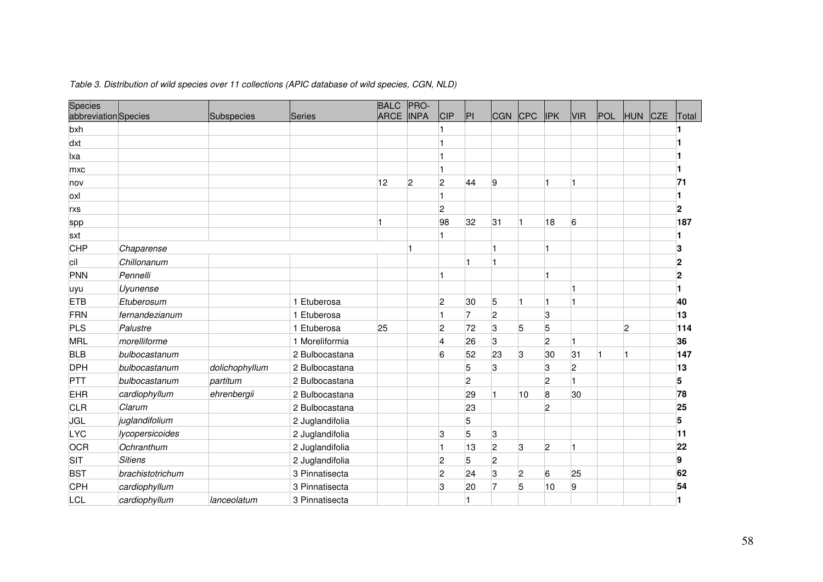| Species<br>abbreviation Species |                  | Subspecies     | Series          | <b>BALC</b><br><b>ARCE</b> | PRO-<br><b>INPA</b> | CIP                     | PI             | <b>CGN</b>     | CPC | <b>IPK</b>     | <b>VIR</b>      | POL | <b>HUN</b> | <b>CZE</b> | Total           |
|---------------------------------|------------------|----------------|-----------------|----------------------------|---------------------|-------------------------|----------------|----------------|-----|----------------|-----------------|-----|------------|------------|-----------------|
| bxh                             |                  |                |                 |                            |                     |                         |                |                |     |                |                 |     |            |            |                 |
| dxt                             |                  |                |                 |                            |                     |                         |                |                |     |                |                 |     |            |            |                 |
| lxa                             |                  |                |                 |                            |                     |                         |                |                |     |                |                 |     |            |            |                 |
| mxc                             |                  |                |                 |                            |                     |                         |                |                |     |                |                 |     |            |            |                 |
| nov                             |                  |                |                 | 12                         | $\overline{c}$      | $\overline{c}$          | 44             | 9              |     |                |                 |     |            |            | $\overline{71}$ |
| loxl                            |                  |                |                 |                            |                     | Ħ                       |                |                |     |                |                 |     |            |            |                 |
| rxs                             |                  |                |                 |                            |                     | $\overline{c}$          |                |                |     |                |                 |     |            |            | 2               |
| spp                             |                  |                |                 |                            |                     | 98                      | 32             | 31             |     | 18             | $6\overline{6}$ |     |            |            | 187             |
| sxt                             |                  |                |                 |                            |                     | $\vert$ 1               |                |                |     |                |                 |     |            |            |                 |
| CHP                             | Chaparense       |                |                 |                            |                     |                         |                |                |     |                |                 |     |            |            | 3               |
| cil                             | Chillonanum      |                |                 |                            |                     |                         |                |                |     |                |                 |     |            |            | 2               |
| PNN                             | Pennelli         |                |                 |                            |                     | $\blacksquare$          |                |                |     |                |                 |     |            |            | $\mathbf 2$     |
| uyu                             | Uyunense         |                |                 |                            |                     |                         |                |                |     |                |                 |     |            |            |                 |
| <b>ETB</b>                      | Etuberosum       |                | 1 Etuberosa     |                            |                     | $\overline{c}$          | 30             | 5              |     | Ħ              |                 |     |            |            | 40              |
| FRN                             | fernandezianum   |                | 1 Etuberosa     |                            |                     | 1                       | 7              | $\overline{2}$ |     | 3              |                 |     |            |            | 13              |
| PLS                             | Palustre         |                | 1 Etuberosa     | 25                         |                     | $\overline{c}$          | 72             | 3              | 5   | 5              |                 |     | 2          |            | 114             |
| MRL                             | morelliforme     |                | 1 Moreliformia  |                            |                     | $\overline{\mathbf{4}}$ | 26             | 3              |     | 2              |                 |     |            |            | 36              |
| <b>BLB</b>                      | bulbocastanum    |                | 2 Bulbocastana  |                            |                     | 6                       | 52             | 23             | 3   | 30             | 31              |     |            |            | 147             |
| <b>DPH</b>                      | bulbocastanum    | dolichophyllum | 2 Bulbocastana  |                            |                     |                         | 5              | Β.             |     | 3              | $\overline{2}$  |     |            |            | 13              |
| PTT                             | bulbocastanum    | partitum       | 2 Bulbocastana  |                            |                     |                         | $\overline{2}$ |                |     | 2              |                 |     |            |            | 5               |
| <b>EHR</b>                      | cardiophyllum    | ehrenbergii    | 2 Bulbocastana  |                            |                     |                         | 29             |                | 10  | 8              | 30              |     |            |            | 78              |
| <b>CLR</b>                      | Clarum           |                | 2 Bulbocastana  |                            |                     |                         | 23             |                |     | $\overline{c}$ |                 |     |            |            | 25              |
| <b>JGL</b>                      | juglandifolium   |                | 2 Juglandifolia |                            |                     |                         | 5              |                |     |                |                 |     |            |            | 5               |
| <b>LYC</b>                      | lycopersicoides  |                | 2 Juglandifolia |                            |                     | 3                       | 5              | 3              |     |                |                 |     |            |            | 11              |
| <b>OCR</b>                      | Ochranthum       |                | 2 Juglandifolia |                            |                     | $\mathbf{1}$            | 13             | 2              | 3   | 2              |                 |     |            |            | 22              |
| SIT                             | <b>Sitiens</b>   |                | 2 Juglandifolia |                            |                     | $\overline{c}$          | 5              | 2              |     |                |                 |     |            |            | 9               |
| <b>BST</b>                      | brachistotrichum |                | 3 Pinnatisecta  |                            |                     | $\overline{c}$          | 24             | 3              | 2   | 6              | 25              |     |            |            | 62              |
| CPH                             | cardiophyllum    |                | 3 Pinnatisecta  |                            |                     | 3                       | 20             |                | 5   | 10             | 9               |     |            |            | 54              |
| <b>LCL</b>                      | cardiophyllum    | lanceolatum    | 3 Pinnatisecta  |                            |                     |                         |                |                |     |                |                 |     |            |            |                 |

#### Table 3. Distribution of wild species over 11 collections (APIC database of wild species, CGN, NLD)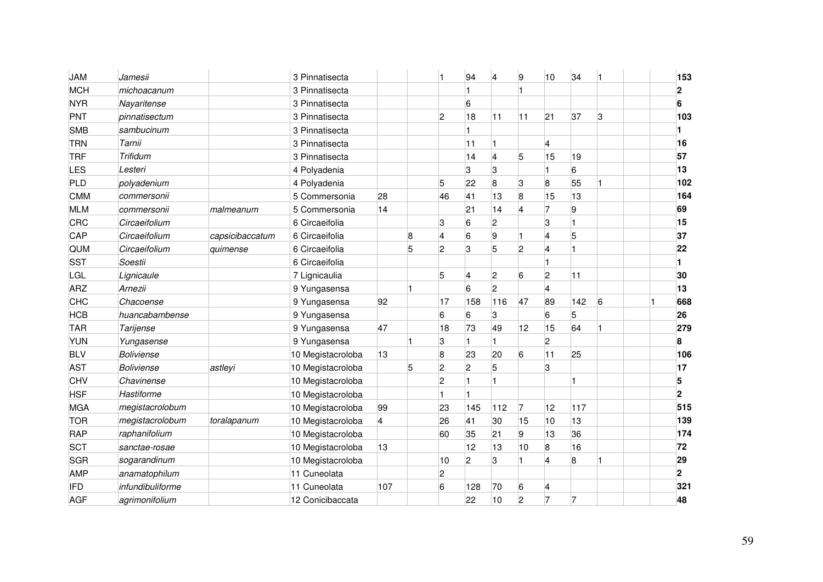| <b>JAM</b> | Jamesii           |                 | 3 Pinnatisecta    |     |   | 1              | 94              | $\overline{\mathbf{4}}$ | 9              | 10                      | 34  |   | 153            |
|------------|-------------------|-----------------|-------------------|-----|---|----------------|-----------------|-------------------------|----------------|-------------------------|-----|---|----------------|
| <b>MCH</b> | michoacanum       |                 | 3 Pinnatisecta    |     |   |                |                 |                         | 1              |                         |     |   | $\overline{2}$ |
| <b>NYR</b> | Nayaritense       |                 | 3 Pinnatisecta    |     |   |                | 6               |                         |                |                         |     |   | 6              |
| PNT        | pinnatisectum     |                 | 3 Pinnatisecta    |     |   | $\overline{c}$ | 18              | 11                      | 11             | 21                      | 37  | 3 | 103            |
| <b>SMB</b> | sambucinum        |                 | 3 Pinnatisecta    |     |   |                |                 |                         |                |                         |     |   |                |
| <b>TRN</b> | Tarnii            |                 | 3 Pinnatisecta    |     |   |                | 11              |                         |                | 4                       |     |   | 16             |
| <b>TRF</b> | Trifidum          |                 | 3 Pinnatisecta    |     |   |                | 14              | 4                       | 5              | 15                      | 19  |   | 57             |
| LES        | Lesteri           |                 | 4 Polyadenia      |     |   |                | 3               | 3                       |                | 1                       | 6   |   | 13             |
| PLD        | polyadenium       |                 | 4 Polyadenia      |     |   | 5              | 22              | 8                       | 3              | 8                       | 55  |   | 102            |
| <b>CMM</b> | commersonii       |                 | 5 Commersonia     | 28  |   | 46             | 41              | 13                      | 8              | 15                      | 13  |   | 164            |
| <b>MLM</b> | commersonii       | malmeanum       | 5 Commersonia     | 14  |   |                | $\overline{21}$ | 14                      | $\overline{4}$ | 17                      | 9   |   | 69             |
| CRC        | Circaeifolium     |                 | 6 Circaeifolia    |     |   | 3              | 6               | 2                       |                | 3                       |     |   | 15             |
| CAP        | Circaeifolium     | capsicibaccatum | 6 Circaeifolia    |     | 8 | 4              | 6               | 9                       | 1              | 4                       | 5   |   | 37             |
| QUM        | Circaeifolium     | quimense        | 6 Circaeifolia    |     | 5 | 2              | 3               | 5                       | $\overline{2}$ | 4                       |     |   | 22             |
| <b>SST</b> | Soestii           |                 | 6 Circaeifolia    |     |   |                |                 |                         |                |                         |     |   |                |
| <b>LGL</b> | Lignicaule        |                 | 7 Lignicaulia     |     |   | 5              | 4               | 2                       | 6              | $\overline{2}$          | 11  |   | 30             |
| <b>ARZ</b> | Arnezii           |                 | 9 Yungasensa      |     |   |                | 6               | 2                       |                | $\overline{\mathbf{4}}$ |     |   | 13             |
| CHC        | Chacoense         |                 | 9 Yungasensa      | 92  |   | 17             | 158             | 116                     | 47             | 89                      | 142 | 6 | 668            |
| <b>HCB</b> | huancabambense    |                 | 9 Yungasensa      |     |   | 6              | 6               | 3                       |                | 6                       | 5   |   | 26             |
| <b>TAR</b> | Tarijense         |                 | 9 Yungasensa      | 47  |   | 18             | 73              | 49                      | 12             | 15                      | 64  | 1 | 279            |
| <b>YUN</b> | Yungasense        |                 | 9 Yungasensa      |     |   | 3              |                 |                         |                | $\overline{2}$          |     |   | 8              |
| <b>BLV</b> | <b>Boliviense</b> |                 | 10 Megistacroloba | 13  |   | 8              | 23              | 20                      | 6              | 11                      | 25  |   | 106            |
| <b>AST</b> | <b>Boliviense</b> | astleyi         | 10 Megistacroloba |     | 5 | 2              | $\overline{c}$  | 5                       |                | 3                       |     |   | 17             |
| CHV        | Chavinense        |                 | 10 Megistacroloba |     |   | 2              |                 |                         |                |                         |     |   | 5              |
| <b>HSF</b> | Hastiforme        |                 | 10 Megistacroloba |     |   |                |                 |                         |                |                         |     |   | $\mathbf{2}$   |
| <b>MGA</b> | megistacrolobum   |                 | 10 Megistacroloba | 99  |   | 23             | 145             | 112                     | 7              | 12                      | 117 |   | 515            |
| <b>TOR</b> | megistacrolobum   | toralapanum     | 10 Megistacroloba | 4   |   | 26             | 41              | 30                      | 15             | $ 10\rangle$            | 13  |   | 139            |
| RAP        | raphanifolium     |                 | 10 Megistacroloba |     |   | 60             | 35              | 21                      | 9              | 13                      | 36  |   | 174            |
| <b>SCT</b> | sanctae-rosae     |                 | 10 Megistacroloba | 13  |   |                | 12              | 13                      | 10             | $\overline{8}$          | 16  |   | 72             |
| <b>SGR</b> | sogarandinum      |                 | 10 Megistacroloba |     |   | 10             | $\overline{c}$  | 3                       | l1             | $\overline{\mathbf{4}}$ | 8   |   | 29             |
| <b>AMP</b> | anamatophilum     |                 | 11 Cuneolata      |     |   | 2              |                 |                         |                |                         |     |   | $\overline{2}$ |
| <b>IFD</b> | infundibuliforme  |                 | 11 Cuneolata      | 107 |   | 6              | 128             | 70                      | 6              | 4                       |     |   | 321            |
| <b>AGF</b> | agrimonifolium    |                 | 12 Conicibaccata  |     |   |                | 22              | 10                      | $\overline{2}$ | 7                       | 7   |   | 48             |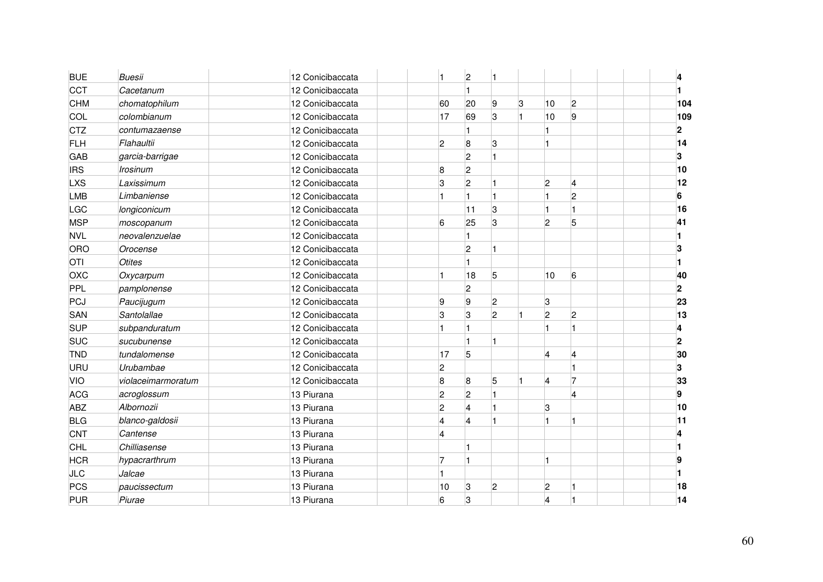| <b>BUE</b> | <b>Buesii</b>      | 12 Conicibaccata | 1              | $\overline{c}$ |                |           |                |                         | 4                       |  |
|------------|--------------------|------------------|----------------|----------------|----------------|-----------|----------------|-------------------------|-------------------------|--|
| CCT        | Cacetanum          | 12 Conicibaccata |                |                |                |           |                |                         |                         |  |
| CHM        | chomatophilum      | 12 Conicibaccata | 60             | 20             | 9              | 3         | 10             | $\overline{2}$          | 104                     |  |
| <b>COL</b> | colombianum        | 12 Conicibaccata | 17             | 69             | 3              | $\vert$ 1 | 10             | 9                       | 109                     |  |
| <b>CTZ</b> | contumazaense      | 12 Conicibaccata |                |                |                |           |                |                         | $\overline{\mathbf{2}}$ |  |
| <b>FLH</b> | Flahaultii         | 12 Conicibaccata | $\overline{2}$ | 8              | 3              |           |                |                         | 14                      |  |
| <b>GAB</b> | garcia-barrigae    | 12 Conicibaccata |                | $\overline{c}$ |                |           |                |                         | 3                       |  |
| <b>IRS</b> | <b>Irosinum</b>    | 12 Conicibaccata | 8              | $\overline{c}$ |                |           |                |                         | 10                      |  |
| <b>LXS</b> | Laxissimum         | 12 Conicibaccata | 3              | $\overline{c}$ |                |           | $\overline{2}$ | $\overline{4}$          | 12                      |  |
| <b>LMB</b> | Limbaniense        | 12 Conicibaccata | 1              |                |                |           |                | $\overline{c}$          | 6                       |  |
| LGC        | longiconicum       | 12 Conicibaccata |                | 11             | 3              |           |                |                         | 16                      |  |
| <b>MSP</b> | moscopanum         | 12 Conicibaccata | 6              | 25             | 3              |           | $\overline{2}$ | 5                       | 41                      |  |
| <b>NVL</b> | neovalenzuelae     | 12 Conicibaccata |                |                |                |           |                |                         |                         |  |
| ORO        | Orocense           | 12 Conicibaccata |                | $\overline{2}$ |                |           |                |                         | 3                       |  |
| <b>OTI</b> | <b>Otites</b>      | 12 Conicibaccata |                |                |                |           |                |                         |                         |  |
| OXC        | Oxycarpum          | 12 Conicibaccata | 1              | 18             | 5              |           | $ 10\rangle$   | 6                       | 40                      |  |
| <b>PPL</b> | pamplonense        | 12 Conicibaccata |                | $\overline{2}$ |                |           |                |                         | $\overline{2}$          |  |
| PCJ        | Paucijugum         | 12 Conicibaccata | 9              | 9              | $\overline{c}$ |           | 3              |                         | 23                      |  |
| SAN        | Santolallae        | 12 Conicibaccata | 3              | 3              | $\overline{c}$ | 1         | $\overline{2}$ | 2                       | 13                      |  |
| <b>SUP</b> | subpanduratum      | 12 Conicibaccata | 1              |                |                |           |                |                         | 4                       |  |
| <b>SUC</b> | sucubunense        | 12 Conicibaccata |                |                |                |           |                |                         | $\mathbf{2}$            |  |
| <b>TND</b> | tundalomense       | 12 Conicibaccata | 17             | 5              |                |           | 4              | 4                       | 30                      |  |
| URU        | Urubambae          | 12 Conicibaccata | $\overline{2}$ |                |                |           |                |                         | 3                       |  |
| VIO        | violaceimarmoratum | 12 Conicibaccata | 8              | 8              | 5              | 1         | $\overline{4}$ |                         | 33                      |  |
| <b>ACG</b> | acroglossum        | 13 Piurana       | 2              | $\overline{2}$ |                |           |                | $\overline{\mathbf{4}}$ | 9                       |  |
| ABZ        | Albornozii         | 13 Piurana       | 2              | 4              |                |           | 3              |                         | 10                      |  |
| <b>BLG</b> | blanco-galdosii    | 13 Piurana       | $\overline{4}$ | 4              |                |           |                |                         | 11                      |  |
| CNT        | Cantense           | 13 Piurana       | $\overline{4}$ |                |                |           |                |                         | 4                       |  |
| <b>CHL</b> | Chilliasense       | 13 Piurana       |                |                |                |           |                |                         |                         |  |
| <b>HCR</b> | hypacrarthrum      | 13 Piurana       | 17             |                |                |           | n              |                         | g                       |  |
| <b>JLC</b> | Jalcae             | 13 Piurana       |                |                |                |           |                |                         |                         |  |
| PCS        | paucissectum       | 13 Piurana       | 10             | 3              | 2              |           | $\overline{2}$ |                         | 18                      |  |
| PUR        | Piurae             | 13 Piurana       | 6              | 3              |                |           | 4              |                         | 14                      |  |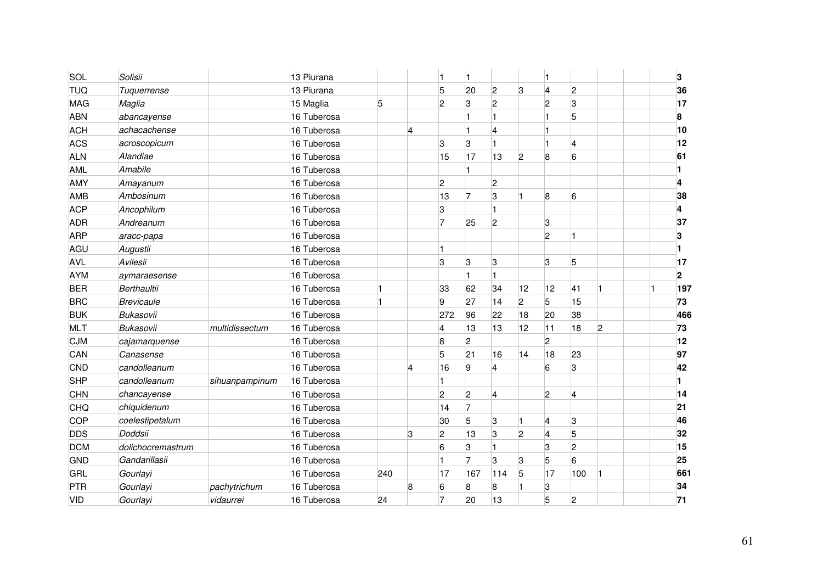| SOL        | Solisii           |                | 13 Piurana  |     |                         | 1              |                |                |                |                         |     |                | 3                       |
|------------|-------------------|----------------|-------------|-----|-------------------------|----------------|----------------|----------------|----------------|-------------------------|-----|----------------|-------------------------|
| <b>TUQ</b> | Tuquerrense       |                | 13 Piurana  |     |                         | 5              | 20             | $\overline{c}$ | 3              | $\overline{4}$          | 2   |                | 36                      |
| <b>MAG</b> | Maglia            |                | 15 Maglia   | 5   |                         | $\overline{2}$ | 3              | 2              |                | $\overline{2}$          | 3   |                | 17                      |
| ABN        | abancayense       |                | 16 Tuberosa |     |                         |                |                |                |                |                         | 5   |                | 8                       |
| <b>ACH</b> | achacachense      |                | 16 Tuberosa |     | $\overline{\mathbf{4}}$ |                |                | 4              |                |                         |     |                | 10                      |
| ACS        | acroscopicum      |                | 16 Tuberosa |     |                         | 3              | 3              |                |                |                         | 4   |                | 12                      |
| <b>ALN</b> | Alandiae          |                | 16 Tuberosa |     |                         | 15             | 17             | 13             | $\overline{2}$ | 8                       | 6   |                | 61                      |
| <b>AML</b> | Amabile           |                | 16 Tuberosa |     |                         |                |                |                |                |                         |     |                |                         |
| AMY        | Amayanum          |                | 16 Tuberosa |     |                         | $\overline{2}$ |                | 2              |                |                         |     |                | 4                       |
| AMB        | Ambosinum         |                | 16 Tuberosa |     |                         | 13             | 17             | 3              | Ħ.             | 8                       | 6   |                | 38                      |
| <b>ACP</b> | Ancophilum        |                | 16 Tuberosa |     |                         | 3              |                |                |                |                         |     |                | 4                       |
| <b>ADR</b> | Andreanum         |                | 16 Tuberosa |     |                         | 17             | 25             | 2              |                | $\vert 3 \vert$         |     |                | 37                      |
| ARP        | aracc-papa        |                | 16 Tuberosa |     |                         |                |                |                |                | $\overline{2}$          |     |                | 3                       |
| AGU        | Augustii          |                | 16 Tuberosa |     |                         | 1              |                |                |                |                         |     |                |                         |
| <b>AVL</b> | Avilesii          |                | 16 Tuberosa |     |                         | 3              | 3              | 3              |                | 3                       | 5   |                | 17                      |
| <b>AYM</b> | aymaraesense      |                | 16 Tuberosa |     |                         |                |                |                |                |                         |     |                | $\overline{\mathbf{2}}$ |
| <b>BER</b> | Berthaultii       |                | 16 Tuberosa |     |                         | 33             | 62             | 34             | 12             | 12                      | 41  |                | 197                     |
| <b>BRC</b> | <b>Brevicaule</b> |                | 16 Tuberosa |     |                         | 9              | 27             | 14             | $\overline{c}$ | 5                       | 15  |                | 73                      |
| <b>BUK</b> | <b>Bukasovii</b>  |                | 16 Tuberosa |     |                         | 272            | 96             | 22             | 18             | 20                      | 38  |                | 466                     |
| <b>MLT</b> | <b>Bukasovii</b>  | multidissectum | 16 Tuberosa |     |                         | 4              | 13             | 13             | 12             | 11                      | 18  | $\overline{c}$ | 73                      |
| <b>CJM</b> | cajamarquense     |                | 16 Tuberosa |     |                         | 8              | $\overline{c}$ |                |                | $\overline{2}$          |     |                | 12                      |
| CAN        | Canasense         |                | 16 Tuberosa |     |                         | 5              | 21             | 16             | 14             | 18                      | 23  |                | 97                      |
| CND        | candolleanum      |                | 16 Tuberosa |     | 4                       | 16             | 9              | 4              |                | 6                       | 3   |                | 42                      |
| <b>SHP</b> | candolleanum      | sihuanpampinum | 16 Tuberosa |     |                         | 1              |                |                |                |                         |     |                |                         |
| CHN        | chancayense       |                | 16 Tuberosa |     |                         | $\overline{c}$ | $\overline{c}$ | $\overline{4}$ |                | $\overline{c}$          | 4   |                | 14                      |
| CHQ        | chiquidenum       |                | 16 Tuberosa |     |                         | 14             | 7              |                |                |                         |     |                | 21                      |
| COP        | coelestipetalum   |                | 16 Tuberosa |     |                         | 30             | 5              | 3              |                | $\overline{\mathbf{4}}$ | 3   |                | 46                      |
| <b>DDS</b> | Doddsii           |                | 16 Tuberosa |     | 3                       | 2              | 13             | 3              | $\overline{2}$ | $\overline{4}$          | 5   |                | 32                      |
| <b>DCM</b> | dolichocremastrum |                | 16 Tuberosa |     |                         | 6              | 3              |                |                | 3                       | 2   |                | 15                      |
| GND        | Gandarillasii     |                | 16 Tuberosa |     |                         | $\mathbf{1}$   | 7              | 3              | 3              | 5                       | 6   |                | 25                      |
| <b>GRL</b> | Gourlayi          |                | 16 Tuberosa | 240 |                         | 17             | 167            | 114            | 5              | 17                      | 100 |                | 661                     |
| PTR        | Gourlayi          | pachytrichum   | 16 Tuberosa |     | 8                       | 6              | 8              | 8              | 1              | 3                       |     |                | 34                      |
| <b>VID</b> | Gourlayi          | vidaurrei      | 16 Tuberosa | 24  |                         | 17             | 20             | 13             |                | 5                       | 2   |                | 71                      |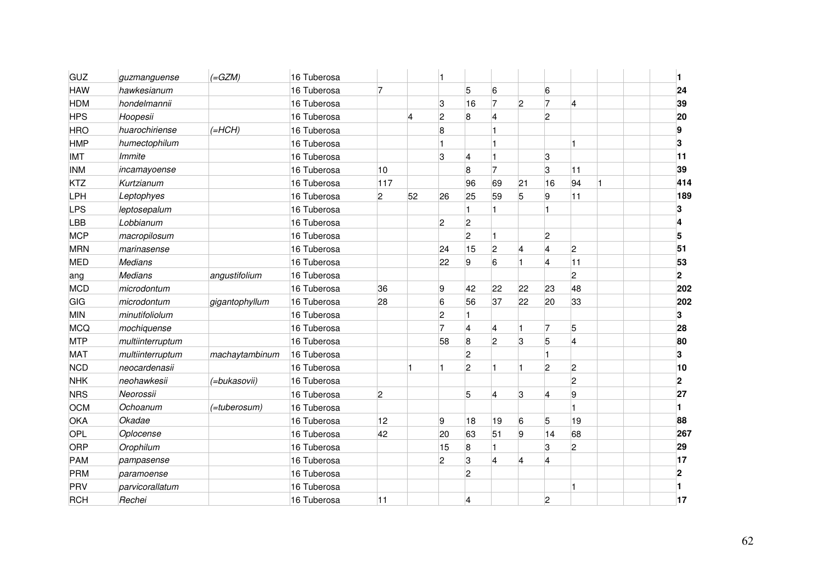| GUZ        | guzmanguense     | $(=\text{GZM})$ | 16 Tuberosa |                |    |                |                |                |                         |                |                         |                |
|------------|------------------|-----------------|-------------|----------------|----|----------------|----------------|----------------|-------------------------|----------------|-------------------------|----------------|
| <b>HAW</b> | hawkesianum      |                 | 16 Tuberosa | 7              |    |                | 5              | 6              |                         | 6              |                         | 24             |
| <b>HDM</b> | hondelmannii     |                 | 16 Tuberosa |                |    | 3              | 16             | 7              | $\overline{2}$          | 7              | $\overline{4}$          | 39             |
| <b>HPS</b> | Hoopesii         |                 | 16 Tuberosa |                | 4  | 2              | 8              | 4              |                         | $\overline{2}$ |                         | 20             |
| <b>HRO</b> | huarochiriense   | $(=HCH)$        | 16 Tuberosa |                |    | 8              |                |                |                         |                |                         | 9              |
| <b>HMP</b> | humectophilum    |                 | 16 Tuberosa |                |    |                |                |                |                         |                |                         | 3              |
| IMT        | Immite           |                 | 16 Tuberosa |                |    | 3              | 4              |                |                         | 3              |                         | 11             |
| <b>INM</b> | incamayoense     |                 | 16 Tuberosa | 10             |    |                | 8              |                |                         | 3              | 11                      | 39             |
| <b>KTZ</b> | Kurtzianum       |                 | 16 Tuberosa | 117            |    |                | 96             | 69             | 21                      | 16             | 94                      | 414            |
| LPH        | Leptophyes       |                 | 16 Tuberosa | $\overline{c}$ | 52 | 26             | 25             | 59             | 5                       | 9              | 11                      | 189            |
| <b>LPS</b> | leptosepalum     |                 | 16 Tuberosa |                |    |                |                |                |                         | 11             |                         | 3              |
| LBB        | Lobbianum        |                 | 16 Tuberosa |                |    | $\overline{2}$ | $\overline{c}$ |                |                         |                |                         | 4              |
| <b>MCP</b> | macropilosum     |                 | 16 Tuberosa |                |    |                | $\overline{c}$ |                |                         | $\overline{c}$ |                         | 5              |
| <b>MRN</b> | marinasense      |                 | 16 Tuberosa |                |    | 24             | 15             | $\overline{c}$ | $\overline{\mathbf{4}}$ | $\overline{4}$ | 2                       | 51             |
| <b>MED</b> | <b>Medians</b>   |                 | 16 Tuberosa |                |    | 22             | 9              | 6              | H.                      | 4              | 11                      | 53             |
| ang        | <b>Medians</b>   | angustifolium   | 16 Tuberosa |                |    |                |                |                |                         |                | 2                       | $\overline{2}$ |
| <b>MCD</b> | microdontum      |                 | 16 Tuberosa | 36             |    | 9              | 42             | 22             | 22                      | 23             | 48                      | 202            |
| GIG        | microdontum      | gigantophyllum  | 16 Tuberosa | 28             |    | 6              | 56             | 37             | 22                      | 20             | 33                      | 202            |
| MIN        | minutifoliolum   |                 | 16 Tuberosa |                |    | 2              |                |                |                         |                |                         | 3              |
| MCQ        | mochiquense      |                 | 16 Tuberosa |                |    | 7              | $\overline{4}$ | 4              | 1                       | $\overline{7}$ | 5                       | 28             |
| <b>MTP</b> | multiinterruptum |                 | 16 Tuberosa |                |    | 58             | 8              | 2              | 3                       | 5              | $\overline{\mathbf{A}}$ | 80             |
| <b>MAT</b> | multiinterruptum | machaytambinum  | 16 Tuberosa |                |    |                | $\overline{c}$ |                |                         |                |                         | 3              |
| <b>NCD</b> | neocardenasii    |                 | 16 Tuberosa |                |    | 1              | $\overline{2}$ |                |                         | $\overline{2}$ | 2                       | 10             |
| <b>NHK</b> | neohawkesii      | (=bukasovii)    | 16 Tuberosa |                |    |                |                |                |                         |                | 2                       | $\mathbf 2$    |
| <b>NRS</b> | Neorossii        |                 | 16 Tuberosa | $\overline{c}$ |    |                | 5              | 4              | 3                       | $\overline{4}$ | 9                       | 27             |
| <b>OCM</b> | Ochoanum         | (=tuberosum)    | 16 Tuberosa |                |    |                |                |                |                         |                |                         |                |
| OKA        | Okadae           |                 | 16 Tuberosa | 12             |    | 9              | 18             | 19             | 6                       | 5              | 19                      | 88             |
| <b>OPL</b> | Oplocense        |                 | 16 Tuberosa | 42             |    | 20             | 63             | 51             | 9                       | 14             | 68                      | 267            |
| <b>ORP</b> | Orophilum        |                 | 16 Tuberosa |                |    | 15             | 8              |                |                         | 3              | $\overline{2}$          | 29             |
| PAM        | pampasense       |                 | 16 Tuberosa |                |    | 2              | 3              | 4              | $\overline{\mathbf{4}}$ | 4              |                         | 17             |
| PRM        | paramoense       |                 | 16 Tuberosa |                |    |                | $\overline{2}$ |                |                         |                |                         | 2              |
| PRV        | parvicorallatum  |                 | 16 Tuberosa |                |    |                |                |                |                         |                |                         |                |
| <b>RCH</b> | Rechei           |                 | 16 Tuberosa | 11             |    |                | 4              |                |                         | $\overline{c}$ |                         | 17             |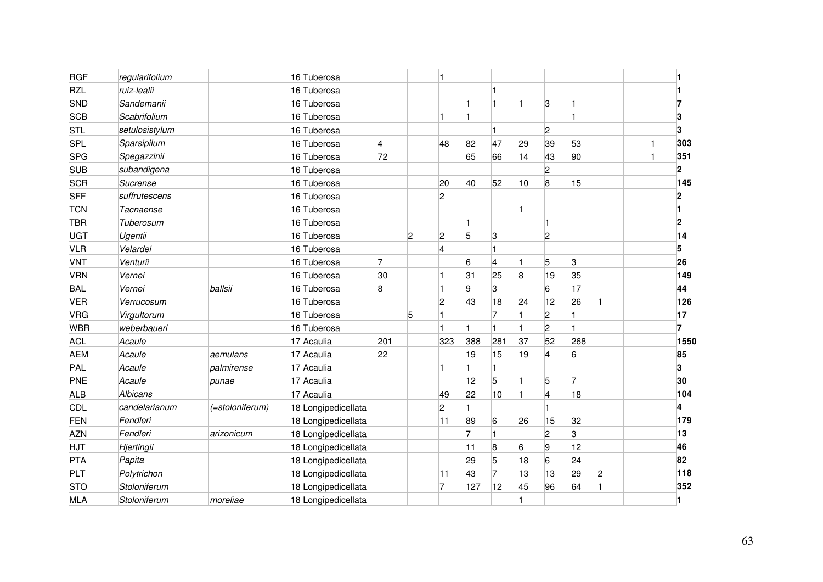| <b>RGF</b> | regularifolium |                 | 16 Tuberosa         |     |                |                         |     |     |    |                |     |    |                |
|------------|----------------|-----------------|---------------------|-----|----------------|-------------------------|-----|-----|----|----------------|-----|----|----------------|
| <b>RZL</b> | ruiz-lealii    |                 | 16 Tuberosa         |     |                |                         |     |     |    |                |     |    |                |
| SND        | Sandemanii     |                 | 16 Tuberosa         |     |                |                         |     |     |    | 3              |     |    |                |
| <b>SCB</b> | Scabrifolium   |                 | 16 Tuberosa         |     |                |                         |     |     |    |                |     |    |                |
| <b>STL</b> | setulosistylum |                 | 16 Tuberosa         |     |                |                         |     |     |    | 2              |     |    | 3              |
| <b>SPL</b> | Sparsipilum    |                 | 16 Tuberosa         | 4   |                | 48                      | 82  | 47  | 29 | 39             | 53  |    | 303            |
| <b>SPG</b> | Spegazzinii    |                 | 16 Tuberosa         | 72  |                |                         | 65  | 66  | 14 | 43             | 90  |    | 351            |
| <b>SUB</b> | subandigena    |                 | 16 Tuberosa         |     |                |                         |     |     |    | 2              |     |    | $\overline{2}$ |
| <b>SCR</b> | Sucrense       |                 | 16 Tuberosa         |     |                | 20                      | 40  | 52  | 10 | 8              | 15  |    | 145            |
| <b>SFF</b> | suffrutescens  |                 | 16 Tuberosa         |     |                | $\overline{2}$          |     |     |    |                |     |    | $\overline{2}$ |
| <b>TCN</b> | Tacnaense      |                 | 16 Tuberosa         |     |                |                         |     |     |    |                |     |    |                |
| <b>TBR</b> | Tuberosum      |                 | 16 Tuberosa         |     |                |                         |     |     |    |                |     |    | $\overline{2}$ |
| <b>UGT</b> | Ugentii        |                 | 16 Tuberosa         |     | $\overline{2}$ | 2                       | 5   | 3   |    | 2              |     |    | 14             |
| <b>VLR</b> | Velardei       |                 | 16 Tuberosa         |     |                | $\overline{\mathbf{4}}$ |     |     |    |                |     |    | 5              |
| <b>VNT</b> | Venturii       |                 | 16 Tuberosa         | 7   |                |                         | 6   | 4   |    | 5              | 3   |    | 26             |
| <b>VRN</b> | Vernei         |                 | 16 Tuberosa         | 30  |                |                         | 31  | 25  | 8  | 19             | 35  |    | 149            |
| <b>BAL</b> | Vernei         | ballsii         | 16 Tuberosa         | 8   |                |                         | 9   | 3   |    | 6              | 17  |    | 44             |
| <b>VER</b> | Verrucosum     |                 | 16 Tuberosa         |     |                | $\overline{c}$          | 43  | 18  | 24 | 12             | 26  | 1  | 126            |
| VRG        | Virgultorum    |                 | 16 Tuberosa         |     | 5              |                         |     |     |    | $\overline{c}$ |     |    | 17             |
| <b>WBR</b> | weberbaueri    |                 | 16 Tuberosa         |     |                |                         |     | 1   |    | $\overline{2}$ |     |    | 7              |
| <b>ACL</b> | Acaule         |                 | 17 Acaulia          | 201 |                | 323                     | 388 | 281 | 37 | 52             | 268 |    | 1550           |
| <b>AEM</b> | Acaule         | aemulans        | 17 Acaulia          | 22  |                |                         | 19  | 15  | 19 | 4              | 6   |    | 85             |
| PAL        | Acaule         | palmirense      | 17 Acaulia          |     |                |                         |     |     |    |                |     |    | 3              |
| PNE        | Acaule         | punae           | 17 Acaulia          |     |                |                         | 12  | 5   |    | 5              | 7   |    | 30             |
| <b>ALB</b> | Albicans       |                 | 17 Acaulia          |     |                | 49                      | 22  | 10  |    | 4              | 18  |    | 104            |
| <b>CDL</b> | candelarianum  | (=stoloniferum) | 18 Longipedicellata |     |                | $\overline{c}$          |     |     |    |                |     |    | 4              |
| FEN        | Fendleri       |                 | 18 Longipedicellata |     |                | 11                      | 89  | 6   | 26 | 15             | 32  |    | 179            |
| <b>AZN</b> | Fendleri       | arizonicum      | 18 Longipedicellata |     |                |                         | 7   |     |    | $\overline{2}$ | 3   |    | 13             |
| HJT        | Hjertingii     |                 | 18 Longipedicellata |     |                |                         | 11  | 8   | 6  | 9              | 12  |    | 46             |
| PTA        | Papita         |                 | 18 Longipedicellata |     |                |                         | 29  | 5   | 18 | 6              | 24  |    | 82             |
| PLT        | Polytrichon    |                 | 18 Longipedicellata |     |                | 11                      | 43  | 7   | 13 | 13             | 29  | 2  | 118            |
| <b>STO</b> | Stoloniferum   |                 | 18 Longipedicellata |     |                | 7                       | 127 | 12  | 45 | 96             | 64  | l1 | 352            |
| MLA        | Stoloniferum   | moreliae        | 18 Longipedicellata |     |                |                         |     |     |    |                |     |    |                |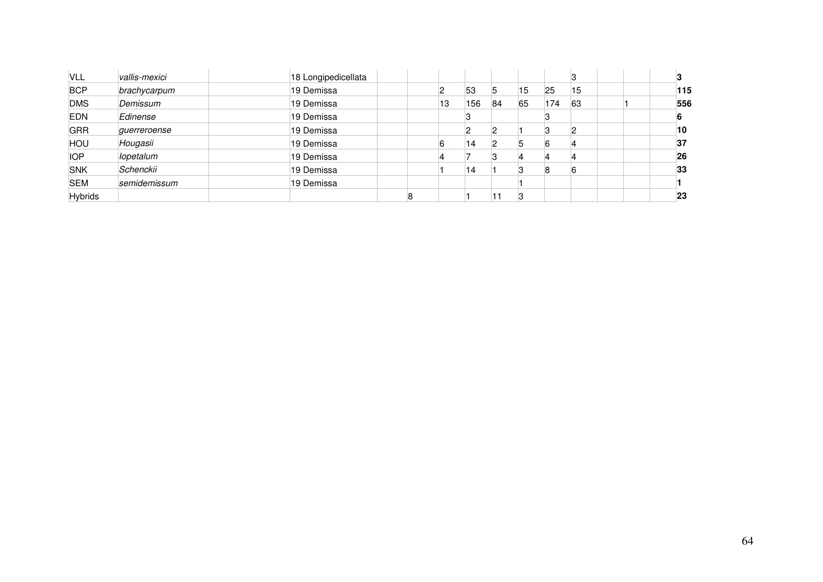| VLL            | vallis-mexici | 18 Longipedicellata |    |     |    |    |     |    |     |
|----------------|---------------|---------------------|----|-----|----|----|-----|----|-----|
| <b>BCP</b>     | brachycarpum  | 19 Demissa          |    | 53  | 5  | 15 | 25  | 15 | 115 |
| <b>DMS</b>     | Demissum      | 19 Demissa          | 13 | 156 | 84 | 65 | 174 | 63 | 556 |
| <b>EDN</b>     | Edinense      | 19 Demissa          |    |     |    |    |     |    |     |
| <b>GRR</b>     | guerreroense  | 19 Demissa          |    |     |    |    |     |    | 10  |
| HOU            | Hougasii      | 19 Demissa          | 6  | 14  |    | 5  |     |    | 37  |
| <b>IOP</b>     | lopetalum     | 19 Demissa          |    |     |    |    |     |    | 26  |
| <b>SNK</b>     | Schenckii     | 19 Demissa          |    | 14  |    | 3  |     |    | 33  |
| <b>SEM</b>     | semidemissum  | 19 Demissa          |    |     |    |    |     |    |     |
| <b>Hybrids</b> |               |                     |    |     |    | ß  |     |    | 23  |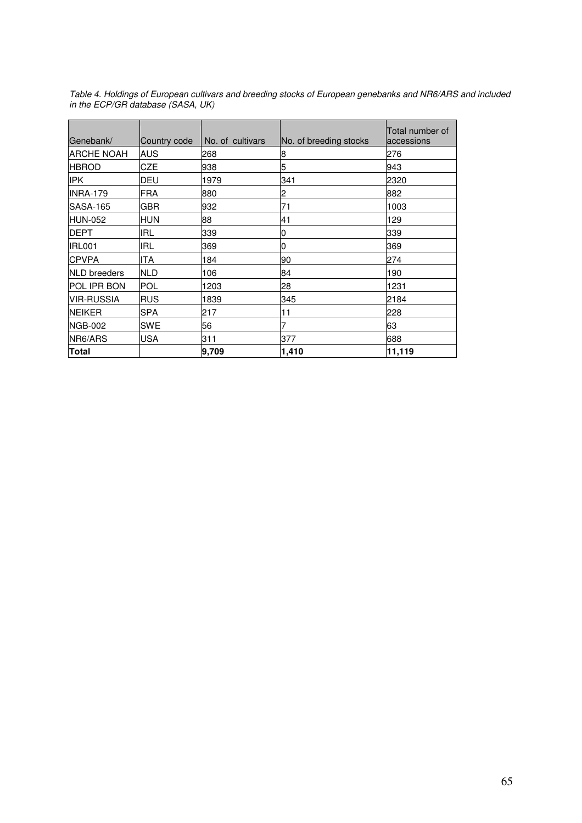| Genebank/           | Country code | No. of cultivars | No. of breeding stocks | Total number of<br>accessions |
|---------------------|--------------|------------------|------------------------|-------------------------------|
| <b>ARCHE NOAH</b>   | AUS          | 268              | 8                      | 276                           |
| <b>HBROD</b>        | CZE          | 938              | 5                      | 943                           |
| <b>IPK</b>          | DEU          | 1979             | 341                    | 2320                          |
| <b>INRA-179</b>     | <b>FRA</b>   | 880              | 2                      | 882                           |
| SASA-165            | GBR          | 932              | 71                     | 1003                          |
| <b>HUN-052</b>      | HUN          | 88               | 41                     | 129                           |
| <b>DEPT</b>         | <b>IRL</b>   | 339              | 0                      | 339                           |
| IRL001              | IRL          | 369              | 0                      | 369                           |
| <b>CPVPA</b>        | ITA          | 184              | 90                     | 274                           |
| <b>NLD</b> breeders | <b>NLD</b>   | 106              | 84                     | 190                           |
| <b>POL IPR BON</b>  | <b>POL</b>   | 1203             | 28                     | 1231                          |
| <b>VIR-RUSSIA</b>   | <b>RUS</b>   | 1839             | 345                    | 2184                          |
| <b>NEIKER</b>       | <b>SPA</b>   | 217              | 11                     | 228                           |
| <b>NGB-002</b>      | SWE          | 56               |                        | 63                            |
| NR6/ARS             | USA          | 311              | 377                    | 688                           |
| Total               |              | 9,709            | 1,410                  | 11,119                        |

Table 4. Holdings of European cultivars and breeding stocks of European genebanks and NR6/ARS and included in the ECP/GR database (SASA, UK)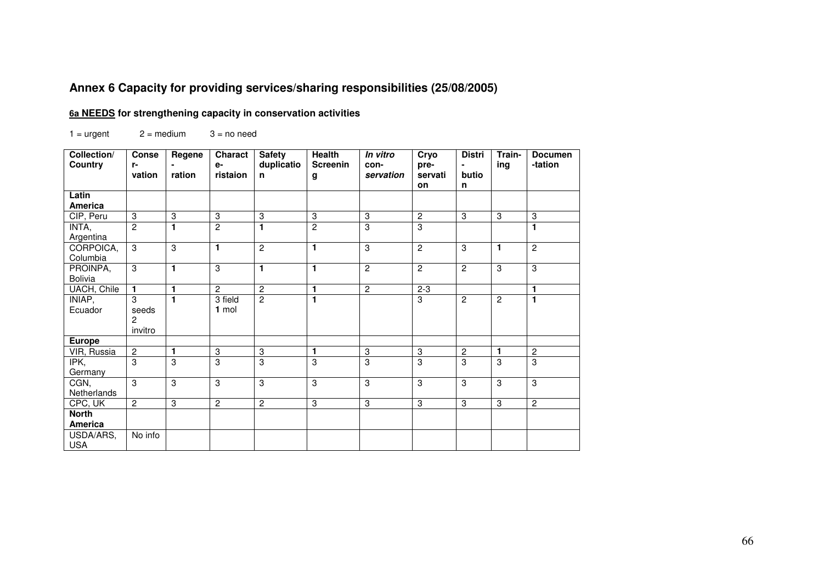# **Annex 6 Capacity for providing services/sharing responsibilities (25/08/2005)**

#### **6a NEEDS for strengthening capacity in conservation activities**

 $1 =$  urgent  $2 =$  medium  $3 =$  no need

| Collection/<br>Country | <b>Conse</b><br>$r-$ | Regene       | <b>Charact</b><br>e- | <b>Safety</b><br>duplicatio | <b>Health</b><br><b>Screenin</b> | In vitro<br>con-          | Cryo<br>pre-     | <b>Distri</b>  | Train-<br>ing    | <b>Documen</b><br>-tation |
|------------------------|----------------------|--------------|----------------------|-----------------------------|----------------------------------|---------------------------|------------------|----------------|------------------|---------------------------|
|                        | vation               | ration       | ristaion             | n.                          | g                                | servation                 | servati          | butio          |                  |                           |
|                        |                      |              |                      |                             |                                  |                           | <b>on</b>        | n              |                  |                           |
| Latin                  |                      |              |                      |                             |                                  |                           |                  |                |                  |                           |
| <b>America</b>         |                      |              |                      |                             |                                  |                           |                  |                |                  |                           |
| CIP, Peru              | $\boldsymbol{3}$     | 3            | $\sqrt{3}$           | 3                           | $\sqrt{3}$                       | $\ensuremath{\mathsf{3}}$ | $\boldsymbol{2}$ | ЗĪ             | $\boldsymbol{3}$ | 3                         |
| INTA,                  | $\overline{2}$       | 1            | $\overline{2}$       | 1                           | $\overline{2}$                   | 3                         | 3                |                |                  | 1                         |
| Argentina              |                      |              |                      |                             |                                  |                           |                  |                |                  |                           |
| CORPOICA,              | 3                    | 3            | $\mathbf{1}$         | $\overline{2}$              | $\mathbf{1}$                     | 3                         | $\overline{2}$   | 3              | 1                | $\overline{c}$            |
| Columbia               |                      |              |                      |                             |                                  |                           |                  |                |                  |                           |
| PROINPA,               | 3                    | 1            | 3                    | 1                           | $\mathbf{1}$                     | $\overline{2}$            | $\overline{2}$   | $\overline{2}$ | 3                | 3                         |
| <b>Bolivia</b>         |                      |              |                      |                             |                                  |                           |                  |                |                  |                           |
| <b>UACH, Chile</b>     | $\mathbf{1}$         | $\mathbf{1}$ | $\overline{2}$       | $\overline{2}$              | $\mathbf{1}$                     | $\overline{2}$            | $2 - 3$          |                |                  | 1                         |
| INIAP,                 | 3                    | 1            | 3 field              | $\overline{2}$              | $\mathbf{1}$                     |                           | 3                | $\overline{2}$ | $\overline{2}$   | 1                         |
| Ecuador                | seeds                |              | $1$ mol              |                             |                                  |                           |                  |                |                  |                           |
|                        | $\overline{2}$       |              |                      |                             |                                  |                           |                  |                |                  |                           |
|                        | invitro              |              |                      |                             |                                  |                           |                  |                |                  |                           |
| <b>Europe</b>          |                      |              |                      |                             |                                  |                           |                  |                |                  |                           |
| VIR, Russia            | $\mathbf{2}$         | 1            | 3                    | $\boldsymbol{3}$            | $\mathbf{1}$                     | $\ensuremath{\mathsf{3}}$ | 3                | $\mathbf{2}$   | 1                | $\overline{c}$            |
| IPK,                   | 3                    | 3            | 3                    | 3                           | 3                                | 3                         | 3                | 3              | 3                | 3                         |
| Germany                |                      |              |                      |                             |                                  |                           |                  |                |                  |                           |
| CGN,                   | 3                    | 3            | 3                    | 3                           | 3                                | 3                         | 3                | 3              | 3                | 3                         |
| Netherlands            |                      |              |                      |                             |                                  |                           |                  |                |                  |                           |
| CPC, UK                | $\overline{2}$       | 3            | $\overline{2}$       | $\overline{c}$              | 3                                | $\sqrt{3}$                | 3                | 3              | 3                | $\mathbf{2}$              |
| <b>North</b>           |                      |              |                      |                             |                                  |                           |                  |                |                  |                           |
| America                |                      |              |                      |                             |                                  |                           |                  |                |                  |                           |
| USDA/ARS,              | No info              |              |                      |                             |                                  |                           |                  |                |                  |                           |
| <b>USA</b>             |                      |              |                      |                             |                                  |                           |                  |                |                  |                           |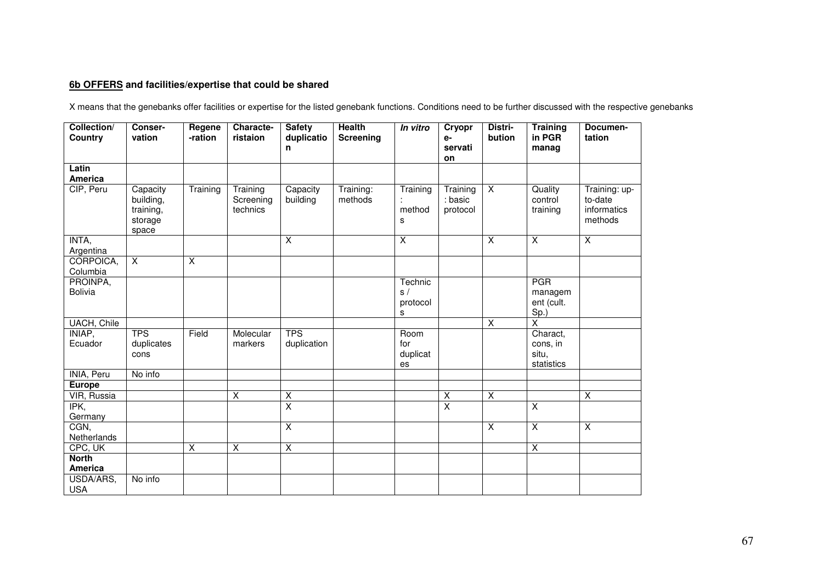#### **6b OFFERS and facilities/expertise that could be shared**

X means that the genebanks offer facilities or expertise for the listed genebank functions. Conditions need to be further discussed with the respective genebanks

| Collection/<br>Country         | Conser-<br>vation                                      | Regene<br>-ration       | Characte-<br>ristaion             | <b>Safety</b><br>duplicatio<br>n | <b>Health</b><br><b>Screening</b> | In vitro                       | Cryopr<br>e-<br>servati<br>on   | Distri-<br>bution       | <b>Training</b><br>in PGR<br>manag          | Documen-<br>tation                                 |
|--------------------------------|--------------------------------------------------------|-------------------------|-----------------------------------|----------------------------------|-----------------------------------|--------------------------------|---------------------------------|-------------------------|---------------------------------------------|----------------------------------------------------|
| Latin<br>America               |                                                        |                         |                                   |                                  |                                   |                                |                                 |                         |                                             |                                                    |
| CIP, Peru                      | Capacity<br>building,<br>training,<br>storage<br>space | Training                | Training<br>Screening<br>technics | Capacity<br>building             | Training:<br>methods              | Training<br>method<br>s        | Training<br>: basic<br>protocol | $\overline{X}$          | Quality<br>control<br>training              | Training: up-<br>to-date<br>informatics<br>methods |
| INTA,<br>Argentina             |                                                        |                         |                                   | $\overline{\mathsf{x}}$          |                                   | $\overline{\mathsf{x}}$        |                                 | $\overline{\mathsf{x}}$ | $\overline{\mathsf{x}}$                     | $\overline{X}$                                     |
| CORPOICA,<br>Columbia          | $\overline{X}$                                         | $\overline{\mathsf{x}}$ |                                   |                                  |                                   |                                |                                 |                         |                                             |                                                    |
| PROINPA,<br>Bolivia            |                                                        |                         |                                   |                                  |                                   | Technic<br>s/<br>protocol<br>s |                                 |                         | <b>PGR</b><br>managem<br>ent (cult.<br>Sp.) |                                                    |
| UACH, Chile                    |                                                        |                         |                                   |                                  |                                   |                                |                                 | $\overline{\mathsf{x}}$ | $\overline{\mathsf{x}}$                     |                                                    |
| INIAP,<br>Ecuador              | <b>TPS</b><br>duplicates<br>cons                       | Field                   | Molecular<br>markers              | <b>TPS</b><br>duplication        |                                   | Room<br>for<br>duplicat<br>es  |                                 |                         | Charact,<br>cons, in<br>situ,<br>statistics |                                                    |
| <b>INIA, Peru</b>              | No info                                                |                         |                                   |                                  |                                   |                                |                                 |                         |                                             |                                                    |
| <b>Europe</b>                  |                                                        |                         |                                   |                                  |                                   |                                |                                 |                         |                                             |                                                    |
| VIR, Russia                    |                                                        |                         | $\overline{\mathsf{x}}$           | $\overline{X}$                   |                                   |                                | $\overline{X}$                  | $\overline{\mathsf{x}}$ |                                             | $\overline{\mathsf{x}}$                            |
| IPK,<br>Germany                |                                                        |                         |                                   | $\overline{\mathsf{x}}$          |                                   |                                | $\overline{\mathsf{x}}$         |                         | $\overline{\mathsf{x}}$                     |                                                    |
| CGN,<br>Netherlands            |                                                        |                         |                                   | X                                |                                   |                                |                                 | $\sf X$                 | X                                           | $\overline{X}$                                     |
| CPC, UK                        |                                                        | $\overline{\mathsf{x}}$ | Χ                                 | $\overline{\mathsf{x}}$          |                                   |                                |                                 |                         | $\overline{\mathsf{x}}$                     |                                                    |
| <b>North</b><br><b>America</b> |                                                        |                         |                                   |                                  |                                   |                                |                                 |                         |                                             |                                                    |
| USDA/ARS,<br><b>USA</b>        | No info                                                |                         |                                   |                                  |                                   |                                |                                 |                         |                                             |                                                    |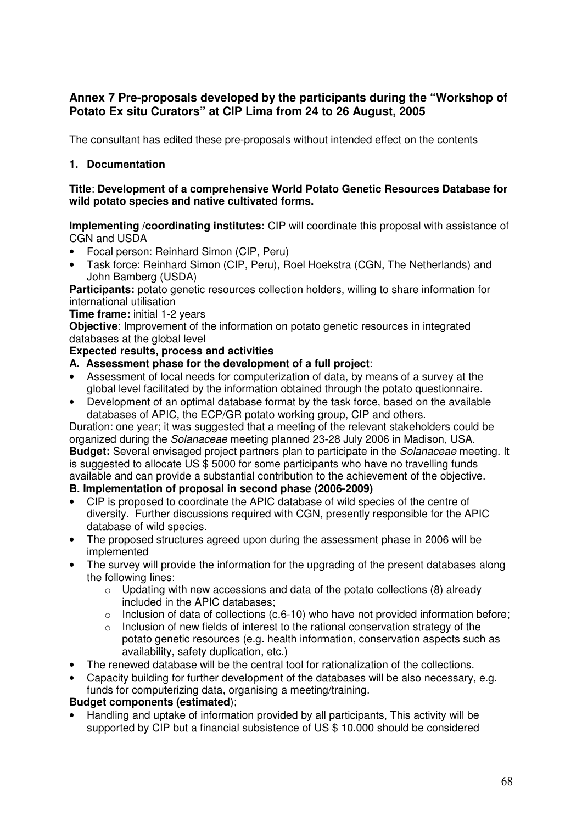## **Annex 7 Pre-proposals developed by the participants during the "Workshop of Potato Ex situ Curators" at CIP Lima from 24 to 26 August, 2005**

The consultant has edited these pre-proposals without intended effect on the contents

## **1. Documentation**

#### **Title**: **Development of a comprehensive World Potato Genetic Resources Database for wild potato species and native cultivated forms.**

**Implementing /coordinating institutes:** CIP will coordinate this proposal with assistance of CGN and USDA

- Focal person: Reinhard Simon (CIP, Peru)
- Task force: Reinhard Simon (CIP, Peru), Roel Hoekstra (CGN, The Netherlands) and John Bamberg (USDA)

**Participants:** potato genetic resources collection holders, willing to share information for international utilisation

#### **Time frame:** initial 1-2 years

**Objective**: Improvement of the information on potato genetic resources in integrated databases at the global level

#### **Expected results, process and activities**

- **A. Assessment phase for the development of a full project**:
- Assessment of local needs for computerization of data, by means of a survey at the global level facilitated by the information obtained through the potato questionnaire.
- Development of an optimal database format by the task force, based on the available databases of APIC, the ECP/GR potato working group, CIP and others.

Duration: one year; it was suggested that a meeting of the relevant stakeholders could be organized during the Solanaceae meeting planned 23-28 July 2006 in Madison, USA. **Budget:** Several envisaged project partners plan to participate in the Solanaceae meeting. It is suggested to allocate US \$ 5000 for some participants who have no travelling funds available and can provide a substantial contribution to the achievement of the objective.

## **B. Implementation of proposal in second phase (2006-2009)**

- CIP is proposed to coordinate the APIC database of wild species of the centre of diversity. Further discussions required with CGN, presently responsible for the APIC database of wild species.
- The proposed structures agreed upon during the assessment phase in 2006 will be implemented
- The survey will provide the information for the upgrading of the present databases along the following lines:
	- $\circ$  Updating with new accessions and data of the potato collections (8) already included in the APIC databases;
	- $\circ$  Inclusion of data of collections (c.6-10) who have not provided information before;
	- o Inclusion of new fields of interest to the rational conservation strategy of the potato genetic resources (e.g. health information, conservation aspects such as availability, safety duplication, etc.)
- The renewed database will be the central tool for rationalization of the collections.
- Capacity building for further development of the databases will be also necessary, e.g. funds for computerizing data, organising a meeting/training.

## **Budget components (estimated**);

• Handling and uptake of information provided by all participants, This activity will be supported by CIP but a financial subsistence of US \$ 10.000 should be considered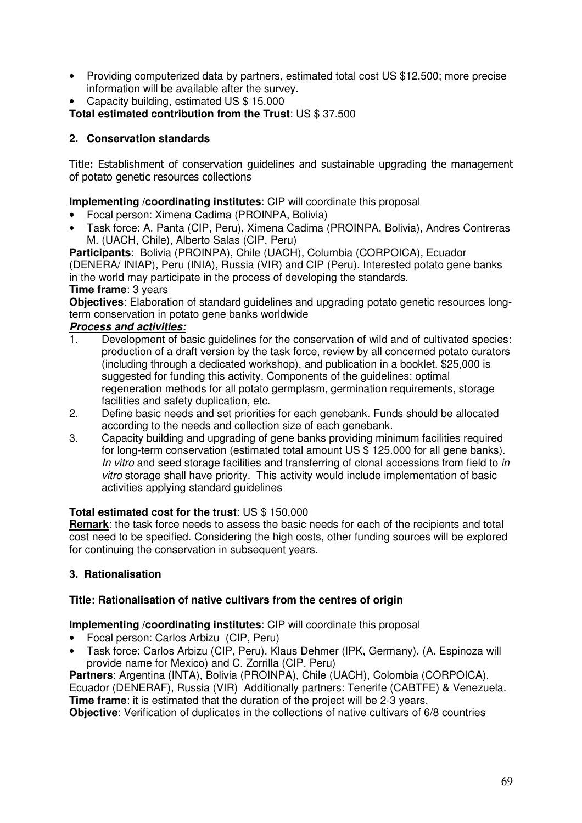- Providing computerized data by partners, estimated total cost US \$12.500; more precise information will be available after the survey.
- Capacity building, estimated US \$ 15.000

**Total estimated contribution from the Trust**: US \$ 37.500

## **2. Conservation standards**

Title: Establishment of conservation guidelines and sustainable upgrading the management of potato genetic resources collections

## **Implementing /coordinating institutes**: CIP will coordinate this proposal

- Focal person: Ximena Cadima (PROINPA, Bolivia)
- Task force: A. Panta (CIP, Peru), Ximena Cadima (PROINPA, Bolivia), Andres Contreras M. (UACH, Chile), Alberto Salas (CIP, Peru)

**Participants**: Bolivia (PROINPA), Chile (UACH), Columbia (CORPOICA), Ecuador (DENERA/ INIAP), Peru (INIA), Russia (VIR) and CIP (Peru). Interested potato gene banks in the world may participate in the process of developing the standards. **Time frame**: 3 years

**Objectives**: Elaboration of standard guidelines and upgrading potato genetic resources longterm conservation in potato gene banks worldwide

# **Process and activities:**<br>1 Development of ba

- Development of basic quidelines for the conservation of wild and of cultivated species: production of a draft version by the task force, review by all concerned potato curators (including through a dedicated workshop), and publication in a booklet. \$25,000 is suggested for funding this activity. Components of the guidelines: optimal regeneration methods for all potato germplasm, germination requirements, storage facilities and safety duplication, etc.
- 2. Define basic needs and set priorities for each genebank. Funds should be allocated according to the needs and collection size of each genebank.
- 3. Capacity building and upgrading of gene banks providing minimum facilities required for long-term conservation (estimated total amount US \$ 125.000 for all gene banks). In vitro and seed storage facilities and transferring of clonal accessions from field to in vitro storage shall have priority. This activity would include implementation of basic activities applying standard guidelines

#### **Total estimated cost for the trust**: US \$ 150,000

**Remark**: the task force needs to assess the basic needs for each of the recipients and total cost need to be specified. Considering the high costs, other funding sources will be explored for continuing the conservation in subsequent years.

## **3. Rationalisation**

## **Title: Rationalisation of native cultivars from the centres of origin**

#### **Implementing /coordinating institutes**: CIP will coordinate this proposal

- Focal person: Carlos Arbizu (CIP, Peru)
- Task force: Carlos Arbizu (CIP, Peru), Klaus Dehmer (IPK, Germany), (A. Espinoza will provide name for Mexico) and C. Zorrilla (CIP, Peru)

**Partners**: Argentina (INTA), Bolivia (PROINPA), Chile (UACH), Colombia (CORPOICA), Ecuador (DENERAF), Russia (VIR) Additionally partners: Tenerife (CABTFE) & Venezuela. **Time frame:** it is estimated that the duration of the project will be 2-3 years.

**Objective:** Verification of duplicates in the collections of native cultivars of 6/8 countries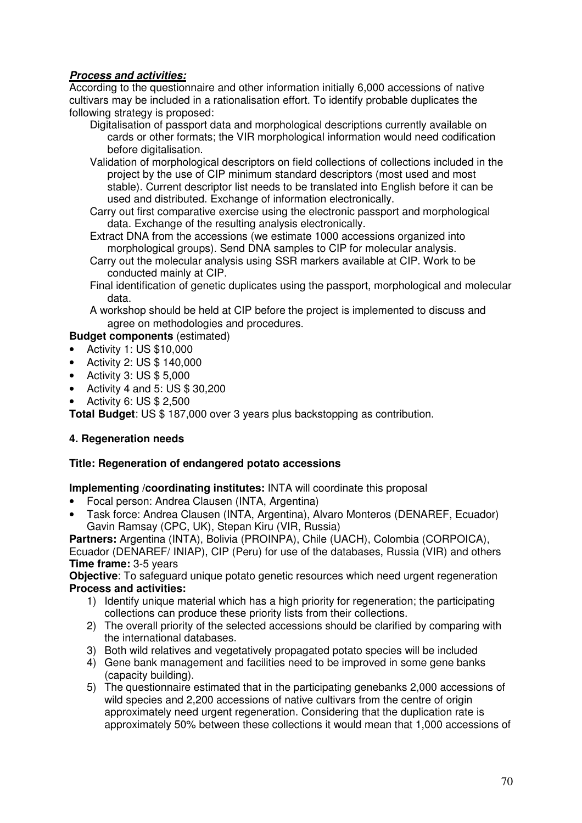## **Process and activities:**

According to the questionnaire and other information initially 6,000 accessions of native cultivars may be included in a rationalisation effort. To identify probable duplicates the following strategy is proposed:

- Digitalisation of passport data and morphological descriptions currently available on cards or other formats; the VIR morphological information would need codification before digitalisation.
- Validation of morphological descriptors on field collections of collections included in the project by the use of CIP minimum standard descriptors (most used and most stable). Current descriptor list needs to be translated into English before it can be used and distributed. Exchange of information electronically.
- Carry out first comparative exercise using the electronic passport and morphological data. Exchange of the resulting analysis electronically.
- Extract DNA from the accessions (we estimate 1000 accessions organized into morphological groups). Send DNA samples to CIP for molecular analysis.
- Carry out the molecular analysis using SSR markers available at CIP. Work to be conducted mainly at CIP.
- Final identification of genetic duplicates using the passport, morphological and molecular data.
- A workshop should be held at CIP before the project is implemented to discuss and agree on methodologies and procedures.

## **Budget components** (estimated)

- Activity 1: US \$10,000
- Activity 2: US \$ 140,000
- Activity 3: US \$ 5,000
- Activity 4 and 5: US  $$30,200$
- Activity 6: US \$ 2,500

**Total Budget**: US \$ 187,000 over 3 years plus backstopping as contribution.

## **4. Regeneration needs**

## **Title: Regeneration of endangered potato accessions**

## **Implementing /coordinating institutes:** INTA will coordinate this proposal

- Focal person: Andrea Clausen (INTA, Argentina)
- Task force: Andrea Clausen (INTA, Argentina), Alvaro Monteros (DENAREF, Ecuador) Gavin Ramsay (CPC, UK), Stepan Kiru (VIR, Russia)

**Partners:** Argentina (INTA), Bolivia (PROINPA), Chile (UACH), Colombia (CORPOICA), Ecuador (DENAREF/ INIAP), CIP (Peru) for use of the databases, Russia (VIR) and others **Time frame:** 3-5 years

**Objective:** To safeguard unique potato genetic resources which need urgent regeneration **Process and activities:** 

- 1) Identify unique material which has a high priority for regeneration; the participating collections can produce these priority lists from their collections.
- 2) The overall priority of the selected accessions should be clarified by comparing with the international databases.
- 3) Both wild relatives and vegetatively propagated potato species will be included
- 4) Gene bank management and facilities need to be improved in some gene banks (capacity building).
- 5) The questionnaire estimated that in the participating genebanks 2,000 accessions of wild species and 2,200 accessions of native cultivars from the centre of origin approximately need urgent regeneration. Considering that the duplication rate is approximately 50% between these collections it would mean that 1,000 accessions of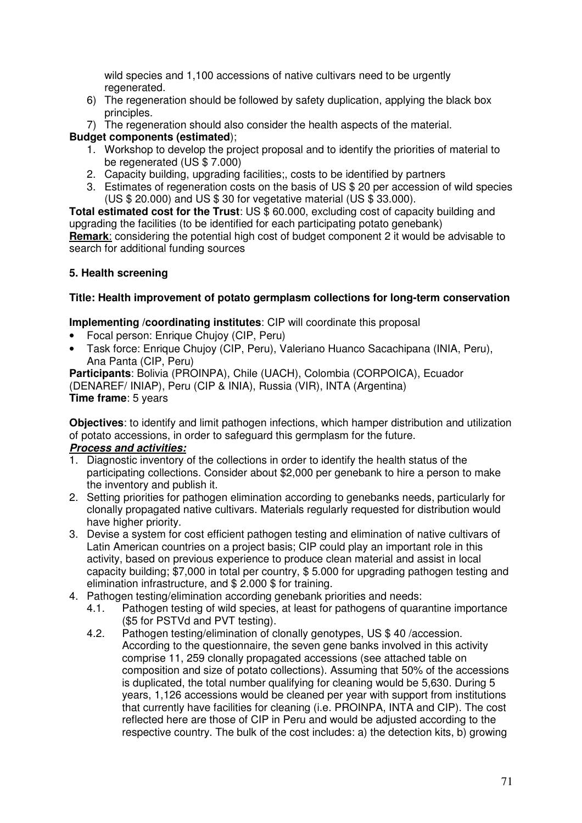wild species and 1,100 accessions of native cultivars need to be urgently regenerated.

- 6) The regeneration should be followed by safety duplication, applying the black box principles.
- 7) The regeneration should also consider the health aspects of the material.

## **Budget components (estimated**);

- 1. Workshop to develop the project proposal and to identify the priorities of material to be regenerated (US \$ 7.000)
- 2. Capacity building, upgrading facilities;, costs to be identified by partners
- 3. Estimates of regeneration costs on the basis of US \$ 20 per accession of wild species (US \$ 20.000) and US \$ 30 for vegetative material (US \$ 33.000).

**Total estimated cost for the Trust**: US \$ 60.000, excluding cost of capacity building and upgrading the facilities (to be identified for each participating potato genebank) **Remark**: considering the potential high cost of budget component 2 it would be advisable to search for additional funding sources

## **5. Health screening**

## **Title: Health improvement of potato germplasm collections for long-term conservation**

## **Implementing /coordinating institutes**: CIP will coordinate this proposal

- Focal person: Enrique Chujoy (CIP, Peru)
- Task force: Enrique Chujoy (CIP, Peru), Valeriano Huanco Sacachipana (INIA, Peru), Ana Panta (CIP, Peru)

**Participants**: Bolivia (PROINPA), Chile (UACH), Colombia (CORPOICA), Ecuador (DENAREF/ INIAP), Peru (CIP & INIA), Russia (VIR), INTA (Argentina) **Time frame**: 5 years

**Objectives**: to identify and limit pathogen infections, which hamper distribution and utilization of potato accessions, in order to safeguard this germplasm for the future.

# **Process and activities:**<br>1. Diagnostic inventory

- Diagnostic inventory of the collections in order to identify the health status of the participating collections. Consider about \$2,000 per genebank to hire a person to make the inventory and publish it.
- 2. Setting priorities for pathogen elimination according to genebanks needs, particularly for clonally propagated native cultivars. Materials regularly requested for distribution would have higher priority.
- 3. Devise a system for cost efficient pathogen testing and elimination of native cultivars of Latin American countries on a project basis; CIP could play an important role in this activity, based on previous experience to produce clean material and assist in local capacity building; \$7,000 in total per country, \$ 5.000 for upgrading pathogen testing and elimination infrastructure, and \$ 2.000 \$ for training.
- 4. Pathogen testing/elimination according genebank priorities and needs:
	- 4.1. Pathogen testing of wild species, at least for pathogens of quarantine importance (\$5 for PSTVd and PVT testing).
	- 4.2. Pathogen testing/elimination of clonally genotypes, US \$ 40 /accession. According to the questionnaire, the seven gene banks involved in this activity comprise 11, 259 clonally propagated accessions (see attached table on composition and size of potato collections). Assuming that 50% of the accessions is duplicated, the total number qualifying for cleaning would be 5,630. During 5 years, 1,126 accessions would be cleaned per year with support from institutions that currently have facilities for cleaning (i.e. PROINPA, INTA and CIP). The cost reflected here are those of CIP in Peru and would be adjusted according to the respective country. The bulk of the cost includes: a) the detection kits, b) growing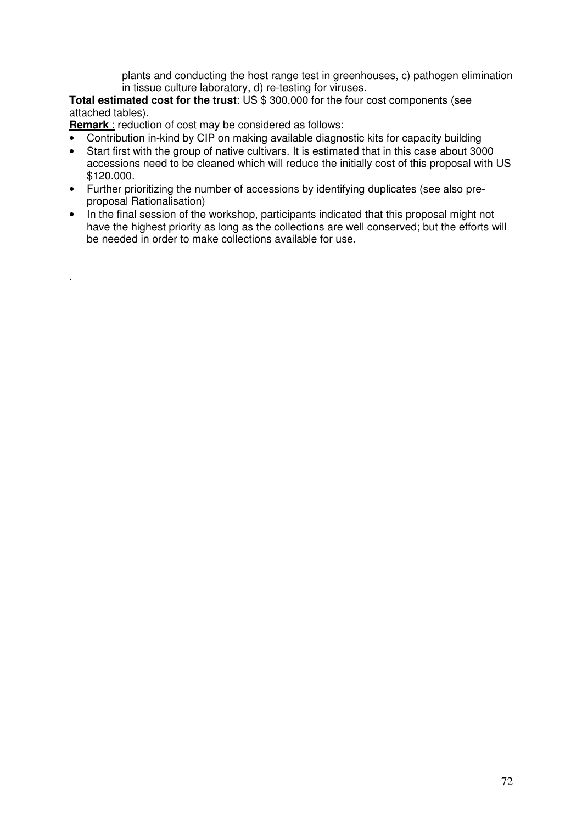plants and conducting the host range test in greenhouses, c) pathogen elimination in tissue culture laboratory, d) re-testing for viruses.

**Total estimated cost for the trust**: US \$ 300,000 for the four cost components (see attached tables).

**Remark** : reduction of cost may be considered as follows:

.

- Contribution in-kind by CIP on making available diagnostic kits for capacity building
- Start first with the group of native cultivars. It is estimated that in this case about 3000 accessions need to be cleaned which will reduce the initially cost of this proposal with US \$120.000.
- Further prioritizing the number of accessions by identifying duplicates (see also preproposal Rationalisation)
- In the final session of the workshop, participants indicated that this proposal might not have the highest priority as long as the collections are well conserved; but the efforts will be needed in order to make collections available for use.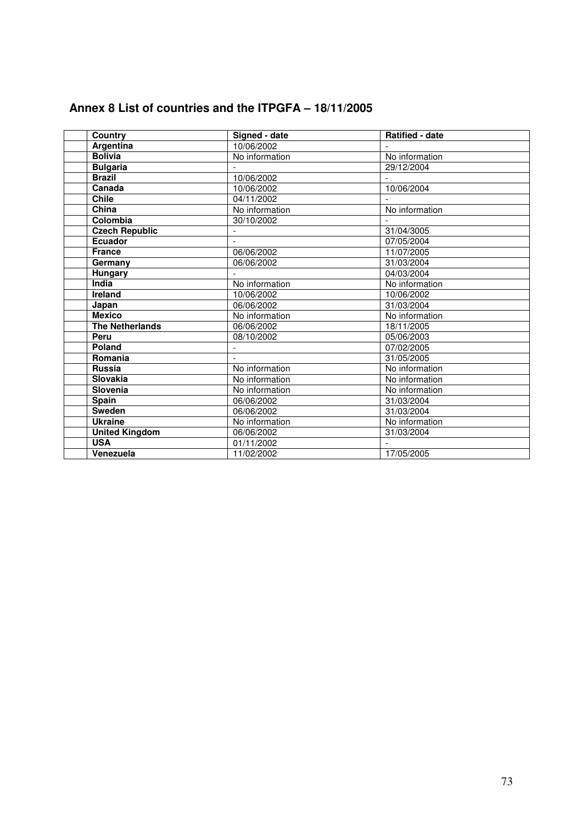| Annex 8 List of countries and the ITPGFA - 18/11/2005 |  |
|-------------------------------------------------------|--|
|-------------------------------------------------------|--|

| Country                | Signed - date  | <b>Ratified - date</b> |
|------------------------|----------------|------------------------|
| Argentina              | 10/06/2002     |                        |
| <b>Bolivia</b>         | No information | No information         |
| <b>Bulgaria</b>        |                | 29/12/2004             |
| <b>Brazil</b>          | 10/06/2002     |                        |
| Canada                 | 10/06/2002     | 10/06/2004             |
| <b>Chile</b>           | 04/11/2002     |                        |
| China                  | No information | No information         |
| Colombia               | 30/10/2002     |                        |
| <b>Czech Republic</b>  |                | 31/04/3005             |
| <b>Ecuador</b>         |                | 07/05/2004             |
| <b>France</b>          | 06/06/2002     | 11/07/2005             |
| Germany                | 06/06/2002     | 31/03/2004             |
| <b>Hungary</b>         |                | 04/03/2004             |
| India                  | No information | No information         |
| <b>Ireland</b>         | 10/06/2002     | 10/06/2002             |
| Japan                  | 06/06/2002     | 31/03/2004             |
| <b>Mexico</b>          | No information | No information         |
| <b>The Netherlands</b> | 06/06/2002     | 18/11/2005             |
| Peru                   | 08/10/2002     | 05/06/2003             |
| Poland                 |                | 07/02/2005             |
| Romania                |                | 31/05/2005             |
| <b>Russia</b>          | No information | No information         |
| <b>Slovakia</b>        | No information | No information         |
| Slovenia               | No information | No information         |
| <b>Spain</b>           | 06/06/2002     | 31/03/2004             |
| <b>Sweden</b>          | 06/06/2002     | 31/03/2004             |
| <b>Ukraine</b>         | No information | No information         |
| <b>United Kingdom</b>  | 06/06/2002     | 31/03/2004             |
| <b>USA</b>             | 01/11/2002     |                        |
| Venezuela              | 11/02/2002     | 17/05/2005             |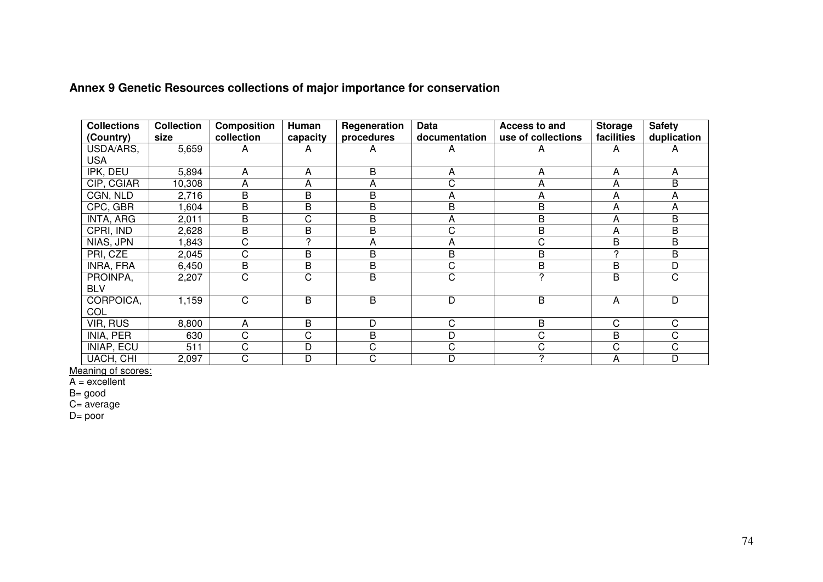| <b>Collections</b><br>(Country) | <b>Collection</b><br>size | <b>Composition</b><br>collection | <b>Human</b><br>capacity | Regeneration<br>procedures | <b>Data</b><br>documentation | Access to and<br>use of collections | <b>Storage</b><br>facilities | <b>Safety</b><br>duplication |
|---------------------------------|---------------------------|----------------------------------|--------------------------|----------------------------|------------------------------|-------------------------------------|------------------------------|------------------------------|
| USDA/ARS,<br><b>USA</b>         | 5,659                     | A                                | A                        | A                          | A                            | А                                   | A                            | A                            |
| IPK, DEU                        | 5,894                     | A                                | A                        | B                          | A                            | А                                   | A                            | A                            |
| CIP, CGIAR                      | 10,308                    | A                                | A                        | A                          | C                            | А                                   | A                            | B                            |
| CGN, NLD                        | 2,716                     | B                                | B                        | B                          | $\overline{A}$               | А                                   | A                            | A                            |
| CPC, GBR                        | 1,604                     | B                                | B                        | B                          | B                            | B                                   | A                            | A                            |
| INTA, ARG                       | 2,011                     | B                                | C                        | B                          | A                            | B                                   | A                            | B                            |
| CPRI, IND                       | 2,628                     | B                                | B                        | B                          | $\mathsf C$                  | B                                   | A                            | B                            |
| NIAS, JPN                       | 1,843                     | C                                | C                        | A                          | $\overline{A}$               | С                                   | B                            | B                            |
| PRI, CZE                        | 2,045                     | C                                | B                        | B                          | B                            | B                                   | 2                            | B                            |
| INRA, FRA                       | 6,450                     | B                                | B                        | B                          | $\mathbf C$                  | B                                   | B                            | D                            |
| PROINPA,<br><b>BLV</b>          | 2,207                     | $\mathsf C$                      | C                        | B                          | C                            | 2                                   | B                            | C                            |
| CORPOICA,<br><b>COL</b>         | 1,159                     | $\mathsf C$                      | B                        | B                          | D                            | B                                   | A                            | D                            |
| VIR, RUS                        | 8,800                     | A                                | B                        | D                          | C                            | B                                   | C                            | C                            |
| INIA, PER                       | 630                       | C                                | $\overline{C}$           | B                          | D                            | С                                   | B                            | C                            |
| <b>INIAP, ECU</b>               | 511                       | C                                | D                        | C                          | $\mathsf C$                  | C                                   | C                            | C.                           |
| UACH, CHI                       | 2,097                     | C                                | D                        | С                          | D                            | າ                                   | A                            | D                            |

## **Annex 9 Genetic Resources collections of major importance for conservation**

<u>Meaning of scores:</u><br>A = excellent

B= good C= average D= poor